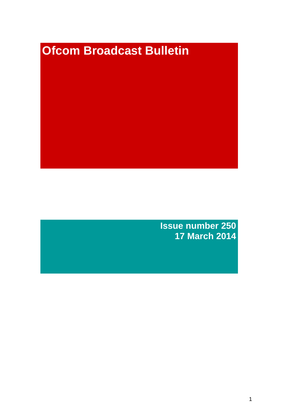# **Ofcom Broadcast Bulletin**

**Issue number 250 17 March 2014**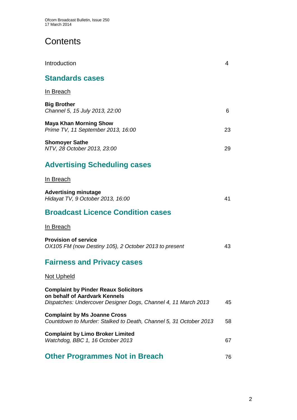# **Contents**

| Introduction                                                                                                                                   | 4  |
|------------------------------------------------------------------------------------------------------------------------------------------------|----|
| <b>Standards cases</b>                                                                                                                         |    |
| <u>In Breach</u>                                                                                                                               |    |
| <b>Big Brother</b><br>Channel 5, 15 July 2013, 22:00                                                                                           | 6  |
| <b>Maya Khan Morning Show</b><br>Prime TV, 11 September 2013, 16:00                                                                            | 23 |
| <b>Shomoyer Sathe</b><br>NTV, 28 October 2013, 23:00                                                                                           | 29 |
| <b>Advertising Scheduling cases</b>                                                                                                            |    |
| In Breach                                                                                                                                      |    |
| <b>Advertising minutage</b><br>Hidayat TV, 9 October 2013, 16:00                                                                               | 41 |
| <b>Broadcast Licence Condition cases</b>                                                                                                       |    |
| In Breach                                                                                                                                      |    |
| <b>Provision of service</b><br>OX105 FM (now Destiny 105), 2 October 2013 to present                                                           | 43 |
| <b>Fairness and Privacy cases</b>                                                                                                              |    |
| <u>Not Upheld</u>                                                                                                                              |    |
| <b>Complaint by Pinder Reaux Solicitors</b><br>on behalf of Aardvark Kennels<br>Dispatches: Undercover Designer Dogs, Channel 4, 11 March 2013 | 45 |
| <b>Complaint by Ms Joanne Cross</b><br>Countdown to Murder: Stalked to Death, Channel 5, 31 October 2013                                       | 58 |
| <b>Complaint by Limo Broker Limited</b><br>Watchdog, BBC 1, 16 October 2013                                                                    | 67 |
| <b>Other Programmes Not in Breach</b>                                                                                                          | 76 |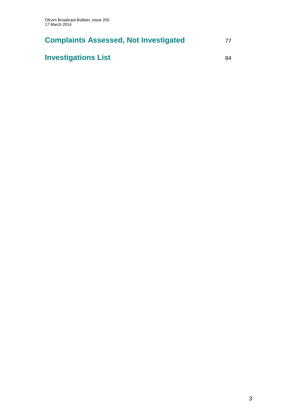# **Complaints Assessed, Not Investigated** 77

# **Investigations List** 84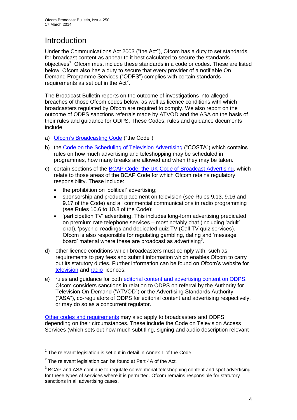# **Introduction**

Under the Communications Act 2003 ("the Act"), Ofcom has a duty to set standards for broadcast content as appear to it best calculated to secure the standards objectives<sup>1</sup>. Ofcom must include these standards in a code or codes. These are listed below. Ofcom also has a duty to secure that every provider of a notifiable On Demand Programme Services ("ODPS") complies with certain standards requirements as set out in the  $Act<sup>2</sup>$ .

The Broadcast Bulletin reports on the outcome of investigations into alleged breaches of those Ofcom codes below, as well as licence conditions with which broadcasters regulated by Ofcom are required to comply. We also report on the outcome of ODPS sanctions referrals made by ATVOD and the ASA on the basis of their rules and guidance for ODPS. These Codes, rules and guidance documents include:

- a) [Ofcom's Broadcasting Code](http://stakeholders.ofcom.org.uk/broadcasting/broadcast-codes/broadcast-code/) ("the Code").
- b) the [Code on the Scheduling of Television Advertising](http://stakeholders.ofcom.org.uk/broadcasting/broadcast-codes/advert-code/) ("COSTA") which contains rules on how much advertising and teleshopping may be scheduled in programmes, how many breaks are allowed and when they may be taken.
- c) certain sections of the [BCAP Code: the UK Code of Broadcast Advertising,](http://www.bcap.org.uk/Advertising-Codes/Broadcast-HTML.aspx) which relate to those areas of the BCAP Code for which Ofcom retains regulatory responsibility. These include:
	- the prohibition on 'political' advertising:
	- sponsorship and product placement on television (see Rules 9.13, 9.16 and 9.17 of the Code) and all commercial communications in radio programming (see Rules 10.6 to 10.8 of the Code);
	- 'participation TV' advertising. This includes long-form advertising predicated on premium rate telephone services – most notably chat (including 'adult' chat), 'psychic' readings and dedicated quiz TV (Call TV quiz services). Ofcom is also responsible for regulating gambling, dating and 'message board' material where these are broadcast as advertising<sup>3</sup>.
- d) other licence conditions which broadcasters must comply with, such as requirements to pay fees and submit information which enables Ofcom to carry out its statutory duties. Further information can be found on Ofcom's website for [television](http://licensing.ofcom.org.uk/tv-broadcast-licences/) and [radio](http://licensing.ofcom.org.uk/radio-broadcast-licensing/) licences.
- e) rules and guidance for both [editorial content and advertising content on ODPS.](http://www.atvod.co.uk/uploads/files/ATVOD_Rules_and_Guidance_Ed_2.0_May_2012.pdf) Ofcom considers sanctions in relation to ODPS on referral by the Authority for Television On-Demand ("ATVOD") or the Advertising Standards Authority ("ASA"), co-regulators of ODPS for editorial content and advertising respectively, or may do so as a concurrent regulator.

[Other codes and requirements](http://stakeholders.ofcom.org.uk/broadcasting/broadcast-codes/) may also apply to broadcasters and ODPS, depending on their circumstances. These include the Code on Television Access Services (which sets out how much subtitling, signing and audio description relevant

<sup>1</sup>  $1$  The relevant legislation is set out in detail in Annex 1 of the Code.

 $2$  The relevant legislation can be found at Part 4A of the Act.

 $3$  BCAP and ASA continue to regulate conventional teleshopping content and spot advertising for these types of services where it is permitted. Ofcom remains responsible for statutory sanctions in all advertising cases.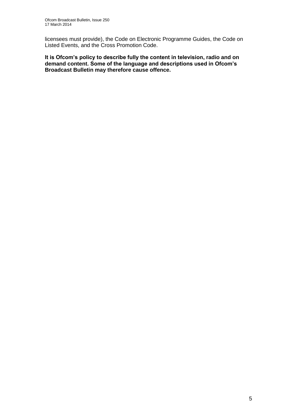licensees must provide), the Code on Electronic Programme Guides, the Code on Listed Events, and the Cross Promotion Code.

**It is Ofcom's policy to describe fully the content in television, radio and on demand content. Some of the language and descriptions used in Ofcom's Broadcast Bulletin may therefore cause offence.**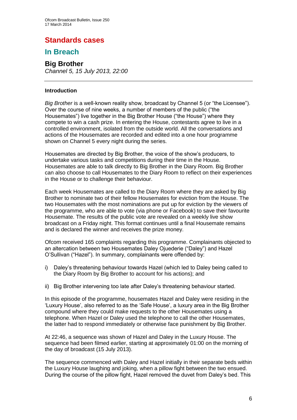# **Standards cases**

## **In Breach**

# **Big Brother**

*Channel 5, 15 July 2013, 22:00*

### **Introduction**

*Big Brother* is a well-known reality show, broadcast by Channel 5 (or "the Licensee"). Over the course of nine weeks, a number of members of the public ("the Housemates") live together in the Big Brother House ("the House") where they compete to win a cash prize. In entering the House, contestants agree to live in a controlled environment, isolated from the outside world. All the conversations and actions of the Housemates are recorded and edited into a one hour programme shown on Channel 5 every night during the series.

Housemates are directed by Big Brother, the voice of the show's producers, to undertake various tasks and competitions during their time in the House. Housemates are able to talk directly to Big Brother in the Diary Room. Big Brother can also choose to call Housemates to the Diary Room to reflect on their experiences in the House or to challenge their behaviour.

Each week Housemates are called to the Diary Room where they are asked by Big Brother to nominate two of their fellow Housemates for eviction from the House. The two Housemates with the most nominations are put up for eviction by the viewers of the programme, who are able to vote (via phone or Facebook) to save their favourite Housemate. The results of the public vote are revealed on a weekly live show broadcast on a Friday night. This format continues until a final Housemate remains and is declared the winner and receives the prize money.

Ofcom received 165 complaints regarding this programme. Complainants objected to an altercation between two Housemates Daley Ojuederie ("Daley") and Hazel O'Sullivan ("Hazel"). In summary, complainants were offended by:

- i) Daley's threatening behaviour towards Hazel (which led to Daley being called to the Diary Room by Big Brother to account for his actions); and
- ii) Big Brother intervening too late after Daley's threatening behaviour started.

In this episode of the programme, housemates Hazel and Daley were residing in the 'Luxury House', also referred to as the 'Safe House', a luxury area in the Big Brother compound where they could make requests to the other Housemates using a telephone. When Hazel or Daley used the telephone to call the other Housemates, the latter had to respond immediately or otherwise face punishment by Big Brother.

At 22:46, a sequence was shown of Hazel and Daley in the Luxury House. The sequence had been filmed earlier, starting at approximately 01:00 on the morning of the day of broadcast (15 July 2013).

The sequence commenced with Daley and Hazel initially in their separate beds within the Luxury House laughing and joking, when a pillow fight between the two ensued. During the course of the pillow fight, Hazel removed the duvet from Daley's bed. This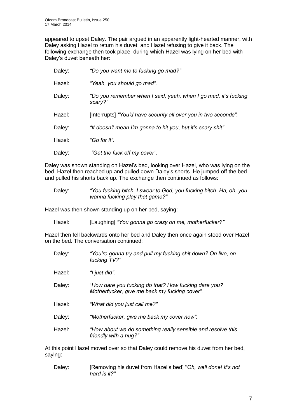appeared to upset Daley. The pair argued in an apparently light-hearted manner, with Daley asking Hazel to return his duvet, and Hazel refusing to give it back. The following exchange then took place, during which Hazel was lying on her bed with Daley's duvet beneath her:

| Daley: | "Do you want me to fucking go mad?"                                        |
|--------|----------------------------------------------------------------------------|
| Hazel: | "Yeah, you should go mad".                                                 |
| Daley: | "Do you remember when I said, yeah, when I go mad, it's fucking<br>scary?" |
| Hazel: | [Interrupts] "You'd have security all over you in two seconds".            |
| Daley: | "It doesn't mean I'm gonna to hit you, but it's scary shit".               |
| Hazel: | "Go for it".                                                               |
| Daley: | "Get the fuck off my cover".                                               |

Daley was shown standing on Hazel's bed, looking over Hazel, who was lying on the bed. Hazel then reached up and pulled down Daley's shorts. He jumped off the bed and pulled his shorts back up. The exchange then continued as follows:

Daley: *"You fucking bitch. I swear to God, you fucking bitch. Ha, oh, you wanna fucking play that game?"*

Hazel was then shown standing up on her bed, saying:

Hazel: [Laughing] *"You gonna go crazy on me, motherfucker?"*

Hazel then fell backwards onto her bed and Daley then once again stood over Hazel on the bed. The conversation continued:

- Daley: *"You're gonna try and pull my fucking shit down? On live, on fucking TV?"*
- Hazel: *"I just did".*
- Daley: "*How dare you fucking do that? How fucking dare you? Motherfucker, give me back my fucking cover".*
- Hazel: *"What did you just call me?"*
- Daley: *"Motherfucker, give me back my cover now".*
- Hazel: *"How about we do something really sensible and resolve this friendly with a hug?"*

At this point Hazel moved over so that Daley could remove his duvet from her bed, saying:

Daley: [Removing his duvet from Hazel's bed] "*Oh, well done! It's not hard is it?"*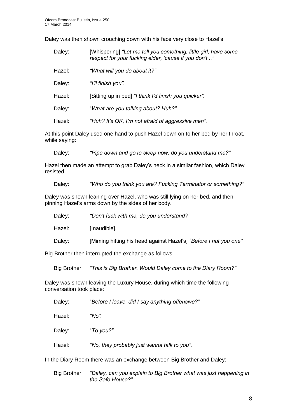Daley was then shown crouching down with his face very close to Hazel's.

| Daley: | [Whispering] "Let me tell you something, little girl, have some<br>respect for your fucking elder, 'cause if you don't" |
|--------|-------------------------------------------------------------------------------------------------------------------------|
| Hazel: | "What will you do about it?"                                                                                            |
| Daley: | "I'll finish you".                                                                                                      |
| Hazel: | [Sitting up in bed] "I think I'd finish you quicker".                                                                   |
| Daley: | "What are you talking about? Huh?"                                                                                      |
| Hazel: | "Huh? It's OK, I'm not afraid of aggressive men".                                                                       |

At this point Daley used one hand to push Hazel down on to her bed by her throat, while saying:

Daley: *"Pipe down and go to sleep now, do you understand me?"*

Hazel then made an attempt to grab Daley's neck in a similar fashion, which Daley resisted.

Daley: *"Who do you think you are? Fucking Terminator or something?"*

Daley was shown leaning over Hazel, who was still lying on her bed, and then pinning Hazel's arms down by the sides of her body.

| Daley: | "Don't fuck with me, do you understand?" |  |
|--------|------------------------------------------|--|
|        |                                          |  |

Hazel: [Inaudible].

Daley: [Miming hitting his head against Hazel's] *"Before I nut you one"*

Big Brother then interrupted the exchange as follows:

Big Brother: *"This is Big Brother. Would Daley come to the Diary Room?"*

Daley was shown leaving the Luxury House, during which time the following conversation took place:

Daley: "*Before I leave, did I say anything offensive?"*

Hazel*: "No".*

Daley: "*To you?"*

Hazel*: "No, they probably just wanna talk to you".*

In the Diary Room there was an exchange between Big Brother and Daley:

Big Brother: *"Daley, can you explain to Big Brother what was just happening in the Safe House?"*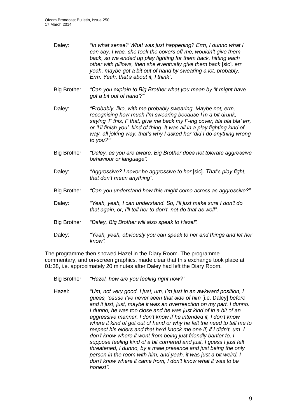- Daley: *"In what sense? What was just happening? Erm, I dunno what I can say, I was, she took the covers off me, wouldn't give them back, so we ended up play fighting for them back, hitting each other with pillows, then she eventually give them back* [sic]*, err yeah, maybe got a bit out of hand by swearing a lot, probably. Erm. Yeah, that's about it, I think".*
- Big Brother: *"Can you explain to Big Brother what you mean by 'it might have got a bit out of hand'?"*
- Daley: *"Probably, like, with me probably swearing. Maybe not, erm, recognising how much I'm swearing because I'm a bit drunk, saying 'F this, F that, give me back my F-ing cover, bla bla bla' err, or 'I'll finish you', kind of thing. It was all in a play fighting kind of way, all joking way, that's why I asked her 'did I do anything wrong to you?'"*
- Big Brother: *"Daley, as you are aware, Big Brother does not tolerate aggressive behaviour or language".*
- Daley: *"Aggressive? I never be aggressive to her* [sic]. *That's play fight, that don't mean anything".*
- Big Brother: *"Can you understand how this might come across as aggressive?"*
- Daley: *"Yeah, yeah, I can understand. So, I'll just make sure I don't do that again, or, I'll tell her to don't, not do that as well".*
- Big Brother: *"Daley, Big Brother will also speak to Hazel".*
- Daley: *"Yeah, yeah, obviously you can speak to her and things and let her know".*

The programme then showed Hazel in the Diary Room. The programme commentary, and on-screen graphics, made clear that this exchange took place at 01:38, i.e. approximately 20 minutes after Daley had left the Diary Room.

- Big Brother: *"Hazel, how are you feeling right now?"*
- Hazel: *"Um, not very good. I just, um, I'm just in an awkward position, I guess, 'cause I've never seen that side of him* [i.e. Daley] *before and it just, just, maybe it was an overreaction on my part, I dunno. I dunno, he was too close and he was just kind of in a bit of an aggressive manner. I don't know if he intended it, I don't know where it kind of got out of hand or why he felt the need to tell me to respect his elders and that he'd knock me one if, if I didn't, um. I don't know where it went from being just friendly banter to, I suppose feeling kind of a bit cornered and just, I guess I just felt threatened, I dunno, by a male presence and just being the only person in the room with him, and yeah, it was just a bit weird. I don't know where it came from, I don't know what it was to be honest".*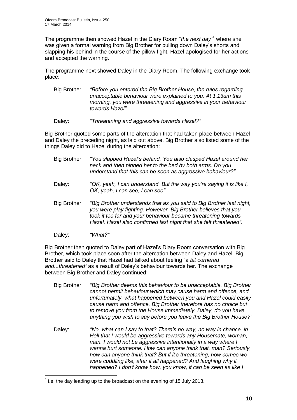The programme then showed Hazel in the Diary Room "*the next day"*<sup>1</sup> where she was given a formal warning from Big Brother for pulling down Daley's shorts and slapping his behind in the course of the pillow fight. Hazel apologised for her actions and accepted the warning.

The programme next showed Daley in the Diary Room. The following exchange took place:

- Big Brother: *"Before you entered the Big Brother House, the rules regarding unacceptable behaviour were explained to you. At 1.13am this morning, you were threatening and aggressive in your behaviour towards Hazel".*
- Daley: *"Threatening and aggressive towards Hazel?"*

Big Brother quoted some parts of the altercation that had taken place between Hazel and Daley the preceding night, as laid out above. Big Brother also listed some of the things Daley did to Hazel during the altercation:

- Big Brother: *"You slapped Hazel's behind. You also clasped Hazel around her neck and then pinned her to the bed by both arms. Do you understand that this can be seen as aggressive behaviour?"*
- Daley: *"OK, yeah, I can understand. But the way you're saying it is like I, OK, yeah, I can see, I can see".*
- Big Brother: *"Big Brother understands that as you said to Big Brother last night, you were play fighting. However, Big Brother believes that you took it too far and your behaviour became threatening towards Hazel. Hazel also confirmed last night that she felt threatened".*
- Daley: *"What?"*

1

Big Brother then quoted to Daley part of Hazel's Diary Room conversation with Big Brother, which took place soon after the altercation between Daley and Hazel. Big Brother said to Daley that Hazel had talked about feeling "a *bit cornered and...threatened"* as a result of Daley's behaviour towards her. The exchange between Big Brother and Daley continued:

- Big Brother: *"Big Brother deems this behaviour to be unacceptable. Big Brother cannot permit behaviour which may cause harm and offence, and unfortunately, what happened between you and Hazel could easily cause harm and offence. Big Brother therefore has no choice but to remove you from the House immediately. Daley, do you have anything you wish to say before you leave the Big Brother House?"*
- Daley: *"No, what can I say to that? There's no way, no way in chance, in Hell that I would be aggressive towards any Housemate, woman, man. I would not be aggressive intentionally in a way where I wanna hurt someone. How can anyone think that, man? Seriously, how can anyone think that? But if it's threatening, how comes we were cuddling like, after it all happened? And laughing why it happened? I don't know how, you know, it can be seen as like I*

 $<sup>1</sup>$  i.e. the day leading up to the broadcast on the evening of 15 July 2013.</sup>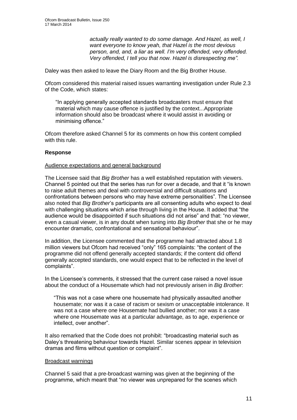*actually really wanted to do some damage. And Hazel, as well, I want everyone to know yeah, that Hazel is the most devious person, and, and, a liar as well. I'm very offended, very offended. Very offended, I tell you that now. Hazel is disrespecting me".*

Daley was then asked to leave the Diary Room and the Big Brother House.

Ofcom considered this material raised issues warranting investigation under Rule 2.3 of the Code, which states:

"In applying generally accepted standards broadcasters must ensure that material which may cause offence is justified by the context...Appropriate information should also be broadcast where it would assist in avoiding or minimising offence."

Ofcom therefore asked Channel 5 for its comments on how this content complied with this rule.

### **Response**

### Audience expectations and general background

The Licensee said that *Big Brother* has a well established reputation with viewers. Channel 5 pointed out that the series has run for over a decade, and that it "is known to raise adult themes and deal with controversial and difficult situations and confrontations between persons who may have extreme personalities". The Licensee also noted that *Big Brother*'s participants are all consenting adults who expect to deal with challenging situations which arise through living in the House. It added that "the audience would be disappointed if such situations did not arise" and that: "no viewer, even a casual viewer, is in any doubt when tuning into *Big Brother* that she or he may encounter dramatic, confrontational and sensational behaviour".

In addition, the Licensee commented that the programme had attracted about 1.8 million viewers but Ofcom had received "only" 165 complaints: "the content of the programme did not offend generally accepted standards; if the content did offend generally accepted standards, one would expect that to be reflected in the level of complaints".

In the Licensee's comments, it stressed that the current case raised a novel issue about the conduct of a Housemate which had not previously arisen in *Big Brother*:

"This was not a case where one housemate had physically assaulted another housemate; nor was it a case of racism or sexism or unacceptable intolerance. It was not a case where one Housemate had bullied another; nor was it a case where one Housemate was at a particular advantage, as to age, experience or intellect, over another".

It also remarked that the Code does not prohibit: "broadcasting material such as Daley's threatening behaviour towards Hazel. Similar scenes appear in television dramas and films without question or complaint".

### Broadcast warnings

Channel 5 said that a pre-broadcast warning was given at the beginning of the programme, which meant that "no viewer was unprepared for the scenes which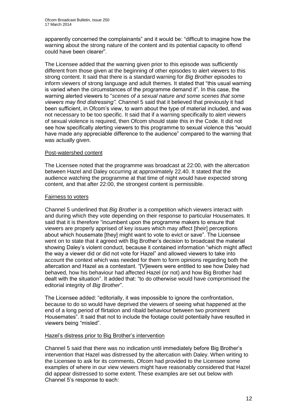apparently concerned the complainants" and it would be: "difficult to imagine how the warning about the strong nature of the content and its potential capacity to offend could have been clearer".

The Licensee added that the warning given prior to this episode was sufficiently different from those given at the beginning of other episodes to alert viewers to this strong content. It said that there is a standard warning for *Big Brother* episodes to inform viewers of strong language and adult themes. It stated that "this usual warning is varied when the circumstances of the programme demand it". In this case, the warning alerted viewers to "*scenes of a sexual nature and some scenes that some viewers may find distressing".* Channel 5 said that it believed that previously it had been sufficient, in Ofcom's view, to warn about the type of material included, and was not necessary to be too specific. It said that if a warning specifically to alert viewers of sexual violence is required, then Ofcom should state this in the Code. It did not see how specifically alerting viewers to this programme to sexual violence this "would have made any appreciable difference to the audience" compared to the warning that was actually given.

### Post-watershed content

The Licensee noted that the programme was broadcast at 22:00, with the altercation between Hazel and Daley occurring at approximately 22.40. It stated that the audience watching the programme at that time of night would have expected strong content, and that after 22:00, the strongest content is permissible.

### Fairness to voters

Channel 5 underlined that *Big Brother* is a competition which viewers interact with and during which they vote depending on their response to particular Housemates. It said that it is therefore "incumbent upon the programme makers to ensure that viewers are properly apprised of key issues which may affect [their] perceptions about which housemate [they] might want to vote to evict or save". The Licensee went on to state that it agreed with Big Brother's decision to broadcast the material showing Daley's violent conduct, because it contained information "which might affect the way a viewer did or did not vote for Hazel" and allowed viewers to take into account the context which was needed for them to form opinions regarding both the altercation and Hazel as a contestant. "[V]iewers were entitled to see how Daley had behaved, how his behaviour had affected Hazel (or not) and how Big Brother had dealt with the situation". It added that: "to do otherwise would have compromised the editorial integrity of *Big Brother*".

The Licensee added: "editorially, it was impossible to ignore the confrontation, because to do so would have deprived the viewers of seeing what happened at the end of a long period of flirtation and ribald behaviour between two prominent Housemates". It said that not to include the footage could potentially have resulted in viewers being "misled".

### Hazel's distress prior to Big Brother's intervention

Channel 5 said that there was no indication until immediately before Big Brother's intervention that Hazel was distressed by the altercation with Daley. When writing to the Licensee to ask for its comments, Ofcom had provided to the Licensee some examples of where in our view viewers might have reasonably considered that Hazel did appear distressed to some extent. These examples are set out below with Channel 5's response to each: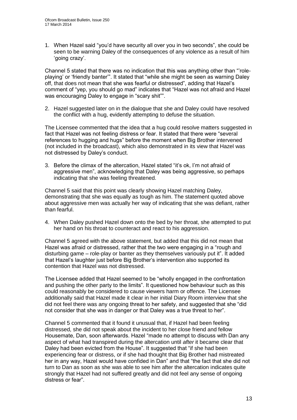1. When Hazel said "you'd have security all over you in two seconds", she could be seen to be warning Daley of the consequences of any violence as a result of him 'going crazy'.

Channel 5 stated that there was no indication that this was anything other than "'roleplaying' or 'friendly banter'". It stated that "while she might be seen as warning Daley off, that does not mean that she was fearful or distressed", adding that Hazel's comment of "yep, you should go mad" indicates that "Hazel was not afraid and Hazel was encouraging Daley to engage in "scary shit"".

2. Hazel suggested later on in the dialogue that she and Daley could have resolved the conflict with a hug, evidently attempting to defuse the situation.

The Licensee commented that the idea that a hug could resolve matters suggested in fact that Hazel was not feeling distress or fear. It stated that there were "several references to hugging and hugs" before the moment when Big Brother intervened (not included in the broadcast), which also demonstrated in its view that Hazel was not distressed by Daley's conduct.

3. Before the climax of the altercation, Hazel stated "it's ok, I'm not afraid of aggressive men", acknowledging that Daley was being aggressive, so perhaps indicating that she was feeling threatened.

Channel 5 said that this point was clearly showing Hazel matching Daley, demonstrating that she was equally as tough as him. The statement quoted above about aggressive men was actually her way of indicating that she was defiant, rather than fearful.

4. When Daley pushed Hazel down onto the bed by her throat, she attempted to put her hand on his throat to counteract and react to his aggression.

Channel 5 agreed with the above statement, but added that this did not mean that Hazel was afraid or distressed, rather that the two were engaging in a "rough and disturbing game – role-play or banter as they themselves variously put it". It added that Hazel's laughter just before Big Brother's intervention also supported its contention that Hazel was not distressed.

The Licensee added that Hazel seemed to be "wholly engaged in the confrontation and pushing the other party to the limits". It questioned how behaviour such as this could reasonably be considered to cause viewers harm or offence. The Licensee additionally said that Hazel made it clear in her initial Diary Room interview that she did not feel there was any ongoing threat to her safety, and suggested that she "did not consider that she was in danger or that Daley was a true threat to her".

Channel 5 commented that it found it unusual that, if Hazel had been feeling distressed, she did not speak about the incident to her close friend and fellow Housemate, Dan, soon afterwards. Hazel "made no attempt to discuss with Dan any aspect of what had transpired during the altercation until *after* it became clear that Daley had been evicted from the House". It suggested that "if she had been experiencing fear or distress, or if she had thought that Big Brother had mistreated her in any way, Hazel would have confided in Dan" and that "the fact that she did not turn to Dan as soon as she was able to see him after the altercation indicates quite strongly that Hazel had not suffered greatly and did not feel any sense of ongoing distress or fear".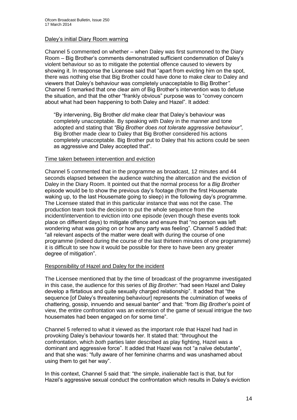### Daley's initial Diary Room warning

Channel 5 commented on whether – when Daley was first summoned to the Diary Room – Big Brother's comments demonstrated sufficient condemnation of Daley's violent behaviour so as to mitigate the potential offence caused to viewers by showing it. In response the Licensee said that "apart from evicting him on the spot, there was nothing else that Big Brother could have done to make clear to Daley and viewers that Daley's behaviour was completely unacceptable to Big Brother*".*  Channel 5 remarked that one clear aim of Big Brother's intervention was to defuse the situation, and that the other "frankly obvious" purpose was to "convey concern about what had been happening to both Daley and Hazel". It added:

"By intervening, Big Brother *did* make clear that Daley's behaviour was completely unacceptable. By speaking with Daley in the manner and tone adopted and stating that *"Big Brother does not tolerate aggressive behaviour"*, Big Brother made clear to Daley that Big Brother considered his actions completely unacceptable. Big Brother put to Daley that his actions could be seen as aggressive and Daley accepted that".

### Time taken between intervention and eviction

Channel 5 commented that in the programme as broadcast, 12 minutes and 44 seconds elapsed between the audience watching the altercation and the eviction of Daley in the Diary Room. It pointed out that the normal process for a *Big Brother*  episode would be to show the previous day's footage (from the first Housemate waking up, to the last Housemate going to sleep) in the following day's programme. The Licensee stated that in this particular instance that was not the case. The production team took the decision to put the whole sequence from the incident/intervention to eviction into one episode (even though these events took place on different days) to mitigate offence and ensure that "no person was left wondering what was going on or how any party was feeling". Channel 5 added that: "all relevant aspects of the matter were dealt with during the course of one programme (indeed during the course of the last thirteen minutes of one programme) it is difficult to see how it would be possible for there to have been any greater degree of mitigation".

### Responsibility of Hazel and Daley for the incident

The Licensee mentioned that by the time of broadcast of the programme investigated in this case, the audience for this series of *Big Brother*: "had seen Hazel and Daley develop a flirtatious and quite sexually charged relationship". It added that "the sequence [of Daley's threatening behaviour] represents the culmination of weeks of chattering, gossip, innuendo and sexual banter" and that: "from *Big Brother*'s point of view, the entire confrontation was an extension of the game of sexual intrigue the two housemates had been engaged on for some time".

Channel 5 referred to what it viewed as the important role that Hazel had had in provoking Daley's behaviour towards her. It stated that: "throughout the confrontation, which *both* parties later described as play fighting, Hazel was a dominant and aggressive force". It added that Hazel was not "a naϊve debutante", and that she was: "fully aware of her feminine charms and was unashamed about using them to get her way".

In this context, Channel 5 said that: "the simple, inalienable fact is that, but for Hazel's aggressive sexual conduct the confrontation which results in Daley's eviction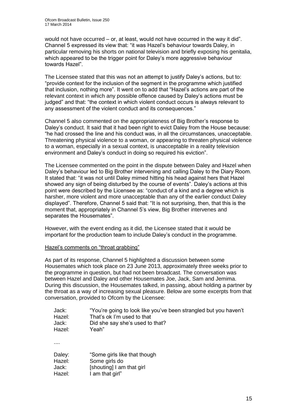would not have occurred – or, at least, would not have occurred in the way it did". Channel 5 expressed its view that: "it was Hazel's behaviour towards Daley, in particular removing his shorts on national television and briefly exposing his genitalia, which appeared to be the trigger point for Daley's more aggressive behaviour towards Hazel".

The Licensee stated that this was not an attempt to justify Daley's actions, but to: "provide context for the inclusion of the segment in the programme which justified that inclusion, nothing more". It went on to add that "Hazel's actions are part of the relevant context in which any possible offence caused by Daley's actions must be judged" and that: "the context in which violent conduct occurs is always relevant to any assessment of the violent conduct and its consequences."

Channel 5 also commented on the appropriateness of Big Brother's response to Daley's conduct. It said that it had been right to evict Daley from the House because: "he had crossed the line and his conduct was, in all the circumstances, unacceptable. Threatening physical violence to a woman, or appearing to threaten physical violence to a woman, especially in a sexual context, is unacceptable in a reality television environment and Daley's conduct in doing so required his eviction".

The Licensee commented on the point in the dispute between Daley and Hazel when Daley's behaviour led to Big Brother intervening and calling Daley to the Diary Room. It stated that: "it was not until Daley mimed hitting his head against hers that Hazel showed any sign of being disturbed by the course of events". Daley's actions at this point were described by the Licensee as: "conduct of a kind and a degree which is harsher, more violent and more unacceptable than any of the earlier conduct Daley displayed". Therefore, Channel 5 said that: "It is not surprising, then, that this is the moment that, appropriately in Channel 5's view, Big Brother intervenes and separates the Housemates".

However, with the event ending as it did, the Licensee stated that it would be important for the production team to include Daley's conduct in the programme.

### Hazel's comments on "throat grabbing"

As part of its response, Channel 5 highlighted a discussion between some Housemates which took place on 23 June 2013, approximately three weeks prior to the programme in question, but had not been broadcast. The conversation was between Hazel and Daley and other Housemates Joe, Jack, Sam and Jemima. During this discussion, the Housemates talked, in passing, about holding a partner by the throat as a way of increasing sexual pleasure. Below are some excerpts from that conversation, provided to Ofcom by the Licensee:

| Jack:  | "You're going to look like you've been strangled but you haven't |
|--------|------------------------------------------------------------------|
| Hazel: | That's ok I'm used to that                                       |
| Jack:  | Did she say she's used to that?                                  |
| Hazel: | Yeah"                                                            |
| .      |                                                                  |
| Daley: | "Some girls like that though                                     |
| Hazel: | Some girls do                                                    |
| Jack:  | [shouting] I am that girl                                        |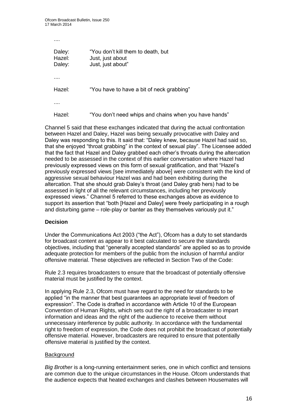Ofcom Broadcast Bulletin, Issue 250 17 March 2014

....

Daley: "You don't kill them to death, but Hazel: **Just, just about** Daley: Just, just about" .... Hazel: "You have to have a bit of neck grabbing" ....

Hazel: "You don't need whips and chains when you have hands"

Channel 5 said that these exchanges indicated that during the actual confrontation between Hazel and Daley, Hazel was being sexually provocative with Daley and Daley was responding to this. It said that: "Daley knew, because Hazel had said so, that she enjoyed "throat grabbing" in the context of sexual play". The Licensee added that the fact that Hazel and Daley grabbed each other's throats during the altercation needed to be assessed in the context of this earlier conversation where Hazel had previously expressed views on this form of sexual gratification, and that "Hazel's previously expressed views [see immediately above] were consistent with the kind of aggressive sexual behaviour Hazel was and had been exhibiting during the altercation. That she should grab Daley's throat (and Daley grab hers) had to be assessed in light of all the relevant circumstances, including her previously expressed views." Channel 5 referred to these exchanges above as evidence to support its assertion that "both [Hazel and Daley] were freely participating in a rough and disturbing game – role-play or banter as they themselves variously put it."

### **Decision**

Under the Communications Act 2003 ("the Act"), Ofcom has a duty to set standards for broadcast content as appear to it best calculated to secure the standards objectives, including that "generally accepted standards" are applied so as to provide adequate protection for members of the public from the inclusion of harmful and/or offensive material. These objectives are reflected in Section Two of the Code:

Rule 2.3 requires broadcasters to ensure that the broadcast of potentially offensive material must be justified by the context.

In applying Rule 2.3, Ofcom must have regard to the need for standards to be applied "in the manner that best guarantees an appropriate level of freedom of expression". The Code is drafted in accordance with Article 10 of the European Convention of Human Rights, which sets out the right of a broadcaster to impart information and ideas and the right of the audience to receive them without unnecessary interference by public authority. In accordance with the fundamental right to freedom of expression, the Code does not prohibit the broadcast of potentially offensive material. However, broadcasters are required to ensure that potentially offensive material is justified by the context.

### **Background**

*Big Brother* is a long-running entertainment series, one in which conflict and tensions are common due to the unique circumstances in the House. Ofcom understands that the audience expects that heated exchanges and clashes between Housemates will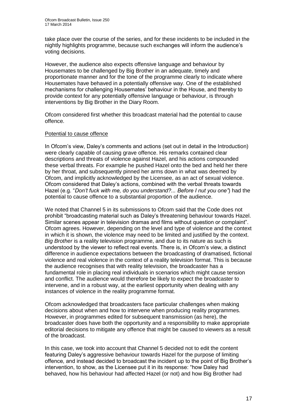take place over the course of the series, and for these incidents to be included in the nightly highlights programme, because such exchanges will inform the audience's voting decisions.

However, the audience also expects offensive language and behaviour by Housemates to be challenged by Big Brother in an adequate, timely and proportionate manner and for the tone of the programme clearly to indicate where Housemates have behaved in a potentially offensive way. One of the established mechanisms for challenging Housemates' behaviour in the House, and thereby to provide context for any potentially offensive language or behaviour, is through interventions by Big Brother in the Diary Room.

Ofcom considered first whether this broadcast material had the potential to cause offence.

### Potential to cause offence

In Ofcom's view, Daley's comments and actions (set out in detail in the Introduction) were clearly capable of causing grave offence. His remarks contained clear descriptions and threats of violence against Hazel, and his actions compounded these verbal threats. For example he pushed Hazel onto the bed and held her there by her throat, and subsequently pinned her arms down in what was deemed by Ofcom, and implicitly acknowledged by the Licensee, as an act of sexual violence. Ofcom considered that Daley's actions, combined with the verbal threats towards Hazel (e.g. "*Don't fuck with me, do you understand?... Before I nut you one"*) had the potential to cause offence to a substantial proportion of the audience.

We noted that Channel 5 in its submissions to Ofcom said that the Code does not prohibit "broadcasting material such as Daley's threatening behaviour towards Hazel. Similar scenes appear in television dramas and films without question or complaint". Ofcom agrees. However, depending on the level and type of violence and the context in which it is shown, the violence may need to be limited and justified by the context. *Big Brother* is a reality television programme, and due to its nature as such is understood by the viewer to reflect real events. There is, in Ofcom's view, a distinct difference in audience expectations between the broadcasting of dramatised, fictional violence and real violence in the context of a reality television format. This is because the audience recognises that with reality television, the broadcaster has a fundamental role in placing real individuals in scenarios which might cause tension and conflict. The audience would therefore be likely to expect the broadcaster to intervene, and in a robust way, at the earliest opportunity when dealing with any instances of violence in the reality programme format.

Ofcom acknowledged that broadcasters face particular challenges when making decisions about when and how to intervene when producing reality programmes. However, in programmes edited for subsequent transmission (as here), the broadcaster does have both the opportunity and a responsibility to make appropriate editorial decisions to mitigate any offence that might be caused to viewers as a result of the broadcast.

In this case, we took into account that Channel 5 decided not to edit the content featuring Daley's aggressive behaviour towards Hazel for the purpose of limiting offence, and instead decided to broadcast the incident up to the point of Big Brother's intervention, to show, as the Licensee put it in its response: "how Daley had behaved, how his behaviour had affected Hazel (or not) and how Big Brother had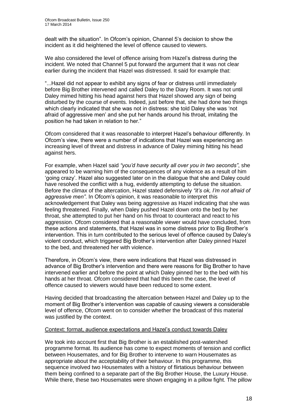dealt with the situation". In Ofcom's opinion, Channel 5's decision to show the incident as it did heightened the level of offence caused to viewers.

We also considered the level of offence arising from Hazel's distress during the incident. We noted that Channel 5 put forward the argument that it was not clear earlier during the incident that Hazel was distressed. It said for example that:

"...Hazel did not appear to exhibit any signs of fear or distress until immediately before Big Brother intervened and called Daley to the Diary Room. It was not until Daley mimed hitting his head against hers that Hazel showed any sign of being disturbed by the course of events. Indeed, just before that, she had done two things which clearly indicated that she was not in distress: she told Daley she was 'not afraid of aggressive men' and she put her hands around his throat, imitating the position he had taken in relation to her."

Ofcom considered that it was reasonable to interpret Hazel's behaviour differently. In Ofcom's view, there were a number of indications that Hazel was experiencing an increasing level of threat and distress in advance of Daley miming hitting his head against hers.

For example, when Hazel said *"you'd have security all over you in two seconds"*, she appeared to be warning him of the consequences of any violence as a result of him 'going crazy'. Hazel also suggested later on in the dialogue that she and Daley could have resolved the conflict with a hug, evidently attempting to defuse the situation. Before the climax of the altercation, Hazel stated defensively *"it's ok, I'm not afraid of aggressive men"*. In Ofcom's opinion, it was reasonable to interpret this acknowledgement that Daley was being aggressive as Hazel indicating that she was feeling threatened. Finally, when Daley pushed Hazel down onto the bed by her throat, she attempted to put her hand on his throat to counteract and react to his aggression. Ofcom considered that a reasonable viewer would have concluded, from these actions and statements, that Hazel was in some distress prior to Big Brother's intervention. This in turn contributed to the serious level of offence caused by Daley's violent conduct, which triggered Big Brother's intervention after Daley pinned Hazel to the bed, and threatened her with violence.

Therefore, in Ofcom's view, there were indications that Hazel was distressed in advance of Big Brother's intervention and there were reasons for Big Brother to have intervened earlier and before the point at which Daley pinned her to the bed with his hands at her throat. Ofcom considered that had this been the case, the level of offence caused to viewers would have been reduced to some extent.

Having decided that broadcasting the altercation between Hazel and Daley up to the moment of Big Brother's intervention was capable of causing viewers a considerable level of offence, Ofcom went on to consider whether the broadcast of this material was justified by the context.

### Context: format, audience expectations and Hazel's conduct towards Daley

We took into account first that Big Brother is an established post-watershed programme format. Its audience has come to expect moments of tension and conflict between Housemates, and for Big Brother to intervene to warn Housemates as appropriate about the acceptability of their behaviour. In this programme, this sequence involved two Housemates with a history of flirtatious behaviour between them being confined to a separate part of the Big Brother House, the Luxury House. While there, these two Housemates were shown engaging in a pillow fight. The pillow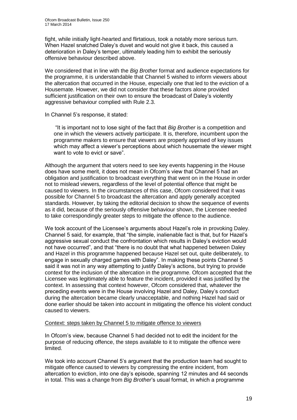fight, while initially light-hearted and flirtatious, took a notably more serious turn. When Hazel snatched Daley's duvet and would not give it back, this caused a deterioration in Daley's temper, ultimately leading him to exhibit the seriously offensive behaviour described above.

We considered that in line with the *Big Brother* format and audience expectations for the programme, it is understandable that Channel 5 wished to inform viewers about the altercation that occurred in the House, especially one that led to the eviction of a Housemate. However, we did not consider that these factors alone provided sufficient justification on their own to ensure the broadcast of Daley's violently aggressive behaviour complied with Rule 2.3.

In Channel 5's response, it stated:

"It is important not to lose sight of the fact that *Big Brother* is a competition and one in which the viewers actively participate. It is, therefore, incumbent upon the programme makers to ensure that viewers are properly apprised of key issues which may affect a viewer's perceptions about which housemate the viewer might want to vote to evict or save".

Although the argument that voters need to see key events happening in the House does have some merit, it does not mean in Ofcom's view that Channel 5 had an obligation and justification to broadcast everything that went on in the House in order not to mislead viewers, regardless of the level of potential offence that might be caused to viewers. In the circumstances of this case, Ofcom considered that it was possible for Channel 5 to broadcast the altercation and apply generally accepted standards. However, by taking the editorial decision to show the sequence of events as it did, because of the seriously offensive behaviour shown, the Licensee needed to take correspondingly greater steps to mitigate the offence to the audience.

We took account of the Licensee's arguments about Hazel's role in provoking Daley. Channel 5 said, for example, that "the simple, inalienable fact is that, but for Hazel's aggressive sexual conduct the confrontation which results in Daley's eviction would not have occurred", and that "there is no doubt that what happened between Daley and Hazel in this programme happened because Hazel set out, quite deliberately, to engage in sexually charged games with Daley". In making these points Channel 5 said it was not in any way attempting to justify Daley's actions, but trying to provide context for the inclusion of the altercation in the programme. Ofcom accepted that the Licensee was legitimately able to feature the incident, provided it was justified by the context. In assessing that context however, Ofcom considered that, whatever the preceding events were in the House involving Hazel and Daley, Daley's conduct during the altercation became clearly unacceptable, and nothing Hazel had said or done earlier should be taken into account in mitigating the offence his violent conduct caused to viewers.

### Context: steps taken by Channel 5 to mitigate offence to viewers

In Ofcom's view, because Channel 5 had decided not to edit the incident for the purpose of reducing offence, the steps available to it to mitigate the offence were limited.

We took into account Channel 5's argument that the production team had sought to mitigate offence caused to viewers by compressing the entire incident, from altercation to eviction, into one day's episode, spanning 12 minutes and 44 seconds in total. This was a change from *Big Brother*'s usual format, in which a programme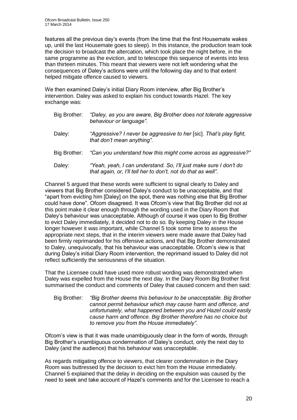features all the previous day's events (from the time that the first Housemate wakes up, until the last Housemate goes to sleep). In this instance, the production team took the decision to broadcast the altercation, which took place the night before, in the same programme as the eviction, and to telescope this sequence of events into less than thirteen minutes. This meant that viewers were not left wondering what the consequences of Daley's actions were until the following day and to that extent helped mitigate offence caused to viewers.

We then examined Daley's initial Diary Room interview, after Big Brother's intervention. Daley was asked to explain his conduct towards Hazel. The key exchange was:

| Big Brother: | "Daley, as you are aware, Big Brother does not tolerate aggressive<br>behaviour or language".                                      |
|--------------|------------------------------------------------------------------------------------------------------------------------------------|
| Daley:       | "Aggressive? I never be aggressive to her [sic]. That's play fight,<br>that don't mean anything".                                  |
| Big Brother: | "Can you understand how this might come across as aggressive?"                                                                     |
| Daley:       | "Yeah, yeah, I can understand. So, I'll just make sure I don't do<br>that again, or, I'll tell her to don't, not do that as well". |

Channel 5 argued that these words were sufficient to signal clearly to Daley and viewers that Big Brother considered Daley's conduct to be unacceptable, and that "apart from evicting him [Daley] on the spot, there was nothing else that Big Brother could have done". Ofcom disagreed. It was Ofcom's view that Big Brother did not at this point make it clear enough through the wording used in the Diary Room that Daley's behaviour was unacceptable. Although of course it was open to Big Brother to evict Daley immediately, it decided not to do so. By keeping Daley in the House longer however it was important, while Channel 5 took some time to assess the appropriate next steps, that in the interim viewers were made aware that Daley had been firmly reprimanded for his offensive actions, and that Big Brother demonstrated to Daley, unequivocally, that his behaviour was unacceptable. Ofcom's view is that during Daley's initial Diary Room intervention, the reprimand issued to Daley did not reflect sufficiently the seriousness of the situation.

That the Licensee could have used more robust wording was demonstrated when Daley was expelled from the House the next day. In the Diary Room Big Brother first summarised the conduct and comments of Daley that caused concern and then said:

Big Brother: *"Big Brother deems this behaviour to be unacceptable. Big Brother cannot permit behaviour which may cause harm and offence, and unfortunately, what happened between you and Hazel could easily cause harm and offence. Big Brother therefore has no choice but to remove you from the House immediately".*

Ofcom's view is that it was made unambiguously clear in the form of words, through Big Brother's unambiguous condemnation of Daley's conduct, only the next day to Daley (and the audience) that his behaviour was unacceptable.

As regards mitigating offence to viewers, that clearer condemnation in the Diary Room was buttressed by the decision to evict him from the House immediately. Channel 5 explained that the delay in deciding on the expulsion was caused by the need to seek and take account of Hazel's comments and for the Licensee to reach a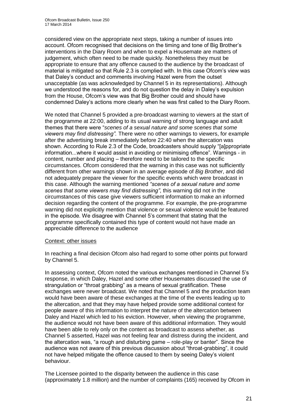considered view on the appropriate next steps, taking a number of issues into account. Ofcom recognised that decisions on the timing and tone of Big Brother's interventions in the Diary Room and when to expel a Housemate are matters of judgement, which often need to be made quickly. Nonetheless they must be appropriate to ensure that any offence caused to the audience by the broadcast of material is mitigated so that Rule 2.3 is complied with. In this case Ofcom's view was that Daley's conduct and comments involving Hazel were from the outset unacceptable (as was acknowledged by Channel 5 in its representations). Although we understood the reasons for, and do not question the delay in Daley's expulsion from the House, Ofcom's view was that Big Brother could and should have condemned Daley's actions more clearly when he was first called to the Diary Room.

We noted that Channel 5 provided a pre-broadcast warning to viewers at the start of the programme at 22:00, adding to its usual warning of strong language and adult themes that there were "*scenes of a sexual nature and some scenes that some viewers may find distressing".* There were no other warnings to viewers, for example after the advertising break immediately before 22:40 when the altercation was shown. According to Rule 2.3 of the Code, broadcasters should supply "[a]ppropriate information...where it would assist in avoiding or minimising offence". Warnings - in content, number and placing – therefore need to be tailored to the specific circumstances. Ofcom considered that the warning in this case was not sufficiently different from other warnings shown in an average episode of *Big Brother*, and did not adequately prepare the viewer for the specific events which were broadcast in this case. Although the warning mentioned *"scenes of a sexual nature and some scenes that some viewers may find distressing"*, this warning did not in the circumstances of this case give viewers sufficient information to make an informed decision regarding the content of the programme. For example, the pre-programme warning did not explicitly mention that violence or sexual violence would be featured in the episode. We disagree with Channel 5's comment that stating that the programme specifically contained this type of content would not have made an appreciable difference to the audience

### Context: other issues

In reaching a final decision Ofcom also had regard to some other points put forward by Channel 5.

In assessing context, Ofcom noted the various exchanges mentioned in Channel 5's response, in which Daley, Hazel and some other Housemates discussed the use of strangulation or "throat grabbing" as a means of sexual gratification. These exchanges were never broadcast. We noted that Channel 5 and the production team would have been aware of these exchanges at the time of the events leading up to the altercation, and that they may have helped provide some additional context for people aware of this information to interpret the nature of the altercation between Daley and Hazel which led to his eviction. However, when viewing the programme, the audience would not have been aware of this additional information. They would have been able to rely only on the content as broadcast to assess whether, as Channel 5 asserted, Hazel was not feeling fear and distress during the incident, and the altercation was, "a rough and disturbing game – role-play or banter". Since the audience was not aware of this previous discussion about "throat-grabbing", it could not have helped mitigate the offence caused to them by seeing Daley's violent behaviour.

The Licensee pointed to the disparity between the audience in this case (approximately 1.8 million) and the number of complaints (165) received by Ofcom in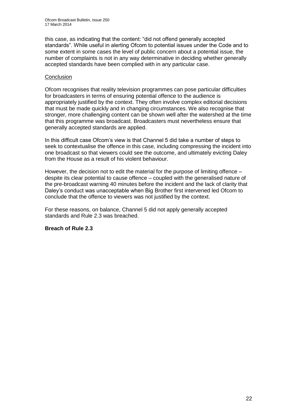this case, as indicating that the content: "did not offend generally accepted standards". While useful in alerting Ofcom to potential issues under the Code and to some extent in some cases the level of public concern about a potential issue, the number of complaints is not in any way determinative in deciding whether generally accepted standards have been complied with in any particular case.

### **Conclusion**

Ofcom recognises that reality television programmes can pose particular difficulties for broadcasters in terms of ensuring potential offence to the audience is appropriately justified by the context. They often involve complex editorial decisions that must be made quickly and in changing circumstances. We also recognise that stronger, more challenging content can be shown well after the watershed at the time that this programme was broadcast. Broadcasters must nevertheless ensure that generally accepted standards are applied.

In this difficult case Ofcom's view is that Channel 5 did take a number of steps to seek to contextualise the offence in this case, including compressing the incident into one broadcast so that viewers could see the outcome, and ultimately evicting Daley from the House as a result of his violent behaviour.

However, the decision not to edit the material for the purpose of limiting offence – despite its clear potential to cause offence – coupled with the generalised nature of the pre-broadcast warning 40 minutes before the incident and the lack of clarity that Daley's conduct was unacceptable when Big Brother first intervened led Ofcom to conclude that the offence to viewers was not justified by the context.

For these reasons, on balance, Channel 5 did not apply generally accepted standards and Rule 2.3 was breached.

### **Breach of Rule 2.3**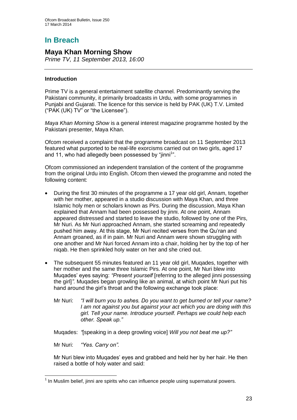# **In Breach**

### **Maya Khan Morning Show**

*Prime TV, 11 September 2013, 16:00*

### **Introduction**

Prime TV is a general entertainment satellite channel. Predominantly serving the Pakistani community, it primarily broadcasts in Urdu, with some programmes in Punjabi and Gujarati. The licence for this service is held by PAK (UK) T.V. Limited ("PAK (UK) TV" or "the Licensee").

*Maya Khan Morning Show* is a general interest magazine programme hosted by the Pakistani presenter, Maya Khan.

Ofcom received a complaint that the programme broadcast on 11 September 2013 featured what purported to be real-life exorcisms carried out on two girls, aged 17 and 11, who had allegedly been possessed by "jinni<sup>1</sup>".

Ofcom commissioned an independent translation of the content of the programme from the original Urdu into English. Ofcom then viewed the programme and noted the following content:

- During the first 30 minutes of the programme a 17 year old girl, Annam, together with her mother, appeared in a studio discussion with Maya Khan, and three Islamic holy men or scholars known as Pirs. During the discussion, Maya Khan explained that Annam had been possessed by jinni. At one point, Annam appeared distressed and started to leave the studio, followed by one of the Pirs, Mr Nuri. As Mr Nuri approached Annam, she started screaming and repeatedly pushed him away. At this stage, Mr Nuri recited verses from the Qu'ran and Annam groaned, as if in pain. Mr Nuri and Annam were shown struggling with one another and Mr Nuri forced Annam into a chair, holding her by the top of her niqab. He then sprinkled holy water on her and she cried out.
- The subsequent 55 minutes featured an 11 year old girl, Muqades, together with her mother and the same three Islamic Pirs. At one point, Mr Nuri blew into Muqades' eyes saying: *"Present yourself* [referring to the alleged jinni possessing the girl]*".* Muqades began growling like an animal, at which point Mr Nuri put his hand around the girl's throat and the following exchange took place:
	- Mr Nuri: *"I will burn you to ashes. Do you want to get burned or tell your name? I am not against you but against your act which you are doing with this girl. Tell your name. Introduce yourself. Perhaps we could help each other. Speak up."*

Muqades: *"*[speaking in a deep growling voice] *Will you not beat me up?"*

Mr Nuri: *"Yes. Carry on".*

Mr Nuri blew into Muqades' eyes and grabbed and held her by her hair. He then raised a bottle of holy water and said:

<sup>1</sup>  $<sup>1</sup>$  In Muslim belief, jinni are spirits who can influence people using supernatural powers.</sup>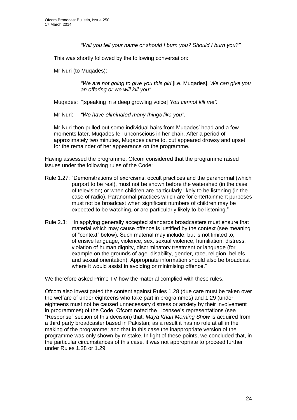*"Will you tell your name or should I burn you? Should I burn you?"*

This was shortly followed by the following conversation:

Mr Nuri (to Muqades):

*"We are not going to give you this girl* [i.e. Muqades]. *We can give you an offering or we will kill you".*

Muqades: *"*[speaking in a deep growling voice] *You cannot kill me".*

Mr Nuri: *"We have eliminated many things like you"*.

Mr Nuri then pulled out some individual hairs from Muqades' head and a few moments later, Muqades fell unconscious in her chair. After a period of approximately two minutes, Muqades came to, but appeared drowsy and upset for the remainder of her appearance on the programme.

Having assessed the programme, Ofcom considered that the programme raised issues under the following rules of the Code:

- Rule 1.27: "Demonstrations of exorcisms, occult practices and the paranormal (which purport to be real), must not be shown before the watershed (in the case of television) or when children are particularly likely to be listening (in the case of radio). Paranormal practices which are for entertainment purposes must not be broadcast when significant numbers of children may be expected to be watching, or are particularly likely to be listening."
- Rule 2.3: "In applying generally accepted standards broadcasters must ensure that material which may cause offence is justified by the context (see meaning of "context" below). Such material may include, but is not limited to, offensive language, violence, sex, sexual violence, humiliation, distress, violation of human dignity, discriminatory treatment or language (for example on the grounds of age, disability, gender, race, religion, beliefs and sexual orientation). Appropriate information should also be broadcast where it would assist in avoiding or minimising offence."

We therefore asked Prime TV how the material complied with these rules.

Ofcom also investigated the content against Rules 1.28 (due care must be taken over the welfare of under eighteens who take part in programmes) and 1.29 (under eighteens must not be caused unnecessary distress or anxiety by their involvement in programmes) of the Code. Ofcom noted the Licensee's representations (see "Response" section of this decision) that: *Maya Khan Morning Show* is acquired from a third party broadcaster based in Pakistan; as a result it has no role at all in the making of the programme; and that in this case the inappropriate version of the programme was only shown by mistake. In light of these points, we concluded that, in the particular circumstances of this case, it was not appropriate to proceed further under Rules 1.28 or 1.29.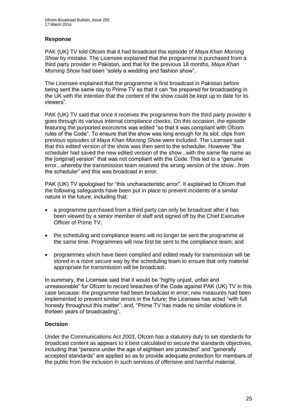### **Response**

PAK (UK) TV told Ofcom that it had broadcast this episode of *Maya Khan Morning Show* by mistake. The Licensee explained that the programme is purchased from a third party provider in Pakistan, and that for the previous 18 months, *Maya Khan Morning Show* had been "solely a wedding and fashion show".

The Licensee explained that the programme is first broadcast in Pakistan before being sent the same day to Prime TV so that it can "be prepared for broadcasting in the UK with the intention that the content of the show could be kept up to date for its viewers".

PAK (UK) TV said that once it receives the programme from the third party provider it goes through its various internal compliance checks. On this occasion, the episode featuring the purported exorcisms was edited "so that it was compliant with Ofcom rules of the Code". To ensure that the show was long enough for its slot, clips from previous episodes of *Maya Khan Morning Show* were included. The Licensee said that this edited version of the show was then sent to the scheduler. However "the scheduler had saved the new edited version of the show...with the same file name as the [original] version" that was not compliant with the Code. This led to a "genuine error...whereby the transmission team received the wrong version of the show...from the scheduler" and this was broadcast in error.

PAK (UK) TV apologised for "this uncharacteristic error". It explained to Ofcom that the following safeguards have been put in place to prevent incidents of a similar nature in the future, including that:

- a programme purchased from a third party can only be broadcast after it has been viewed by a senior member of staff and signed off by the Chief Executive Officer of Prime TV;
- the scheduling and compliance teams will no longer be sent the programme at the same time. Programmes will now first be sent to the compliance team; and
- programmes which have been complied and edited ready for transmission will be stored in a more secure way by the scheduling team to ensure that only material appropriate for transmission will be broadcast.

In summary, the Licensee said that it would be "highly unjust, unfair and unreasonable" for Ofcom to record breaches of the Code against PAK (UK) TV in this case because: the programme had been broadcast in error; new measures had been implemented to prevent similar errors in the future; the Licensee has acted "with full honesty throughout this matter"; and, "Prime TV has made no similar violations in thirteen years of broadcasting".

### **Decision**

Under the Communications Act 2003, Ofcom has a statutory duty to set standards for broadcast content as appears to it best calculated to secure the standards objectives, including that "persons under the age of eighteen are protected" and "generally accepted standards" are applied so as to provide adequate protection for members of the public from the inclusion in such services of offensive and harmful material.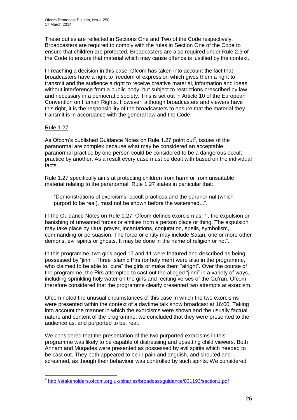These duties are reflected in Sections One and Two of the Code respectively. Broadcasters are required to comply with the rules in Section One of the Code to ensure that children are protected. Broadcasters are also required under Rule 2.3 of the Code to ensure that material which may cause offence is justified by the context.

In reaching a decision in this case, Ofcom has taken into account the fact that broadcasters have a right to freedom of expression which gives them a right to transmit and the audience a right to receive creative material, information and ideas without interference from a public body, but subject to restrictions prescribed by law and necessary in a democratic society. This is set out in Article 10 of the European Convention on Human Rights. However, although broadcasters and viewers have this right, it is the responsibility of the broadcasters to ensure that the material they transmit is in accordance with the general law and the Code.

### Rule 1.27

As Ofcom's published Guidance Notes on Rule 1.27 point out<sup>2</sup>, issues of the paranormal are complex because what may be considered an acceptable paranormal practice by one person could be considered to be a dangerous occult practice by another. As a result every case must be dealt with based on the individual facts.

Rule 1.27 specifically aims at protecting children from harm or from unsuitable material relating to the paranormal. Rule 1.27 states in particular that:

"Demonstrations of exorcisms, occult practices and the paranormal (which purport to be real), must not be shown before the watershed...".

In the Guidance Notes on Rule 1.27, Ofcom defines exorcism as: "...the expulsion or banishing of unwanted forces or entities from a person place or thing. The expulsion may take place by ritual prayer, incantations, conjuration, spells, symbolism, commanding or persuasion. The force or entity may include Satan, one or more other demons, evil spirits or ghosts. It may be done in the name of religion or not".

In this programme, two girls aged 17 and 11 were featured and described as being possessed by "jinni". Three Islamic Pirs (or holy men) were also in the programme, who claimed to be able to "cure" the girls or make them "alright". Over the course of the programme, the Pirs attempted to cast out the alleged "jinni" in a variety of ways, including sprinkling holy water on the girls and reciting verses of the Qu'ran. Ofcom therefore considered that the programme clearly presented two attempts at exorcism.

Ofcom noted the unusual circumstances of this case in which the two exorcisms were presented within the context of a daytime talk show broadcast at 16:00. Taking into account the manner in which the exorcisms were shown and the usually factual nature and content of the programme, we concluded that they were presented to the audience as, and purported to be, real.

We considered that the presentation of the two purported exorcisms in this programme was likely to be capable of distressing and upsetting child viewers. Both Annam and Muqades were presented as possessed by evil spirits which needed to be cast out. They both appeared to be in pain and anguish, and shouted and screamed, as though their behaviour was controlled by such spirits. We considered

 2 <http://stakeholders.ofcom.org.uk/binaries/broadcast/guidance/831193/section1.pdf>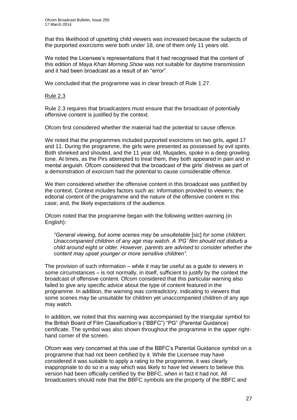that this likelihood of upsetting child viewers was increased because the subjects of the purported exorcisms were both under 18, one of them only 11 years old.

We noted the Licensee's representations that it had recognised that the content of this edition of *Maya Khan Morning Show* was not suitable for daytime transmission and it had been broadcast as a result of an "error".

We concluded that the programme was in clear breach of Rule 1.27.

### Rule 2.3

Rule 2.3 requires that broadcasters must ensure that the broadcast of potentially offensive content is justified by the context.

Ofcom first considered whether the material had the potential to cause offence.

We noted that the programmes included purported exorcisms on two girls, aged 17 and 11. During the programme, the girls were presented as possessed by evil spirits. Both shrieked and shouted, and the 11 year old, Muqades, spoke in a deep growling tone. At times, as the Pirs attempted to treat them, they both appeared in pain and in mental anguish. Ofcom considered that the broadcast of the girls' distress as part of a demonstration of exorcism had the potential to cause considerable offence.

We then considered whether the offensive content in this broadcast was justified by the context. Context includes factors such as: information provided to viewers; the editorial content of the programme and the nature of the offensive content in this case; and, the likely expectations of the audience.

Ofcom noted that the programme began with the following written warning (in English):

*"General viewing, but some scenes may be unsuitetable* [sic] *for some children. Unaccompanied children of any age may watch. A 'PG' film should not disturb a child around eight or older. However, parents are advised to consider whether the content may upset younger or more sensitive children"*.

The provision of such information – while it may be useful as a guide to viewers in some circumstances – is not normally, in itself, sufficient to justify by the context the broadcast of offensive content. Ofcom considered that this particular warning also failed to give any specific advice about the type of content featured in the programme. In addition, the warning was contradictory, indicating to viewers that some scenes may be unsuitable for children yet unaccompanied children of any age may watch.

In addition, we noted that this warning was accompanied by the triangular symbol for the British Board of Film Classification's ("BBFC") "PG" (Parental Guidance) certificate. The symbol was also shown throughout the programme in the upper righthand corner of the screen.

Ofcom was very concerned at this use of the BBFC's Parental Guidance symbol on a programme that had not been certified by it. While the Licensee may have considered it was suitable to apply a rating to the programme, it was clearly inappropriate to do so in a way which was likely to have led viewers to believe this version had been officially certified by the BBFC, when in fact it had not. All broadcasters should note that the BBFC symbols are the property of the BBFC and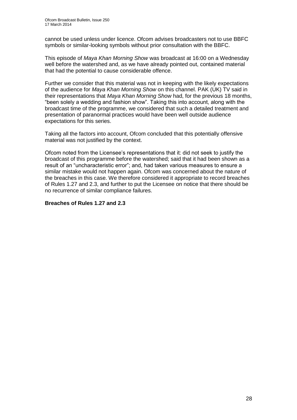cannot be used unless under licence. Ofcom advises broadcasters not to use BBFC symbols or similar-looking symbols without prior consultation with the BBFC.

This episode of *Maya Khan Morning Show* was broadcast at 16:00 on a Wednesday well before the watershed and, as we have already pointed out, contained material that had the potential to cause considerable offence.

Further we consider that this material was not in keeping with the likely expectations of the audience for *Maya Khan Morning Show* on this channel. PAK (UK) TV said in their representations that *Maya Khan Morning Show* had, for the previous 18 months, "been solely a wedding and fashion show". Taking this into account, along with the broadcast time of the programme, we considered that such a detailed treatment and presentation of paranormal practices would have been well outside audience expectations for this series.

Taking all the factors into account, Ofcom concluded that this potentially offensive material was not justified by the context.

Ofcom noted from the Licensee's representations that it: did not seek to justify the broadcast of this programme before the watershed; said that it had been shown as a result of an "uncharacteristic error"; and, had taken various measures to ensure a similar mistake would not happen again. Ofcom was concerned about the nature of the breaches in this case. We therefore considered it appropriate to record breaches of Rules 1.27 and 2.3, and further to put the Licensee on notice that there should be no recurrence of similar compliance failures.

### **Breaches of Rules 1.27 and 2.3**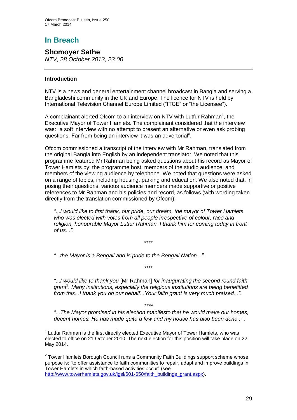# **In Breach**

**Shomoyer Sathe** *NTV, 28 October 2013, 23:00*

### **Introduction**

NTV is a news and general entertainment channel broadcast in Bangla and serving a Bangladeshi community in the UK and Europe. The licence for NTV is held by International Television Channel Europe Limited ("ITCE" or "the Licensee").

A complainant alerted Ofcom to an interview on NTV with Lutfur Rahman<sup>1</sup>, the Executive Mayor of Tower Hamlets. The complainant considered that the interview was: "a soft interview with no attempt to present an alternative or even ask probing questions. Far from being an interview it was an advertorial".

Ofcom commissioned a transcript of the interview with Mr Rahman, translated from the original Bangla into English by an independent translator. We noted that this programme featured Mr Rahman being asked questions about his record as Mayor of Tower Hamlets by: the programme host; members of the studio audience; and members of the viewing audience by telephone. We noted that questions were asked on a range of topics, including housing, parking and education. We also noted that, in posing their questions, various audience members made supportive or positive references to Mr Rahman and his policies and record, as follows (with wording taken directly from the translation commissioned by Ofcom):

*"*...*I would like to first thank, our pride, our dream, the mayor of Tower Hamlets who was elected with votes from all people irrespective of colour, race and religion, honourable Mayor Lutfur Rahman. I thank him for coming today in front of us*...*"*.

\*\*\*\*

\*\*\*\*

*"*...*the Mayor is a Bengali and is pride to the Bengali Nation*...*"*.

*"*...*I would like to thank you* [Mr Rahman] *for inaugurating the second round faith*  grant<sup>2</sup>. Many institutions, especially the religious institutions are being benefitted *from this...I thank you on our behalf...Your faith grant is very much praised...".*

*"*...*The Mayor promised in his election manifesto that he would make our homes, decent homes. He has made quite a few and my house has also been done...".*

*\*\*\*\**

 $2$  Tower Hamlets Borough Council runs a Community Faith Buildings support scheme whose purpose is: "to offer assistance to faith communities to repair, adapt and improve buildings in Tower Hamlets in which faith-based activities occur" (see [http://www.towerhamlets.gov.uk/lgsl/601-650/faith\\_buildings\\_grant.aspx\)](http://www.towerhamlets.gov.uk/lgsl/601-650/faith_buildings_grant.aspx).

<sup>1</sup>  $1$  Lutfur Rahman is the first directly elected Executive Mayor of Tower Hamlets, who was elected to office on 21 October 2010. The next election for this position will take place on 22 May 2014.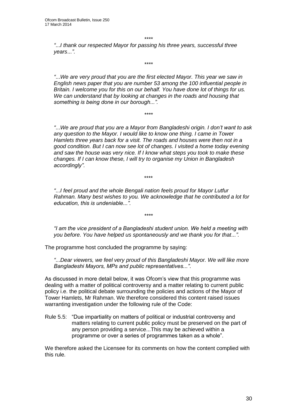*\*\*\*\**

*\*\*\*\**

*"*...*I thank our respected Mayor for passing his three years, successful three years*...*"*.

*"*...*We are very proud that you are the first elected Mayor. This year we saw in English news paper that you are number 53 among the 100 influential people in Britain. I welcome you for this on our behalf. You have done lot of things for us. We can understand that by looking at changes in the roads and housing that something is being done in our borough...".*

*\*\*\*\**

*"*...*We are proud that you are a Mayor from Bangladeshi origin. I don't want to ask any question to the Mayor. I would like to know one thing. I came in Tower Hamlets three years back for a visit. The roads and houses were then not in a good condition. But I can now see lot of changes. I visited a home today evening and saw the house was very nice. If I know what steps you took to make these changes. If I can know these, I will try to organise my Union in Bangladesh accordingly"*.

*"*...*I feel proud and the whole Bengali nation feels proud for Mayor Lutfur Rahman. Many best wishes to you. We acknowledge that he contributed a lot for education, this is undeniable...".*

\*\*\*\*

*"I am the vice president of a Bangladeshi student union. We held a meeting with you before. You have helped us spontaneously and we thank you for that...".*

*\*\*\*\**

The programme host concluded the programme by saying:

*"*...*Dear viewers, we feel very proud of this Bangladeshi Mayor. We will like more Bangladeshi Mayors, MPs and public representatives..."*.

As discussed in more detail below, it was Ofcom's view that this programme was dealing with a matter of political controversy and a matter relating to current public policy i.e. the political debate surrounding the policies and actions of the Mayor of Tower Hamlets, Mr Rahman. We therefore considered this content raised issues warranting investigation under the following rule of the Code:

Rule 5.5: "Due impartiality on matters of political or industrial controversy and matters relating to current public policy must be preserved on the part of any person providing a service...This may be achieved within a programme or over a series of programmes taken as a whole".

We therefore asked the Licensee for its comments on how the content complied with this rule.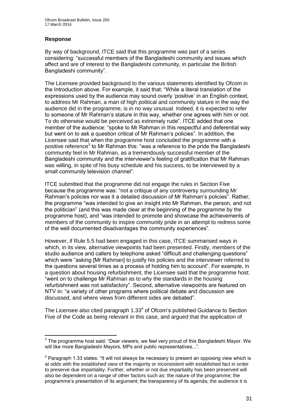### **Response**

1

By way of background, ITCE said that this programme was part of a series considering: "successful members of the Bangladeshi community and issues which affect and are of interest to the Bangladeshi community, in particular the British Bangladeshi community".

The Licensee provided background to the various statements identified by Ofcom in the Introduction above. For example, it said that: "While a literal translation of the expressions used by the audience may sound overly 'positive' in an English context, to address Mr Rahman, a man of high political and community stature in the way the audience did in the programme, is in no way unusual. Indeed, it is expected to refer to someone of Mr Rahman's stature in this way, whether one agrees with him or not. To do otherwise would be perceived as extremely rude". ITCE added that one member of the audience: "spoke to Mr Rahman in this respectful and deferential way but went on to ask a question critical of Mr Rahman's policies". In addition, the Licensee said that when the programme host concluded the programme with a positive reference<sup>3</sup> to Mr Rahman this: "was a reference to the pride the Bangladeshi community feel in Mr Rahman, as a tremendously successful member of the Bangladeshi community and the interviewer's feeling of gratification that Mr Rahman was willing, in spite of his busy schedule and his success, to be interviewed by a small community television channel".

ITCE submitted that the programme did not engage the rules in Section Five because the programme was: "not a critique of any controversy surrounding Mr Rahman's policies nor was it a detailed discussion of Mr Rahman's policies". Rather, the programme "was intended to give an insight into Mr Rahman, the person, and not the politician" (and this was made clear at the beginning of the programme by the programme host), and "was intended to promote and showcase the achievements of members of the community to inspire community pride in an attempt to redress some of the well documented disadvantages the community experiences".

However, if Rule 5.5 had been engaged in this case, ITCE summarised ways in which, in its view, alternative viewpoints had been presented. Firstly, members of the studio audience and callers by telephone asked "difficult and challenging questions" which were "asking [Mr Rahman] to justify his policies and the interviewer referred to the questions several times as a process of holding him to account". For example, in a question about housing refurbishment, the Licensee said that the programme host: "went on to challenge Mr Rahman as to *why* the standards in the housing refurbishment was not satisfactory". Second, alternative viewpoints are featured on NTV in: "a variety of other programs where political debate and discussion are discussed, and where views from different sides are debated".

The Licensee also cited paragraph  $1.33<sup>4</sup>$  of Ofcom's published Guidance to Section Five of the Code as being relevant in this case, and argued that the application of

 $3$  The programme host said: "Dear viewers, we feel very proud of this Bangladeshi Mayor. We will like more Bangladeshi Mayors, MPs and public representatives...".

 $<sup>4</sup>$  Paragraph 1.33 states: "It will not always be necessary to present an opposing view which is</sup> at odds with the established view of the majority or inconsistent with established fact in order to preserve due impartiality. Further, whether or not due impartiality has been preserved will also be dependent on a range of other factors such as: the nature of the programme; the programme's presentation of its argument; the transparency of its agenda; the audience it is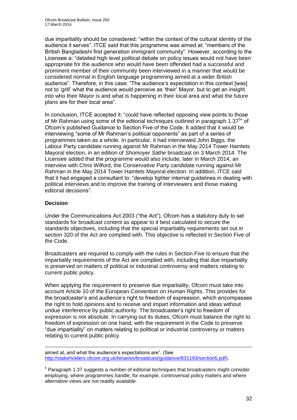due impartiality should be considered: "within the context of the cultural identity of the audience it serves". ITCE said that this programme was aimed at: "members of the British Bangladeshi first generation immigrant community". However, according to the Licensee a: "detailed high level political debate on policy issues would not have been appropriate for the audience who would have been offended had a successful and prominent member of their community been interviewed in a manner that would be considered normal in English language programming aimed at a wider British audience". Therefore, in this case: "The audience's expectation in this context [was] not to 'grill' what the audience would perceive as 'their' Mayor, but to get an insight into who their Mayor is and what is happening in their local area and what the future plans are for their local area".

In conclusion, ITCE accepted it: "could have reflected opposing view points to those of Mr Rahman using some of the editorial techniques outlined in paragraph 1.37<sup>5</sup>" of Ofcom's published Guidance to Section Five of the Code. It added that it would be interviewing "some of Mr Rahman's political opponents" as part of a series of programmes taken as a whole. In particular, it had interviewed John Biggs, the Labour Party candidate running against Mr Rahman in the May 2014 Tower Hamlets Mayoral election, in an edition of *Shomoyer Sathe* broadcast on 3 March 2014. The Licensee added that the programme would also include, later in March 2014, an interview with Chris Wilford, the Conservative Party candidate running against Mr Rahman in the May 2014 Tower Hamlets Mayoral election. In addition, ITCE said that it had engaged a consultant to: "develop tighter internal guidelines in dealing with political interviews and to improve the training of interviewers and those making editorial decisions".

### **Decision**

1

Under the Communications Act 2003 ("the Act"), Ofcom has a statutory duty to set standards for broadcast content as appear to it best calculated to secure the standards objectives, including that the special impartiality requirements set out in section 320 of the Act are complied with. This objective is reflected in Section Five of the Code.

Broadcasters are required to comply with the rules in Section Five to ensure that the impartiality requirements of the Act are complied with, including that due impartiality is preserved on matters of political or industrial controversy and matters relating to current public policy.

When applying the requirement to preserve due impartiality, Ofcom must take into account Article 10 of the European Convention on Human Rights. This provides for the broadcaster's and audience's right to freedom of expression, which encompasses the right to hold opinions and to receive and impart information and ideas without undue interference by public authority. The broadcaster's right to freedom of expression is not absolute. In carrying out its duties, Ofcom must balance the right to freedom of expression on one hand, with the requirement in the Code to preserve "due impartiality" on matters relating to political or industrial controversy or matters relating to current public policy.

aimed at, and what the audience's expectations are". (See [http://stakeholders.ofcom.org.uk/binaries/broadcast/guidance/831193/section5.pdf\)](http://stakeholders.ofcom.org.uk/binaries/broadcast/guidance/831193/section5.pdf).

 $5$  Paragraph 1.37 suggests a number of editorial techniques that broadcasters might consider employing, where programmes handle, for example, controversial policy matters and where alternative views are not readily available.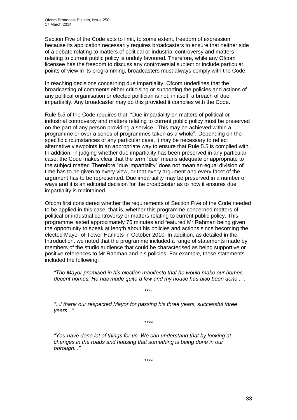Section Five of the Code acts to limit, to some extent, freedom of expression because its application necessarily requires broadcasters to ensure that neither side of a debate relating to matters of political or industrial controversy and matters relating to current public policy is unduly favoured. Therefore, while any Ofcom licensee has the freedom to discuss any controversial subject or include particular points of view in its programming, broadcasters must always comply with the Code.

In reaching decisions concerning due impartiality, Ofcom underlines that the broadcasting of comments either criticising or supporting the policies and actions of any political organisation or elected politician is not, in itself, a breach of due impartiality. Any broadcaster may do this provided it complies with the Code.

Rule 5.5 of the Code requires that: "Due impartiality on matters of political or industrial controversy and matters relating to current public policy must be preserved on the part of any person providing a service...This may be achieved within a programme or over a series of programmes taken as a whole". Depending on the specific circumstances of any particular case, it may be necessary to reflect alternative viewpoints in an appropriate way to ensure that Rule 5.5 is complied with. In addition, in judging whether due impartiality has been preserved in any particular case, the Code makes clear that the term "due" means adequate or appropriate to the subject matter. Therefore "due impartiality" does not mean an equal division of time has to be given to every view, or that every argument and every facet of the argument has to be represented. Due impartiality may be preserved in a number of ways and it is an editorial decision for the broadcaster as to how it ensures due impartiality is maintained.

Ofcom first considered whether the requirements of Section Five of the Code needed to be applied in this case: that is, whether this programme concerned matters of political or industrial controversy or matters relating to current public policy. This programme lasted approximately 75 minutes and featured Mr Rahman being given the opportunity to speak at length about his policies and actions since becoming the elected Mayor of Tower Hamlets in October 2010. In addition, as detailed in the Introduction, we noted that the programme included a range of statements made by members of the studio audience that could be characterised as being supportive or positive references to Mr Rahman and his policies. For example, these statements included the following:

*"The Mayor promised in his election manifesto that he would make our homes, decent homes. He has made quite a few and my house has also been done...".*

*\*\*\*\**

*"*...*I thank our respected Mayor for passing his three years, successful three years*...*"*.

*\*\*\*\**

*"You have done lot of things for us. We can understand that by looking at changes in the roads and housing that something is being done in our borough...".*

*\*\*\*\**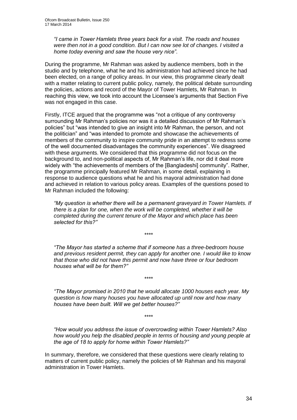*"I came in Tower Hamlets three years back for a visit. The roads and houses were then not in a good condition. But I can now see lot of changes. I visited a home today evening and saw the house very nice"*.

During the programme, Mr Rahman was asked by audience members, both in the studio and by telephone, what he and his administration had achieved since he had been elected, on a range of policy areas. In our view, this programme clearly dealt with a matter relating to current public policy, namely, the political debate surrounding the policies, actions and record of the Mayor of Tower Hamlets, Mr Rahman. In reaching this view, we took into account the Licensee's arguments that Section Five was not engaged in this case.

Firstly, ITCE argued that the programme was "not a critique of any controversy surrounding Mr Rahman's policies nor was it a detailed discussion of Mr Rahman's policies" but "was intended to give an insight into Mr Rahman, the person, and not the politician" and "was intended to promote and showcase the achievements of members of the community to inspire community pride in an attempt to redress some of the well documented disadvantages the community experiences". We disagreed with these arguments. We considered that this programme did not focus on the background to, and non-political aspects of, Mr Rahman's life, nor did it deal more widely with "the achievements of members of the [Bangladeshi] community". Rather, the programme principally featured Mr Rahman, in some detail, explaining in response to audience questions what he and his mayoral administration had done and achieved in relation to various policy areas. Examples of the questions posed to Mr Rahman included the following:

*"My question is whether there will be a permanent graveyard in Tower Hamlets. If there is a plan for one, when the work will be completed, whether it will be completed during the current tenure of the Mayor and which place has been selected for this?"* 

*\*\*\*\**

*"The Mayor has started a scheme that if someone has a three-bedroom house and previous resident permit, they can apply for another one. I would like to know that those who did not have this permit and now have three or four bedroom houses what will be for them?"*

*"The Mayor promised in 2010 that he would allocate 1000 houses each year. My question is how many houses you have allocated up until now and how many houses have been built. Will we get better houses?"*

*\*\*\*\**

*\*\*\*\**

*"How would you address the issue of overcrowding within Tower Hamlets? Also how would you help the disabled people in terms of housing and young people at the age of 18 to apply for home within Tower Hamlets?"*

In summary, therefore, we considered that these questions were clearly relating to matters of current public policy, namely the policies of Mr Rahman and his mayoral administration in Tower Hamlets.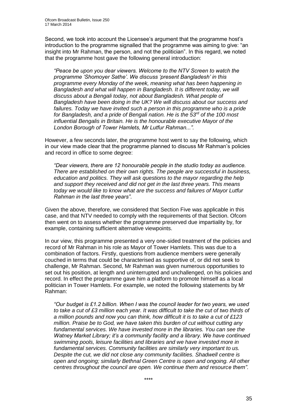Second, we took into account the Licensee's argument that the programme host's introduction to the programme signalled that the programme was aiming to give: "an insight into Mr Rahman, the person, and not the politician". In this regard, we noted that the programme host gave the following general introduction:

*"Peace be upon you dear viewers. Welcome to the NTV Screen to watch the programme 'Shomoyer Sathe'. We discuss 'present Bangladesh' in this programme every Monday of the week, meaning what has been happening in Bangladesh and what will happen in Bangladesh. It is different today, we will discuss about a Bengali today, not about Bangladesh. What people of Bangladesh have been doing in the UK? We will discuss about our success and*  failures. Today we have invited such a person in this programme who is a pride *for Bangladesh, and a pride of Bengali nation. He is the 53rd of the 100 most influential Bengalis in Britain. He is the honourable executive Mayor of the London Borough of Tower Hamlets, Mr Lutfur Rahman...".*

However, a few seconds later, the programme host went to say the following, which in our view made clear that the programme planned to discuss Mr Rahman's policies and record in office to some degree:

*"Dear viewers, there are 12 honourable people in the studio today as audience. There are established on their own rights. The people are successful in business, education and politics. They will ask questions to the mayor regarding the help and support they received and did not get in the last three years. This means today we would like to know what are the success and failures of Mayor Lutfur Rahman in the last three years"*.

Given the above, therefore, we considered that Section Five was applicable in this case, and that NTV needed to comply with the requirements of that Section. Ofcom then went on to assess whether the programme preserved due impartiality by, for example, containing sufficient alternative viewpoints.

In our view, this programme presented a very one-sided treatment of the policies and record of Mr Rahman in his role as Mayor of Tower Hamlets. This was due to a combination of factors. Firstly, questions from audience members were generally couched in terms that could be characterised as supportive of, or did not seek to challenge, Mr Rahman. Second, Mr Rahman was given numerous opportunities to set out his position, at length and uninterrupted and unchallenged, on his policies and record. In effect the programme gave him a platform to promote himself as a local politician in Tower Hamlets. For example, we noted the following statements by Mr Rahman:

*"Our budget is £1.2 billion. When I was the council leader for two years, we used to take a cut of £3 million each year. It was difficult to take the cut of two thirds of a million pounds and now you can think, how difficult it is to take a cut of £123 million. Praise be to God, we have taken this burden of cut without cutting any fundamental services. We have invested more in the libraries. You can see the Watney Market Library; it's a community facility and a library. We have continued swimming pools, leisure facilities and libraries and we have invested more in fundamental services. Community facilities are similarly very important to us. Despite the cut, we did not close any community facilities. Shadwell centre is open and ongoing; similarly Bethnal Green Centre is open and ongoing. All other centres throughout the council are open. We continue them and resource them"*.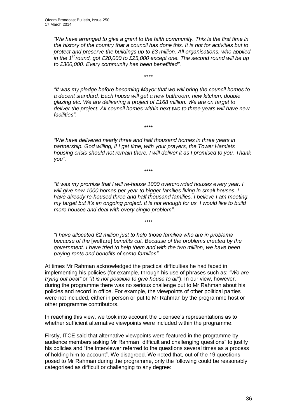*"We have arranged to give a grant to the faith community. This is the first time in the history of the country that a council has done this. It is not for activities but to protect and preserve the buildings up to £3 million. All organisations, who applied in the 1st round, got £20,000 to £25,000 except one. The second round will be up to £300,000. Every community has been benefitted"*.

\*\*\*\*

*"It was my pledge before becoming Mayor that we will bring the council homes to a decent standard. Each house will get a new bathroom, new kitchen, double glazing etc. We are delivering a project of £168 million. We are on target to deliver the project. All council homes within next two to three years will have new facilities"*.

*"We have delivered nearly three and half thousand homes in three years in partnership. God willing, if I get time, with your prayers, the Tower Hamlets housing crisis should not remain there. I will deliver it as I promised to you. Thank you"*.

\*\*\*\*

\*\*\*\*

*"It was my promise that I will re-house 1000 overcrowded houses every year. I will give new 1000 homes per year to bigger families living in small houses. I have already re-housed three and half thousand families. I believe I am meeting my target but it's an ongoing project. It is not enough for us. I would like to build more houses and deal with every single problem"*.

*"I have allocated £2 million just to help those families who are in problems because of the* [welfare] *benefits cut. Because of the problems created by the government. I have tried to help them and with the two million, we have been paying rents and benefits of some families"*.

\*\*\*\*

At times Mr Rahman acknowledged the practical difficulties he had faced in implementing his policies (for example, through his use of phrases such as: *"We are trying out best"* or *"It is not possible to give house to all"*). In our view, however, during the programme there was no serious challenge put to Mr Rahman about his policies and record in office. For example, the viewpoints of other political parties were not included, either in person or put to Mr Rahman by the programme host or other programme contributors.

In reaching this view, we took into account the Licensee's representations as to whether sufficient alternative viewpoints were included within the programme.

Firstly, ITCE said that alternative viewpoints were featured in the programme by audience members asking Mr Rahman "difficult and challenging questions" to justify his policies and "the interviewer referred to the questions several times as a process of holding him to account". We disagreed. We noted that, out of the 19 questions posed to Mr Rahman during the programme, only the following could be reasonably categorised as difficult or challenging to any degree: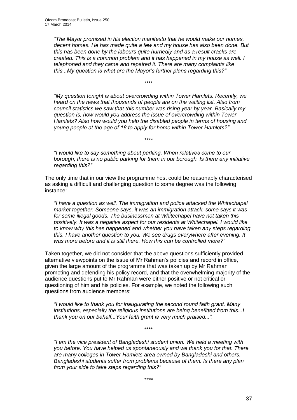*"The Mayor promised in his election manifesto that he would make our homes, decent homes. He has made quite a few and my house has also been done. But this has been done by the labours quite hurriedly and as a result cracks are created. This is a common problem and it has happened in my house as well. I telephoned and they came and repaired it. There are many complaints like this...My question is what are the Mayor's further plans regarding this?"*

*"My question tonight is about overcrowding within Tower Hamlets. Recently, we heard on the news that thousands of people are on the waiting list. Also from council statistics we saw that this number was rising year by year. Basically my question is, how would you address the issue of overcrowding within Tower Hamlets? Also how would you help the disabled people in terms of housing and young people at the age of 18 to apply for home within Tower Hamlets?"*

\*\*\*\*

*"I would like to say something about parking. When relatives come to our borough, there is no public parking for them in our borough. Is there any initiative regarding this?"*

*\*\*\*\**

The only time that in our view the programme host could be reasonably characterised as asking a difficult and challenging question to some degree was the following instance:

*"I have a question as well. The immigration and police attacked the Whitechapel market together. Someone says, it was an immigration attack, some says it was for some illegal goods. The businessmen at Whitechapel have not taken this positively. It was a negative aspect for our residents at Whitechapel. I would like to know why this has happened and whether you have taken any steps regarding this. I have another question to you. We see drugs everywhere after evening. It was more before and it is still there. How this can be controlled more?"*

Taken together, we did not consider that the above questions sufficiently provided alternative viewpoints on the issue of Mr Rahman's policies and record in office, given the large amount of the programme that was taken up by Mr Rahman promoting and defending his policy record, and that the overwhelming majority of the audience questions put to Mr Rahman were either positive or not critical or questioning of him and his policies. For example, we noted the following such questions from audience members:

*"I would like to thank you for inaugurating the second round faith grant. Many institutions, especially the religious institutions are being benefitted from this...I thank you on our behalf...Your faith grant is very much praised...".*

\*\*\*\*

*"I am the vice president of Bangladeshi student union. We held a meeting with you before. You have helped us spontaneously and we thank you for that. There are many colleges in Tower Hamlets area owned by Bangladeshi and others. Bangladeshi students suffer from problems because of them. Is there any plan from your side to take steps regarding this?"*

*\*\*\*\**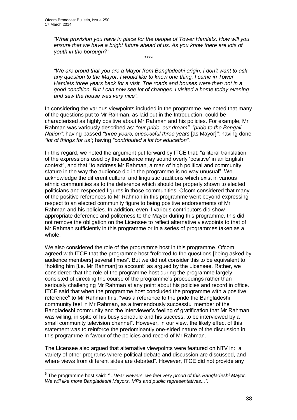*"What provision you have in place for the people of Tower Hamlets. How will you ensure that we have a bright future ahead of us. As you know there are lots of youth in the borough?" \*\*\*\**

*"We are proud that you are a Mayor from Bangladeshi origin. I don't want to ask any question to the Mayor. I would like to know one thing. I came in Tower Hamlets three years back for a visit. The roads and houses were then not in a good condition. But I can now see lot of changes. I visited a home today evening and saw the house was very nice".*

In considering the various viewpoints included in the programme, we noted that many of the questions put to Mr Rahman, as laid out in the Introduction, could be characterised as highly positive about Mr Rahman and his policies. For example, Mr Rahman was variously described as: *"our pride, our dream"*; *"pride to the Bengali Nation"*; having passed *"three years, successful three years* [as Mayor]*"*; having done *"lot of things for us"*; having *"contributed a lot for education".*

In this regard, we noted the argument put forward by ITCE that: "a literal translation of the expressions used by the audience may sound overly 'positive' in an English context", and that "to address Mr Rahman, a man of high political and community stature in the way the audience did in the programme is no way unusual". We acknowledge the different cultural and linguistic traditions which exist in various ethnic communities as to the deference which should be properly shown to elected politicians and respected figures in those communities. Ofcom considered that many of the positive references to Mr Rahman in this programme went beyond expressing respect to an elected community figure to being positive endorsements of Mr Rahman and his policies. In addition, even if various contributors did show appropriate deference and politeness to the Mayor during this programme, this did not remove the obligation on the Licensee to reflect alternative viewpoints to that of Mr Rahman sufficiently in this programme or in a series of programmes taken as a whole.

We also considered the role of the programme host in this programme. Ofcom agreed with ITCE that the programme host "referred to the questions [being asked by audience members] several times". But we did not consider this to be equivalent to "holding him [i.e. Mr Rahman] to account" as argued by the Licensee. Rather, we considered that the role of the programme host during the programme largely consisted of directing the course of the programme's proceedings rather than seriously challenging Mr Rahman at any point about his policies and record in office. ITCE said that when the programme host concluded the programme with a positive reference<sup>6</sup> to Mr Rahman this: "was a reference to the pride the Bangladeshi community feel in Mr Rahman, as a tremendously successful member of the Bangladeshi community and the interviewer's feeling of gratification that Mr Rahman was willing, in spite of his busy schedule and his success, to be interviewed by a small community television channel". However, in our view, the likely effect of this statement was to reinforce the predominantly one-sided nature of the discussion in this programme in favour of the policies and record of Mr Rahman.

The Licensee also argued that alternative viewpoints were featured on NTV in: "a variety of other programs where political debate and discussion are discussed, and where views from different sides are debated". However, ITCE did not provide any

 6 The programme host said: *"*...*Dear viewers, we feel very proud of this Bangladeshi Mayor. We will like more Bangladeshi Mayors, MPs and public representatives..."*.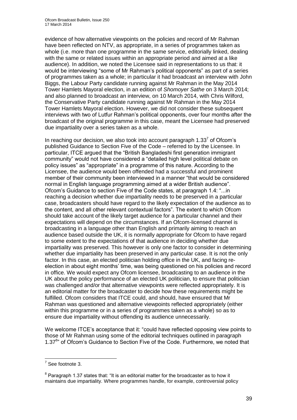evidence of how alternative viewpoints on the policies and record of Mr Rahman have been reflected on NTV, as appropriate, in a series of programmes taken as whole (i.e. more than one programme in the same service, editorially linked, dealing with the same or related issues within an appropriate period and aimed at a like audience). In addition, we noted the Licensee said in representations to us that: it would be interviewing "some of Mr Rahman's political opponents" as part of a series of programmes taken as a whole; in particular it had broadcast an interview with John Biggs, the Labour Party candidate running against Mr Rahman in the May 2014 Tower Hamlets Mayoral election, in an edition of *Shomoyer Sathe* on 3 March 2014; and also planned to broadcast an interview, on 10 March 2014, with Chris Wilford, the Conservative Party candidate running against Mr Rahman in the May 2014 Tower Hamlets Mayoral election. However, we did not consider these subsequent interviews with two of Lutfur Rahman's political opponents, over four months after the broadcast of the original programme in this case, meant the Licensee had preserved due impartiality over a series taken as a whole.

In reaching our decision, we also took into account paragraph  $1.33<sup>7</sup>$  of Ofcom's published Guidance to Section Five of the Code – referred to by the Licensee. In particular, ITCE argued that the "British Bangladeshi first generation immigrant community" would not have considered a "detailed high level political debate on policy issues" as "appropriate" in a programme of this nature. According to the Licensee, the audience would been offended had a successful and prominent member of their community been interviewed in a manner "that would be considered normal in English language programming aimed at a wider British audience". Ofcom's Guidance to section Five of the Code states, at paragraph 1.4: "...in reaching a decision whether due impartiality needs to be preserved in a particular case, broadcasters should have regard to the likely expectation of the audience as to the content, and all other relevant contextual factors". The extent to which Ofcom should take account of the likely target audience for a particular channel and their expectations will depend on the circumstances. If an Ofcom-licensed channel is broadcasting in a language other than English and primarily aiming to reach an audience based outside the UK, it is normally appropriate for Ofcom to have regard to some extent to the expectations of that audience in deciding whether due impartiality was preserved. This however is only one factor to consider in determining whether due impartiality has been preserved in any particular case. It is not the only factor. In this case, an elected politician holding office in the UK, and facing reelection in about eight months' time, was being questioned on his policies and record in office. We would expect any Ofcom licensee, broadcasting to an audience in the UK about the policy performance of an elected UK politician, to ensure that politician was challenged and/or that alternative viewpoints were reflected appropriately. It is an editorial matter for the broadcaster to decide how these requirements might be fulfilled. Ofcom considers that ITCE could, and should, have ensured that Mr Rahman was questioned and alternative viewpoints reflected appropriately (either within this programme or in a series of programmes taken as a whole) so as to ensure due impartiality without offending its audience unnecessarily.

We welcome ITCE's acceptance that it: "could have reflected opposing view points to those of Mr Rahman using some of the editorial techniques outlined in paragraph 1.37<sup>8</sup>" of Ofcom's Guidance to Section Five of the Code. Furthermore, we noted that

 7 See footnote 3.

 $8$  Paragraph 1.37 states that: "It is an editorial matter for the broadcaster as to how it maintains due impartiality. Where programmes handle, for example, controversial policy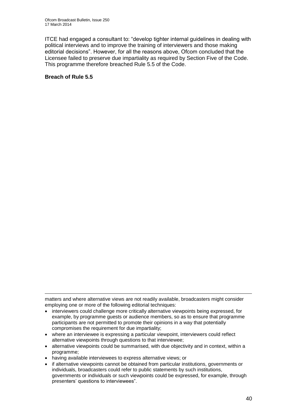ITCE had engaged a consultant to: "develop tighter internal guidelines in dealing with political interviews and to improve the training of interviewers and those making editorial decisions". However, for all the reasons above, Ofcom concluded that the Licensee failed to preserve due impartiality as required by Section Five of the Code. This programme therefore breached Rule 5.5 of the Code.

#### **Breach of Rule 5.5**

1 matters and where alternative views are not readily available, broadcasters might consider employing one or more of the following editorial techniques:

- interviewers could challenge more critically alternative viewpoints being expressed, for example, by programme guests or audience members, so as to ensure that programme participants are not permitted to promote their opinions in a way that potentially compromises the requirement for due impartiality;
- where an interviewee is expressing a particular viewpoint, interviewers could reflect alternative viewpoints through questions to that interviewee;
- alternative viewpoints could be summarised, with due objectivity and in context, within a programme;
- having available interviewees to express alternative views; or
- if alternative viewpoints cannot be obtained from particular institutions, governments or individuals, broadcasters could refer to public statements by such institutions, governments or individuals or such viewpoints could be expressed, for example, through presenters' questions to interviewees".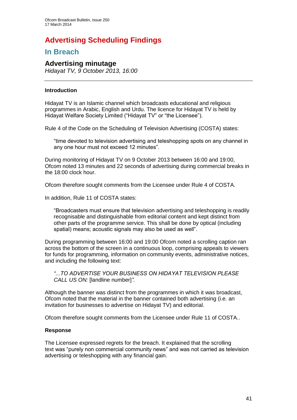# **Advertising Scheduling Findings**

## **In Breach**

### **Advertising minutage**

*Hidayat TV, 9 October 2013, 16:00*

#### **Introduction**

Hidayat TV is an Islamic channel which broadcasts educational and religious programmes in Arabic, English and Urdu. The licence for Hidayat TV is held by Hidayat Welfare Society Limited ("Hidayat TV" or "the Licensee").

Rule 4 of the Code on the Scheduling of Television Advertising (COSTA) states:

"time devoted to television advertising and teleshopping spots on any channel in any one hour must not exceed 12 minutes".

During monitoring of Hidayat TV on 9 October 2013 between 16:00 and 19:00, Ofcom noted 13 minutes and 22 seconds of advertising during commercial breaks in the 18:00 clock hour.

Ofcom therefore sought comments from the Licensee under Rule 4 of COSTA.

In addition, Rule 11 of COSTA states:

"Broadcasters must ensure that television advertising and teleshopping is readily recognisable and distinguishable from editorial content and kept distinct from other parts of the programme service. This shall be done by optical (including spatial) means; acoustic signals may also be used as well".

During programming between 16:00 and 19:00 Ofcom noted a scrolling caption ran across the bottom of the screen in a continuous loop, comprising appeals to viewers for funds for programming, information on community events, administrative notices, and including the following text:

*"...TO ADVERTISE YOUR BUSINESS ON HIDAYAT TELEVISION PLEASE CALL US ON:* [landline number]*"*.

Although the banner was distinct from the programmes in which it was broadcast, Ofcom noted that the material in the banner contained both advertising (i.e. an invitation for businesses to advertise on Hidayat TV) and editorial.

Ofcom therefore sought comments from the Licensee under Rule 11 of COSTA..

#### **Response**

The Licensee expressed regrets for the breach. It explained that the scrolling text was "purely non commercial community news" and was not carried as television advertising or teleshopping with any financial gain.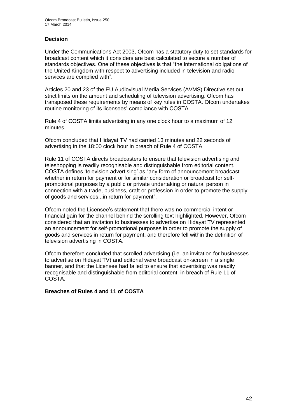#### **Decision**

Under the Communications Act 2003, Ofcom has a statutory duty to set standards for broadcast content which it considers are best calculated to secure a number of standards objectives. One of these objectives is that "the international obligations of the United Kingdom with respect to advertising included in television and radio services are complied with".

Articles 20 and 23 of the EU Audiovisual Media Services (AVMS) Directive set out strict limits on the amount and scheduling of television advertising. Ofcom has transposed these requirements by means of key rules in COSTA. Ofcom undertakes routine monitoring of its licensees' compliance with COSTA.

Rule 4 of COSTA limits advertising in any one clock hour to a maximum of 12 minutes.

Ofcom concluded that Hidayat TV had carried 13 minutes and 22 seconds of advertising in the 18:00 clock hour in breach of Rule 4 of COSTA.

Rule 11 of COSTA directs broadcasters to ensure that television advertising and teleshopping is readily recognisable and distinguishable from editorial content. COSTA defines 'television advertising' as "any form of announcement broadcast whether in return for payment or for similar consideration or broadcast for selfpromotional purposes by a public or private undertaking or natural person in connection with a trade, business, craft or profession in order to promote the supply of goods and services...in return for payment".

Ofcom noted the Licensee's statement that there was no commercial intent or financial gain for the channel behind the scrolling text highlighted. However, Ofcom considered that an invitation to businesses to advertise on Hidayat TV represented an announcement for self-promotional purposes in order to promote the supply of goods and services in return for payment, and therefore fell within the definition of television advertising in COSTA.

Ofcom therefore concluded that scrolled advertising (i.e. an invitation for businesses to advertise on Hidayat TV) and editorial were broadcast on-screen in a single banner, and that the Licensee had failed to ensure that advertising was readily recognisable and distinguishable from editorial content, in breach of Rule 11 of COSTA.

**Breaches of Rules 4 and 11 of COSTA**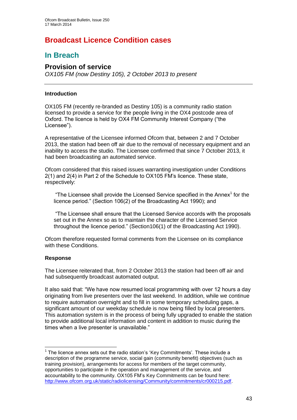# **Broadcast Licence Condition cases**

## **In Breach**

### **Provision of service**

*OX105 FM (now Destiny 105), 2 October 2013 to present*

#### **Introduction**

OX105 FM (recently re-branded as Destiny 105) is a community radio station licensed to provide a service for the people living in the OX4 postcode area of Oxford. The licence is held by OX4 FM Community Interest Company ("the Licensee").

A representative of the Licensee informed Ofcom that, between 2 and 7 October 2013, the station had been off air due to the removal of necessary equipment and an inability to access the studio. The Licensee confirmed that since 7 October 2013, it had been broadcasting an automated service.

Ofcom considered that this raised issues warranting investigation under Conditions 2(1) and 2(4) in Part 2 of the Schedule to OX105 FM's licence. These state, respectively:

"The Licensee shall provide the Licensed Service specified in the Annex $<sup>1</sup>$  for the</sup> licence period." (Section 106(2) of the Broadcasting Act 1990); and

"The Licensee shall ensure that the Licensed Service accords with the proposals set out in the Annex so as to maintain the character of the Licensed Service throughout the licence period." (Section106(1) of the Broadcasting Act 1990).

Ofcom therefore requested formal comments from the Licensee on its compliance with these Conditions.

#### **Response**

1

The Licensee reiterated that, from 2 October 2013 the station had been off air and had subsequently broadcast automated output.

It also said that: "We have now resumed local programming with over 12 hours a day originating from live presenters over the last weekend. In addition, while we continue to require automation overnight and to fill in some temporary scheduling gaps, a significant amount of our weekday schedule is now being filled by local presenters. This automation system is in the process of being fully upgraded to enable the station to provide additional local information and content in addition to music during the times when a live presenter is unavailable."

 $1$  The licence annex sets out the radio station's 'Key Commitments'. These include a description of the programme service, social gain (community benefit) objectives (such as training provision), arrangements for access for members of the target community, opportunities to participate in the operation and management of the service, and accountability to the community. OX105 FM's Key Commitments can be found here: [http://www.ofcom.org.uk/static/radiolicensing/Community/commitments/cr000215.pdf.](http://www.ofcom.org.uk/static/radiolicensing/Community/commitments/cr000215.pdf)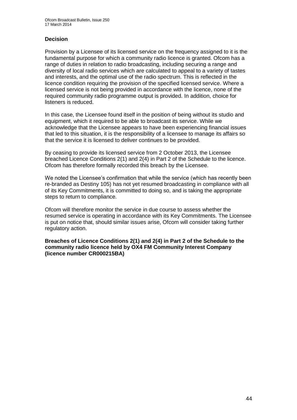#### **Decision**

Provision by a Licensee of its licensed service on the frequency assigned to it is the fundamental purpose for which a community radio licence is granted. Ofcom has a range of duties in relation to radio broadcasting, including securing a range and diversity of local radio services which are calculated to appeal to a variety of tastes and interests, and the optimal use of the radio spectrum. This is reflected in the licence condition requiring the provision of the specified licensed service. Where a licensed service is not being provided in accordance with the licence, none of the required community radio programme output is provided. In addition, choice for listeners is reduced.

In this case, the Licensee found itself in the position of being without its studio and equipment, which it required to be able to broadcast its service. While we acknowledge that the Licensee appears to have been experiencing financial issues that led to this situation, it is the responsibility of a licensee to manage its affairs so that the service it is licensed to deliver continues to be provided.

By ceasing to provide its licensed service from 2 October 2013, the Licensee breached Licence Conditions 2(1) and 2(4) in Part 2 of the Schedule to the licence. Ofcom has therefore formally recorded this breach by the Licensee.

We noted the Licensee's confirmation that while the service (which has recently been re-branded as Destiny 105) has not yet resumed broadcasting in compliance with all of its Key Commitments, it is committed to doing so, and is taking the appropriate steps to return to compliance.

Ofcom will therefore monitor the service in due course to assess whether the resumed service is operating in accordance with its Key Commitments. The Licensee is put on notice that, should similar issues arise, Ofcom will consider taking further regulatory action.

**Breaches of Licence Conditions 2(1) and 2(4) in Part 2 of the Schedule to the community radio licence held by OX4 FM Community Interest Company (licence number CR000215BA)**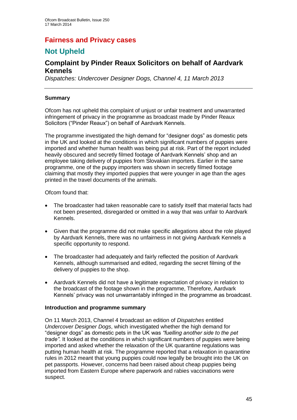## **Fairness and Privacy cases**

# **Not Upheld**

### **Complaint by Pinder Reaux Solicitors on behalf of Aardvark Kennels**

*Dispatches: Undercover Designer Dogs, Channel 4, 11 March 2013*

#### **Summary**

Ofcom has not upheld this complaint of unjust or unfair treatment and unwarranted infringement of privacy in the programme as broadcast made by Pinder Reaux Solicitors ("Pinder Reaux") on behalf of Aardvark Kennels.

The programme investigated the high demand for "designer dogs" as domestic pets in the UK and looked at the conditions in which significant numbers of puppies were imported and whether human health was being put at risk. Part of the report included heavily obscured and secretly filmed footage of Aardvark Kennels' shop and an employee taking delivery of puppies from Slovakian importers. Earlier in the same programme, one of the puppy importers was shown in secretly filmed footage claiming that mostly they imported puppies that were younger in age than the ages printed in the travel documents of the animals.

#### Ofcom found that:

- The broadcaster had taken reasonable care to satisfy itself that material facts had not been presented, disregarded or omitted in a way that was unfair to Aardvark Kennels.
- Given that the programme did not make specific allegations about the role played by Aardvark Kennels, there was no unfairness in not giving Aardvark Kennels a specific opportunity to respond.
- The broadcaster had adequately and fairly reflected the position of Aardvark Kennels, although summarised and edited, regarding the secret filming of the delivery of puppies to the shop.
- Aardvark Kennels did not have a legitimate expectation of privacy in relation to the broadcast of the footage shown in the programme, Therefore, Aardvark Kennels' privacy was not unwarrantably infringed in the programme as broadcast.

#### **Introduction and programme summary**

On 11 March 2013, Channel 4 broadcast an edition of *Dispatches* entitled *Undercover Designer Dogs*, which investigated whether the high demand for "designer dogs" as domestic pets in the UK was *"fuelling another side to the pet trade"*. It looked at the conditions in which significant numbers of puppies were being imported and asked whether the relaxation of the UK quarantine regulations was putting human health at risk. The programme reported that a relaxation in quarantine rules in 2012 meant that young puppies could now legally be brought into the UK on pet passports. However, concerns had been raised about cheap puppies being imported from Eastern Europe where paperwork and rabies vaccinations were suspect.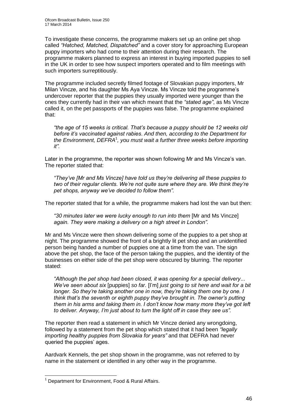To investigate these concerns, the programme makers set up an online pet shop called *"Hatched, Matched, Dispatched"* and a cover story for approaching European puppy importers who had come to their attention during their research. The programme makers planned to express an interest in buying imported puppies to sell in the UK in order to see how suspect importers operated and to film meetings with such importers surreptitiously.

The programme included secretly filmed footage of Slovakian puppy importers, Mr Milan Vincze, and his daughter Ms Aya Vincze. Ms Vincze told the programme's undercover reporter that the puppies they usually imported were younger than the ones they currently had in their van which meant that the *"stated age"*, as Ms Vincze called it, on the pet passports of the puppies was false. The programme explained that:

*"the age of 15 weeks is critical. That's because a puppy should be 12 weeks old before it's vaccinated against rabies*. *And then, according to the Department for the Environment, DEFRA*<sup>1</sup> *, you must wait a further three weeks before importing it".*

Later in the programme, the reporter was shown following Mr and Ms Vincze's van. The reporter stated that:

*"They've [Mr and Ms Vincze] have told us they're delivering all these puppies to two of their regular clients. We're not quite sure where they are. We think they're pet shops, anyway we've decided to follow them".*

The reporter stated that for a while, the programme makers had lost the van but then:

*"30 minutes later we were lucky enough to run into them* [Mr and Ms Vincze] *again. They were making a delivery on a high street in London".* 

Mr and Ms Vincze were then shown delivering some of the puppies to a pet shop at night. The programme showed the front of a brightly lit pet shop and an unidentified person being handed a number of puppies one at a time from the van. The sign above the pet shop, the face of the person taking the puppies, and the identity of the businesses on either side of the pet shop were obscured by blurring. The reporter stated:

*"Although the pet shop had been closed, it was opening for a special delivery*... *We've seen about six* [puppies] *so far.* [I'm] *just going to sit here and wait for a bit longer. So they're taking another one in now, they're taking them one by one. I think that's the seventh or eighth puppy they've brought in. The owner's putting them in his arms and taking them in. I don't know how many more they've got left to deliver. Anyway, I'm just about to turn the light off in case they see us".*

The reporter then read a statement in which Mr Vincze denied any wrongdoing, followed by a statement from the pet shop which stated that it had been *"legally importing healthy puppies from Slovakia for years"* and that DEFRA had never queried the puppies' ages.

Aardvark Kennels, the pet shop shown in the programme, was not referred to by name in the statement or identified in any other way in the programme.

1

<sup>&</sup>lt;sup>1</sup> Department for Environment, Food & Rural Affairs.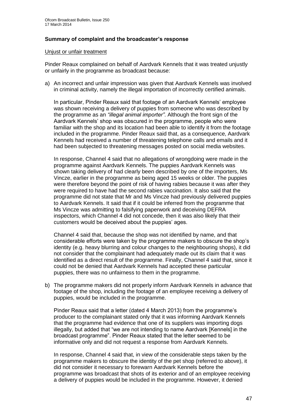#### **Summary of complaint and the broadcaster's response**

#### Unjust or unfair treatment

Pinder Reaux complained on behalf of Aardvark Kennels that it was treated unjustly or unfairly in the programme as broadcast because:

a) An incorrect and unfair impression was given that Aardvark Kennels was involved in criminal activity, namely the illegal importation of incorrectly certified animals.

In particular, Pinder Reaux said that footage of an Aardvark Kennels' employee was shown receiving a delivery of puppies from someone who was described by the programme as an *"illegal animal importer"*. Although the front sign of the Aardvark Kennels' shop was obscured in the programme, people who were familiar with the shop and its location had been able to identify it from the footage included in the programme. Pinder Reaux said that, as a consequence, Aardvark Kennels had received a number of threatening telephone calls and emails and it had been subjected to threatening messages posted on social media websites.

In response, Channel 4 said that no allegations of wrongdoing were made in the programme against Aardvark Kennels. The puppies Aardvark Kennels was shown taking delivery of had clearly been described by one of the importers, Ms Vincze, earlier in the programme as being aged 15 weeks or older. The puppies were therefore beyond the point of risk of having rabies because it was after they were required to have had the second rabies vaccination. It also said that the programme did not state that Mr and Ms Vincze had previously delivered puppies to Aardvark Kennels. It said that if it could be inferred from the programme that Ms Vincze was admitting to falsifying paperwork and deceiving DEFRA inspectors, which Channel 4 did not concede, then it was also likely that their customers would be deceived about the puppies' ages.

Channel 4 said that, because the shop was not identified by name, and that considerable efforts were taken by the programme makers to obscure the shop's identity (e.g. heavy blurring and colour changes to the neighbouring shops), it did not consider that the complainant had adequately made out its claim that it was identified as a direct result of the programme. Finally, Channel 4 said that, since it could not be denied that Aardvark Kennels had accepted these particular puppies, there was no unfairness to them in the programme.

b) The programme makers did not properly inform Aardvark Kennels in advance that footage of the shop, including the footage of an employee receiving a delivery of puppies, would be included in the programme.

Pinder Reaux said that a letter (dated 4 March 2013) from the programme's producer to the complainant stated only that it was informing Aardvark Kennels that the programme had evidence that one of its suppliers was importing dogs illegally, but added that "we are not intending to name Aardvark [Kennels] in the broadcast programme". Pinder Reaux stated that the letter seemed to be informative only and did not request a response from Aardvark Kennels.

In response, Channel 4 said that, in view of the considerable steps taken by the programme makers to obscure the identity of the pet shop (referred to above), it did not consider it necessary to forewarn Aardvark Kennels before the programme was broadcast that shots of its exterior and of an employee receiving a delivery of puppies would be included in the programme. However, it denied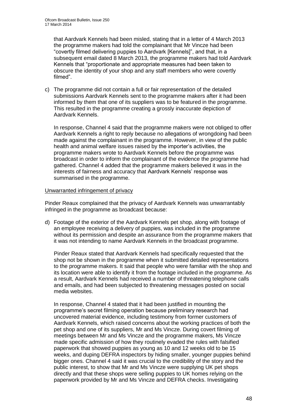that Aardvark Kennels had been misled, stating that in a letter of 4 March 2013 the programme makers had told the complainant that Mr Vincze had been "covertly filmed delivering puppies to Aardvark [Kennels]", and that, in a subsequent email dated 8 March 2013, the programme makers had told Aardvark Kennels that "proportionate and appropriate measures had been taken to obscure the identity of your shop and any staff members who were covertly filmed".

c) The programme did not contain a full or fair representation of the detailed submissions Aardvark Kennels sent to the programme makers after it had been informed by them that one of its suppliers was to be featured in the programme. This resulted in the programme creating a grossly inaccurate depiction of Aardvark Kennels.

In response, Channel 4 said that the programme makers were not obliged to offer Aardvark Kennels a right to reply because no allegations of wrongdoing had been made against the complainant in the programme. However, in view of the public health and animal welfare issues raised by the importer's activities, the programme makers wrote to Aardvark Kennels before the programme was broadcast in order to inform the complainant of the evidence the programme had gathered. Channel 4 added that the programme makers believed it was in the interests of fairness and accuracy that Aardvark Kennels' response was summarised in the programme.

#### Unwarranted infringement of privacy

Pinder Reaux complained that the privacy of Aardvark Kennels was unwarrantably infringed in the programme as broadcast because:

d) Footage of the exterior of the Aardvark Kennels pet shop, along with footage of an employee receiving a delivery of puppies, was included in the programme without its permission and despite an assurance from the programme makers that it was not intending to name Aardvark Kennels in the broadcast programme.

Pinder Reaux stated that Aardvark Kennels had specifically requested that the shop not be shown in the programme when it submitted detailed representations to the programme makers. It said that people who were familiar with the shop and its location were able to identify it from the footage included in the programme. As a result, Aardvark Kennels had received a number of threatening telephone calls and emails, and had been subjected to threatening messages posted on social media websites.

In response, Channel 4 stated that it had been justified in mounting the programme's secret filming operation because preliminary research had uncovered material evidence, including testimony from former customers of Aardvark Kennels, which raised concerns about the working practices of both the pet shop and one of its suppliers, Mr and Ms Vincze. During covert filming of meetings between Mr and Ms Vincze and the programme makers, Ms Vincze made specific admission of how they routinely evaded the rules with falsified paperwork that showed puppies as young as 10 and 12 weeks old to be 15 weeks, and duping DEFRA inspectors by hiding smaller, younger puppies behind bigger ones. Channel 4 said it was crucial to the credibility of the story and the public interest, to show that Mr and Ms Vincze were supplying UK pet shops directly and that these shops were selling puppies to UK homes relying on the paperwork provided by Mr and Ms Vincze and DEFRA checks. Investigating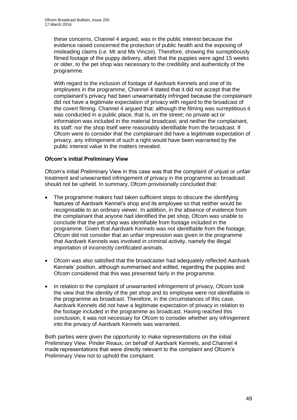these concerns, Channel 4 argued, was in the public interest because the evidence raised concerned the protection of public health and the exposing of misleading claims (i.e. Mr and Ms Vincze). Therefore, showing the surreptitiously filmed footage of the puppy delivery, albeit that the puppies were aged 15 weeks or older, to the pet shop was necessary to the credibility and authenticity of the programme.

With regard to the inclusion of footage of Aardvark Kennels and one of its employees in the programme, Channel 4 stated that it did not accept that the complainant's privacy had been unwarrantably infringed because the complainant did not have a legitimate expectation of privacy with regard to the broadcast of the covert filming. Channel 4 argued that: although the filming was surreptitious it was conducted in a public place, that is, on the street; no private act or information was included in the material broadcast; and neither the complainant, its staff, nor the shop itself were reasonably identifiable from the broadcast. If Ofcom were to consider that the complainant did have a legitimate expectation of privacy, any infringement of such a right would have been warranted by the public interest value in the matters revealed.

#### **Ofcom's initial Preliminary View**

Ofcom's initial Preliminary View in this case was that the complaint of unjust or unfair treatment and unwarranted infringement of privacy in the programme as broadcast should not be upheld. In summary, Ofcom provisionally concluded that:

- The programme makers had taken sufficient steps to obscure the identifying features of Aardvark Kennel's shop and its employee so that neither would be recognisable to an ordinary viewer. In addition, in the absence of evidence from the complainant that anyone had identified the pet shop, Ofcom was unable to conclude that the pet shop was identifiable from footage included in the programme. Given that Aardvark Kennels was not identifiable from the footage, Ofcom did not consider that an unfair impression was given in the programme that Aardvark Kennels was involved in criminal activity, namely the illegal importation of incorrectly certificated animals.
- Ofcom was also satisfied that the broadcaster had adequately reflected Aardvark Kennels' position, although summarised and edited, regarding the puppies and Ofcom considered that this was presented fairly in the programme.
- In relation to the complaint of unwarranted infringement of privacy, Ofcom took the view that the identity of the pet shop and its employee were not identifiable in the programme as broadcast. Therefore, in the circumstances of this case, Aardvark Kennels did not have a legitimate expectation of privacy in relation to the footage included in the programme as broadcast. Having reached this conclusion, it was not necessary for Ofcom to consider whether any infringement into the privacy of Aardvark Kennels was warranted.

Both parties were given the opportunity to make representations on the initial Preliminary View. Pinder Reaux, on behalf of Aardvark Kennels, and Channel 4 made representations that were directly relevant to the complaint and Ofcom's Preliminary View not to uphold the complaint.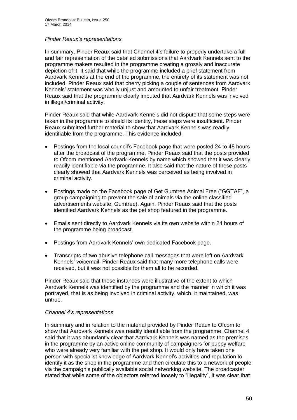#### *Pinder Reaux's representations*

In summary, Pinder Reaux said that Channel 4's failure to properly undertake a full and fair representation of the detailed submissions that Aardvark Kennels sent to the programme makers resulted in the programme creating a grossly and inaccurate depiction of it. It said that while the programme included a brief statement from Aardvark Kennels at the end of the programme, the entirety of its statement was not included. Pinder Reaux said that cherry picking a couple of sentences from Aardvark Kennels' statement was wholly unjust and amounted to unfair treatment. Pinder Reaux said that the programme clearly imputed that Aardvark Kennels was involved in illegal/criminal activity.

Pinder Reaux said that while Aardvark Kennels did not dispute that some steps were taken in the programme to shield its identity, these steps were insufficient. Pinder Reaux submitted further material to show that Aardvark Kennels was readily identifiable from the programme. This evidence included:

- Postings from the local council's Facebook page that were posted 24 to 48 hours after the broadcast of the programme. Pinder Reaux said that the posts provided to Ofcom mentioned Aardvark Kennels by name which showed that it was clearly readily identifiable via the programme. It also said that the nature of these posts clearly showed that Aardvark Kennels was perceived as being involved in criminal activity.
- Postings made on the Facebook page of Get Gumtree Animal Free ("GGTAF", a group campaigning to prevent the sale of animals via the online classified advertisements website, Gumtree). Again, Pinder Reaux said that the posts identified Aardvark Kennels as the pet shop featured in the programme.
- Emails sent directly to Aardvark Kennels via its own website within 24 hours of the programme being broadcast.
- Postings from Aardvark Kennels' own dedicated Facebook page.
- Transcripts of two abusive telephone call messages that were left on Aardvark Kennels' voicemail. Pinder Reaux said that many more telephone calls were received, but it was not possible for them all to be recorded.

Pinder Reaux said that these instances were illustrative of the extent to which Aardvark Kennels was identified by the programme and the manner in which it was portrayed, that is as being involved in criminal activity, which, it maintained, was untrue.

#### *Channel 4's representations*

In summary and in relation to the material provided by Pinder Reaux to Ofcom to show that Aardvark Kennels was readily identifiable from the programme, Channel 4 said that it was abundantly clear that Aardvark Kennels was named as the premises in the programme by an active online community of campaigners for puppy welfare who were already very familiar with the pet shop. It would only have taken one person with specialist knowledge of Aardvark Kennel's activities and reputation to identify it as the shop in the programme and then circulate this to a network of people via the campaign's publically available social networking website. The broadcaster stated that while some of the objectors referred loosely to "illegality", it was clear that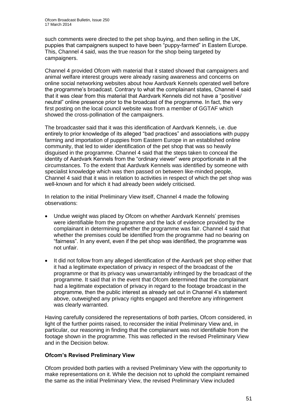such comments were directed to the pet shop buying, and then selling in the UK, puppies that campaigners suspect to have been "puppy-farmed" in Eastern Europe. This, Channel 4 said, was the true reason for the shop being targeted by campaigners.

Channel 4 provided Ofcom with material that it stated showed that campaigners and animal welfare interest groups were already raising awareness and concerns on online social networking websites about how Aardvark Kennels operated well before the programme's broadcast. Contrary to what the complainant states, Channel 4 said that it was clear from this material that Aardvark Kennels did not have a "positive/ neutral" online presence prior to the broadcast of the programme. In fact, the very first posting on the local council website was from a member of GGTAF which showed the cross-pollination of the campaigners.

The broadcaster said that it was this identification of Aardvark Kennels, i.e. due entirely to prior knowledge of its alleged "bad practices" and associations with puppy farming and importation of puppies from Eastern Europe in an established online community, that led to wider identification of the pet shop that was so heavily disguised in the programme. Channel 4 said that the steps taken to conceal the identity of Aardvark Kennels from the "ordinary viewer" were proportionate in all the circumstances. To the extent that Aardvark Kennels was identified by someone with specialist knowledge which was then passed on between like-minded people, Channel 4 said that it was in relation to activities in respect of which the pet shop was well-known and for which it had already been widely criticised.

In relation to the initial Preliminary View itself, Channel 4 made the following observations:

- Undue weight was placed by Ofcom on whether Aardvark Kennels' premises were identifiable from the programme and the lack of evidence provided by the complainant in determining whether the programme was fair. Channel 4 said that whether the premises could be identified from the programme had no bearing on "fairness". In any event, even if the pet shop was identified, the programme was not unfair.
- It did not follow from any alleged identification of the Aardvark pet shop either that it had a legitimate expectation of privacy in respect of the broadcast of the programme or that its privacy was unwarrantably infringed by the broadcast of the programme. It said that in the event that Ofcom determined that the complainant had a legitimate expectation of privacy in regard to the footage broadcast in the programme, then the public interest as already set out in Channel 4's statement above, outweighed any privacy rights engaged and therefore any infringement was clearly warranted.

Having carefully considered the representations of both parties, Ofcom considered, in light of the further points raised, to reconsider the initial Preliminary View and, in particular, our reasoning in finding that the complainant was not identifiable from the footage shown in the programme. This was reflected in the revised Preliminary View and in the Decision below.

#### **Ofcom's Revised Preliminary View**

Ofcom provided both parties with a revised Preliminary View with the opportunity to make representations on it. While the decision not to uphold the complaint remained the same as the initial Preliminary View, the revised Preliminary View included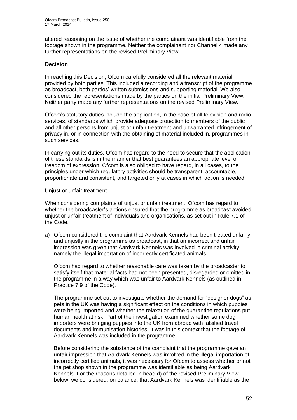altered reasoning on the issue of whether the complainant was identifiable from the footage shown in the programme. Neither the complainant nor Channel 4 made any further representations on the revised Preliminary View.

#### **Decision**

In reaching this Decision, Ofcom carefully considered all the relevant material provided by both parties. This included a recording and a transcript of the programme as broadcast, both parties' written submissions and supporting material. We also considered the representations made by the parties on the initial Preliminary View. Neither party made any further representations on the revised Preliminary View.

Ofcom's statutory duties include the application, in the case of all television and radio services, of standards which provide adequate protection to members of the public and all other persons from unjust or unfair treatment and unwarranted infringement of privacy in, or in connection with the obtaining of material included in, programmes in such services.

In carrying out its duties, Ofcom has regard to the need to secure that the application of these standards is in the manner that best guarantees an appropriate level of freedom of expression. Ofcom is also obliged to have regard, in all cases, to the principles under which regulatory activities should be transparent, accountable, proportionate and consistent, and targeted only at cases in which action is needed.

#### Unjust or unfair treatment

When considering complaints of unjust or unfair treatment, Ofcom has regard to whether the broadcaster's actions ensured that the programme as broadcast avoided unjust or unfair treatment of individuals and organisations, as set out in Rule 7.1 of the Code.

a) Ofcom considered the complaint that Aardvark Kennels had been treated unfairly and unjustly in the programme as broadcast, in that an incorrect and unfair impression was given that Aardvark Kennels was involved in criminal activity, namely the illegal importation of incorrectly certificated animals.

Ofcom had regard to whether reasonable care was taken by the broadcaster to satisfy itself that material facts had not been presented, disregarded or omitted in the programme in a way which was unfair to Aardvark Kennels (as outlined in Practice 7.9 of the Code).

The programme set out to investigate whether the demand for "designer dogs" as pets in the UK was having a significant effect on the conditions in which puppies were being imported and whether the relaxation of the quarantine regulations put human health at risk. Part of the investigation examined whether some dog importers were bringing puppies into the UK from abroad with falsified travel documents and immunisation histories. It was in this context that the footage of Aardvark Kennels was included in the programme.

Before considering the substance of the complaint that the programme gave an unfair impression that Aardvark Kennels was involved in the illegal importation of incorrectly certified animals, it was necessary for Ofcom to assess whether or not the pet shop shown in the programme was identifiable as being Aardvark Kennels. For the reasons detailed in head d) of the revised Preliminary View below, we considered, on balance, that Aardvark Kennels was identifiable as the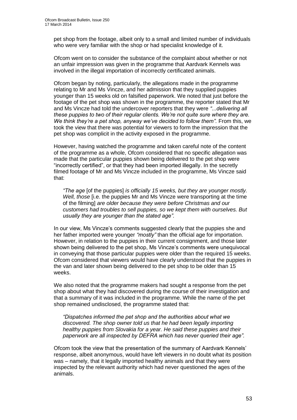pet shop from the footage, albeit only to a small and limited number of individuals who were very familiar with the shop or had specialist knowledge of it.

Ofcom went on to consider the substance of the complaint about whether or not an unfair impression was given in the programme that Aardvark Kennels was involved in the illegal importation of incorrectly certificated animals.

Ofcom began by noting, particularly, the allegations made in the programme relating to Mr and Ms Vincze, and her admission that they supplied puppies younger than 15 weeks old on falsified paperwork. We noted that just before the footage of the pet shop was shown in the programme, the reporter stated that Mr and Ms Vincze had told the undercover reporters that they were *"...delivering all these puppies to two of their regular clients. We're not quite sure where they are. We think they're a pet shop, anyway we've decided to follow them".* From this, we took the view that there was potential for viewers to form the impression that the pet shop was complicit in the activity exposed in the programme.

However, having watched the programme and taken careful note of the content of the programme as a whole, Ofcom considered that no specific allegation was made that the particular puppies shown being delivered to the pet shop were "incorrectly certified", or that they had been imported illegally. In the secretly filmed footage of Mr and Ms Vincze included in the programme, Ms Vincze said that:

*"The age* [of the puppies] *is officially 15 weeks, but they are younger mostly. Well, those* [i.e. the puppies Mr and Ms Vincze were transporting at the time of the filming] *are older because they were before Christmas and our customers had troubles to sell puppies, so we kept them with ourselves. But usually they are younger than the stated age".* 

In our view, Ms Vincze's comments suggested clearly that the puppies she and her father imported were younger *"mostly"* than the official age for importation. However, in relation to the puppies in their current consignment, and those later shown being delivered to the pet shop, Ms Vincze's comments were unequivocal in conveying that those particular puppies were older than the required 15 weeks. Ofcom considered that viewers would have clearly understood that the puppies in the van and later shown being delivered to the pet shop to be older than 15 weeks.

We also noted that the programme makers had sought a response from the pet shop about what they had discovered during the course of their investigation and that a summary of it was included in the programme. While the name of the pet shop remained undisclosed, the programme stated that:

*"Dispatches informed the pet shop and the authorities about what we discovered. The shop owner told us that he had been legally importing healthy puppies from Slovakia for a year. He said these puppies and their paperwork are all inspected by DEFRA which has never queried their age".*

Ofcom took the view that the presentation of the summary of Aardvark Kennels' response, albeit anonymous, would have left viewers in no doubt what its position was – namely, that it legally imported healthy animals and that they were inspected by the relevant authority which had never questioned the ages of the animals.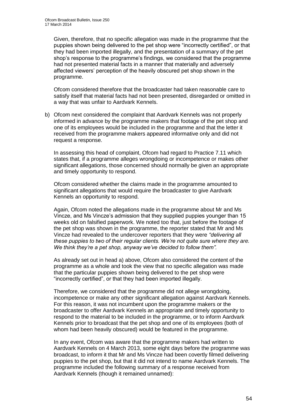Given, therefore, that no specific allegation was made in the programme that the puppies shown being delivered to the pet shop were "incorrectly certified", or that they had been imported illegally, and the presentation of a summary of the pet shop's response to the programme's findings, we considered that the programme had not presented material facts in a manner that materially and adversely affected viewers' perception of the heavily obscured pet shop shown in the programme.

Ofcom considered therefore that the broadcaster had taken reasonable care to satisfy itself that material facts had not been presented, disregarded or omitted in a way that was unfair to Aardvark Kennels.

b) Ofcom next considered the complaint that Aardvark Kennels was not properly informed in advance by the programme makers that footage of the pet shop and one of its employees would be included in the programme and that the letter it received from the programme makers appeared informative only and did not request a response.

In assessing this head of complaint, Ofcom had regard to Practice 7.11 which states that, if a programme alleges wrongdoing or incompetence or makes other significant allegations, those concerned should normally be given an appropriate and timely opportunity to respond.

Ofcom considered whether the claims made in the programme amounted to significant allegations that would require the broadcaster to give Aardvark Kennels an opportunity to respond.

Again, Ofcom noted the allegations made in the programme about Mr and Ms Vincze, and Ms Vincze's admission that they supplied puppies younger than 15 weeks old on falsified paperwork. We noted too that, just before the footage of the pet shop was shown in the programme, the reporter stated that Mr and Ms Vincze had revealed to the undercover reporters that they were *"delivering all these puppies to two of their regular clients. We're not quite sure where they are. We think they're a pet shop, anyway we've decided to follow them".* 

As already set out in head a) above, Ofcom also considered the content of the programme as a whole and took the view that no specific allegation was made that the particular puppies shown being delivered to the pet shop were "incorrectly certified", or that they had been imported illegally.

Therefore, we considered that the programme did not allege wrongdoing, incompetence or make any other significant allegation against Aardvark Kennels. For this reason, it was not incumbent upon the programme makers or the broadcaster to offer Aardvark Kennels an appropriate and timely opportunity to respond to the material to be included in the programme, or to inform Aardvark Kennels prior to broadcast that the pet shop and one of its employees (both of whom had been heavily obscured) would be featured in the programme.

In any event, Ofcom was aware that the programme makers had written to Aardvark Kennels on 4 March 2013, some eight days before the programme was broadcast, to inform it that Mr and Ms Vincze had been covertly filmed delivering puppies to the pet shop, but that it did not intend to name Aardvark Kennels. The programme included the following summary of a response received from Aardvark Kennels (though it remained unnamed):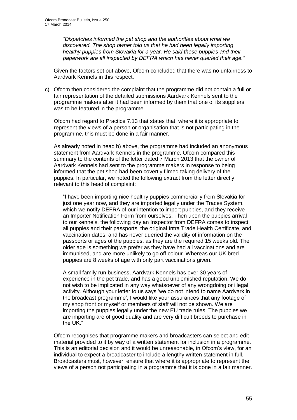*"Dispatches informed the pet shop and the authorities about what we discovered. The shop owner told us that he had been legally importing healthy puppies from Slovakia for a year. He said these puppies and their paperwork are all inspected by DEFRA which has never queried their age."*

Given the factors set out above, Ofcom concluded that there was no unfairness to Aardvark Kennels in this respect.

c) Ofcom then considered the complaint that the programme did not contain a full or fair representation of the detailed submissions Aardvark Kennels sent to the programme makers after it had been informed by them that one of its suppliers was to be featured in the programme.

Ofcom had regard to Practice 7.13 that states that, where it is appropriate to represent the views of a person or organisation that is not participating in the programme, this must be done in a fair manner.

As already noted in head b) above, the programme had included an anonymous statement from Aardvark Kennels in the programme. Ofcom compared this summary to the contents of the letter dated 7 March 2013 that the owner of Aardvark Kennels had sent to the programme makers in response to being informed that the pet shop had been covertly filmed taking delivery of the puppies. In particular, we noted the following extract from the letter directly relevant to this head of complaint:

"I have been importing nice healthy puppies commercially from Slovakia for just one year now, and they are imported legally under the Traces System, which we notify DEFRA of our intention to import puppies, and they receive an Importer Notification Form from ourselves. Then upon the puppies arrival to our kennels, the following day an Inspector from DEFRA comes to inspect all puppies and their passports, the original Intra Trade Health Certificate, and vaccination dates, and has never queried the validity of information on the passports or ages of the puppies, as they are the required 15 weeks old. The older age is something we prefer as they have had all vaccinations and are immunised, and are more unlikely to go off colour. Whereas our UK bred puppies are 8 weeks of age with only part vaccinations given.

A small family run business, Aardvark Kennels has over 30 years of experience in the pet trade, and has a good unblemished reputation. We do not wish to be implicated in any way whatsoever of any wrongdoing or illegal activity. Although your letter to us says 'we do not intend to name Aardvark in the broadcast programme', I would like your assurances that any footage of my shop front or myself or members of staff will not be shown. We are importing the puppies legally under the new EU trade rules. The puppies we are importing are of good quality and are very difficult breeds to purchase in the UK."

Ofcom recognises that programme makers and broadcasters can select and edit material provided to it by way of a written statement for inclusion in a programme. This is an editorial decision and it would be unreasonable, in Ofcom's view, for an individual to expect a broadcaster to include a lengthy written statement in full. Broadcasters must, however, ensure that where it is appropriate to represent the views of a person not participating in a programme that it is done in a fair manner.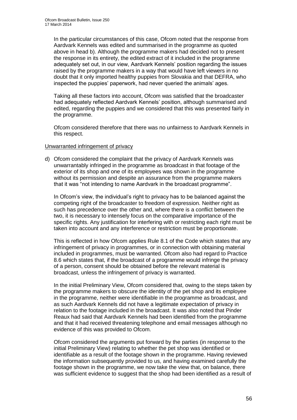In the particular circumstances of this case, Ofcom noted that the response from Aardvark Kennels was edited and summarised in the programme as quoted above in head b). Although the programme makers had decided not to present the response in its entirety, the edited extract of it included in the programme adequately set out, in our view, Aardvark Kennels' position regarding the issues raised by the programme makers in a way that would have left viewers in no doubt that it only imported healthy puppies from Slovakia and that DEFRA, who inspected the puppies' paperwork, had never queried the animals' ages.

Taking all these factors into account, Ofcom was satisfied that the broadcaster had adequately reflected Aardvark Kennels' position, although summarised and edited, regarding the puppies and we considered that this was presented fairly in the programme.

Ofcom considered therefore that there was no unfairness to Aardvark Kennels in this respect.

#### Unwarranted infringement of privacy

d) Ofcom considered the complaint that the privacy of Aardvark Kennels was unwarrantably infringed in the programme as broadcast in that footage of the exterior of its shop and one of its employees was shown in the programme without its permission and despite an assurance from the programme makers that it was "not intending to name Aardvark in the broadcast programme".

In Ofcom's view, the individual's right to privacy has to be balanced against the competing right of the broadcaster to freedom of expression. Neither right as such has precedence over the other and, where there is a conflict between the two, it is necessary to intensely focus on the comparative importance of the specific rights. Any justification for interfering with or restricting each right must be taken into account and any interference or restriction must be proportionate.

This is reflected in how Ofcom applies Rule 8.1 of the Code which states that any infringement of privacy in programmes, or in connection with obtaining material included in programmes, must be warranted. Ofcom also had regard to Practice 8.6 which states that, if the broadcast of a programme would infringe the privacy of a person, consent should be obtained before the relevant material is broadcast, unless the infringement of privacy is warranted.

In the initial Preliminary View, Ofcom considered that, owing to the steps taken by the programme makers to obscure the identity of the pet shop and its employee in the programme, neither were identifiable in the programme as broadcast, and as such Aardvark Kennels did not have a legitimate expectation of privacy in relation to the footage included in the broadcast. It was also noted that Pinder Reaux had said that Aardvark Kennels had been identified from the programme and that it had received threatening telephone and email messages although no evidence of this was provided to Ofcom.

Ofcom considered the arguments put forward by the parties (in response to the initial Preliminary View) relating to whether the pet shop was identified or identifiable as a result of the footage shown in the programme. Having reviewed the information subsequently provided to us, and having examined carefully the footage shown in the programme, we now take the view that, on balance, there was sufficient evidence to suggest that the shop had been identified as a result of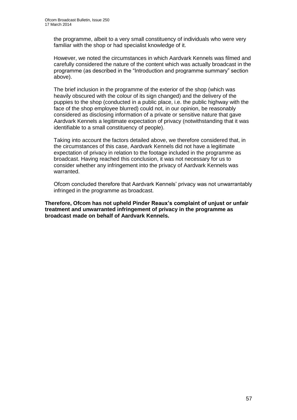the programme, albeit to a very small constituency of individuals who were very familiar with the shop or had specialist knowledge of it.

However, we noted the circumstances in which Aardvark Kennels was filmed and carefully considered the nature of the content which was actually broadcast in the programme (as described in the "Introduction and programme summary" section above).

The brief inclusion in the programme of the exterior of the shop (which was heavily obscured with the colour of its sign changed) and the delivery of the puppies to the shop (conducted in a public place, i.e. the public highway with the face of the shop employee blurred) could not, in our opinion, be reasonably considered as disclosing information of a private or sensitive nature that gave Aardvark Kennels a legitimate expectation of privacy (notwithstanding that it was identifiable to a small constituency of people).

Taking into account the factors detailed above, we therefore considered that, in the circumstances of this case, Aardvark Kennels did not have a legitimate expectation of privacy in relation to the footage included in the programme as broadcast. Having reached this conclusion, it was not necessary for us to consider whether any infringement into the privacy of Aardvark Kennels was warranted.

Ofcom concluded therefore that Aardvark Kennels' privacy was not unwarrantably infringed in the programme as broadcast.

**Therefore, Ofcom has not upheld Pinder Reaux's complaint of unjust or unfair treatment and unwarranted infringement of privacy in the programme as broadcast made on behalf of Aardvark Kennels.**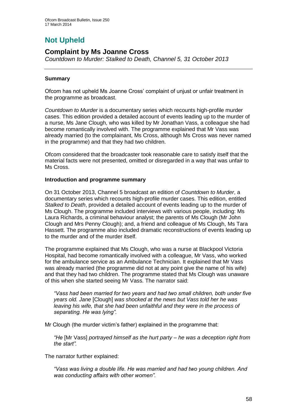# **Not Upheld**

### **Complaint by Ms Joanne Cross**

*Countdown to Murder: Stalked to Death, Channel 5, 31 October 2013*

#### **Summary**

Ofcom has not upheld Ms Joanne Cross' complaint of unjust or unfair treatment in the programme as broadcast.

*Countdown to Murder* is a documentary series which recounts high-profile murder cases. This edition provided a detailed account of events leading up to the murder of a nurse, Ms Jane Clough, who was killed by Mr Jonathan Vass, a colleague she had become romantically involved with. The programme explained that Mr Vass was already married (to the complainant, Ms Cross, although Ms Cross was never named in the programme) and that they had two children.

Ofcom considered that the broadcaster took reasonable care to satisfy itself that the material facts were not presented, omitted or disregarded in a way that was unfair to Ms Cross.

#### **Introduction and programme summary**

On 31 October 2013, Channel 5 broadcast an edition of *Countdown to Murder*, a documentary series which recounts high-profile murder cases. This edition, entitled *Stalked to Death*, provided a detailed account of events leading up to the murder of Ms Clough. The programme included interviews with various people, including: Ms Laura Richards, a criminal behaviour analyst; the parents of Ms Clough (Mr John Clough and Mrs Penny Clough); and, a friend and colleague of Ms Clough, Ms Tara Hassett. The programme also included dramatic reconstructions of events leading up to the murder and of the murder itself.

The programme explained that Ms Clough, who was a nurse at Blackpool Victoria Hospital, had become romantically involved with a colleague, Mr Vass, who worked for the ambulance service as an Ambulance Technician. It explained that Mr Vass was already married (the programme did not at any point give the name of his wife) and that they had two children. The programme stated that Ms Clough was unaware of this when she started seeing Mr Vass. The narrator said:

*"Vass had been married for two years and had two small children, both under five years old. Jane* [Clough] *was shocked at the news but Vass told her he was leaving his wife, that she had been unfaithful and they were in the process of separating. He was lying".*

Mr Clough (the murder victim's father) explained in the programme that:

*"He* [Mr Vass] *portrayed himself as the hurt party – he was a deception right from the start".*

The narrator further explained:

*"Vass was living a double life. He was married and had two young children. And was conducting affairs with other women".*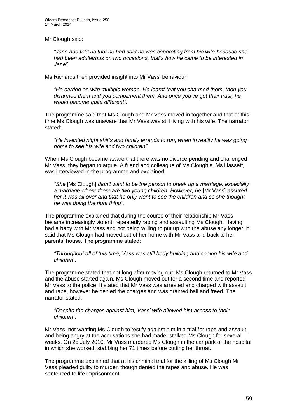Mr Clough said:

*"Jane had told us that he had said he was separating from his wife because she had been adulterous on two occasions, that's how he came to be interested in Jane".*

Ms Richards then provided insight into Mr Vass' behaviour:

*"He carried on with multiple women. He learnt that you charmed them, then you disarmed them and you compliment them. And once you've got their trust, he would become quite different".*

The programme said that Ms Clough and Mr Vass moved in together and that at this time Ms Clough was unaware that Mr Vass was still living with his wife. The narrator stated:

*"He invented night shifts and family errands to run, when in reality he was going home to see his wife and two children".*

When Ms Clough became aware that there was no divorce pending and challenged Mr Vass, they began to argue. A friend and colleague of Ms Clough's, Ms Hassett, was interviewed in the programme and explained:

*"She* [Ms Clough] *didn't want to be the person to break up a marriage, especially a marriage where there are two young children. However, he* [Mr Vass] *assured her it was all over and that he only went to see the children and so she thought he was doing the right thing".*

The programme explained that during the course of their relationship Mr Vass became increasingly violent, repeatedly raping and assaulting Ms Clough. Having had a baby with Mr Vass and not being willing to put up with the abuse any longer, it said that Ms Clough had moved out of her home with Mr Vass and back to her parents' house. The programme stated:

*"Throughout all of this time, Vass was still body building and seeing his wife and children".*

The programme stated that not long after moving out, Ms Clough returned to Mr Vass and the abuse started again. Ms Clough moved out for a second time and reported Mr Vass to the police. It stated that Mr Vass was arrested and charged with assault and rape, however he denied the charges and was granted bail and freed. The narrator stated:

*"Despite the charges against him, Vass' wife allowed him access to their children".*

Mr Vass, not wanting Ms Clough to testify against him in a trial for rape and assault, and being angry at the accusations she had made, stalked Ms Clough for several weeks. On 25 July 2010, Mr Vass murdered Ms Clough in the car park of the hospital in which she worked, stabbing her 71 times before cutting her throat.

The programme explained that at his criminal trial for the killing of Ms Clough Mr Vass pleaded guilty to murder, though denied the rapes and abuse. He was sentenced to life imprisonment.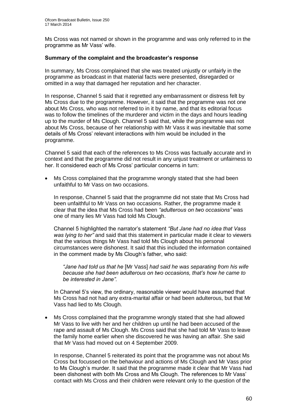Ms Cross was not named or shown in the programme and was only referred to in the programme as Mr Vass' wife.

#### **Summary of the complaint and the broadcaster's response**

In summary, Ms Cross complained that she was treated unjustly or unfairly in the programme as broadcast in that material facts were presented, disregarded or omitted in a way that damaged her reputation and her character.

In response, Channel 5 said that it regretted any embarrassment or distress felt by Ms Cross due to the programme. However, it said that the programme was not one about Ms Cross, who was not referred to in it by name, and that its editorial focus was to follow the timelines of the murderer and victim in the days and hours leading up to the murder of Ms Clough. Channel 5 said that, while the programme was not about Ms Cross, because of her relationship with Mr Vass it was inevitable that some details of Ms Cross' relevant interactions with him would be included in the programme.

Channel 5 said that each of the references to Ms Cross was factually accurate and in context and that the programme did not result in any unjust treatment or unfairness to her. It considered each of Ms Cross' particular concerns in turn:

 Ms Cross complained that the programme wrongly stated that she had been unfaithful to Mr Vass on two occasions.

In response, Channel 5 said that the programme did not state that Ms Cross had been unfaithful to Mr Vass on two occasions. Rather, the programme made it clear that the idea that Ms Cross had been *"adulterous on two occasions"* was one of many lies Mr Vass had told Ms Clough.

Channel 5 highlighted the narrator's statement *"But Jane had no idea that Vass was lying to her"* and said that this statement in particular made it clear to viewers that the various things Mr Vass had told Ms Clough about his personal circumstances were dishonest. It said that this included the information contained in the comment made by Ms Clough's father, who said:

*"Jane had told us that he* [Mr Vass] *had said he was separating from his wife because she had been adulterous on two occasions, that's how he came to be interested in Jane".*

In Channel 5's view, the ordinary, reasonable viewer would have assumed that Ms Cross had not had any extra-marital affair or had been adulterous, but that Mr Vass had lied to Ms Clough.

 Ms Cross complained that the programme wrongly stated that she had allowed Mr Vass to live with her and her children up until he had been accused of the rape and assault of Ms Clough. Ms Cross said that she had told Mr Vass to leave the family home earlier when she discovered he was having an affair. She said that Mr Vass had moved out on 4 September 2009.

In response, Channel 5 reiterated its point that the programme was not about Ms Cross but focussed on the behaviour and actions of Ms Clough and Mr Vass prior to Ms Clough's murder. It said that the programme made it clear that Mr Vass had been dishonest with both Ms Cross and Ms Clough. The references to Mr Vass' contact with Ms Cross and their children were relevant only to the question of the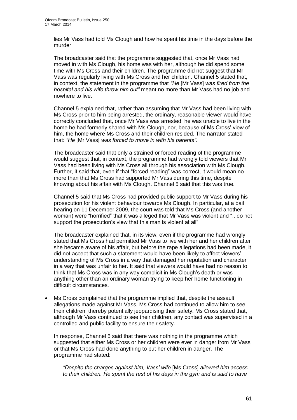lies Mr Vass had told Ms Clough and how he spent his time in the days before the murder.

The broadcaster said that the programme suggested that, once Mr Vass had moved in with Ms Clough, his home was with her, although he did spend some time with Ms Cross and their children. The programme did not suggest that Mr Vass was regularly living with Ms Cross and her children. Channel 5 stated that, in context, the statement in the programme that *"He* [Mr Vass] *was fired from the hospital and his wife threw him out"* meant no more than Mr Vass had no job and nowhere to live.

Channel 5 explained that, rather than assuming that Mr Vass had been living with Ms Cross prior to him being arrested, the ordinary, reasonable viewer would have correctly concluded that, once Mr Vass was arrested, he was unable to live in the home he had formerly shared with Ms Clough, nor, because of Ms Cross' view of him, the home where Ms Cross and their children resided. The narrator stated that: *"He* [Mr Vass] *was forced to move in with his parents"*.

The broadcaster said that only a strained or forced reading of the programme would suggest that, in context, the programme had wrongly told viewers that Mr Vass had been living with Ms Cross all through his association with Ms Clough. Further, it said that, even if that "forced reading" was correct, it would mean no more than that Ms Cross had supported Mr Vass during this time, despite knowing about his affair with Ms Clough. Channel 5 said that this was true.

Channel 5 said that Ms Cross had provided public support to Mr Vass during his prosecution for his violent behaviour towards Ms Clough. In particular, at a bail hearing on 11 December 2009, the court was told that Ms Cross (and another woman) were "horrified" that it was alleged that Mr Vass was violent and "...do not support the prosecution's view that this man is violent at all".

The broadcaster explained that, in its view, even if the programme had wrongly stated that Ms Cross had permitted Mr Vass to live with her and her children after she became aware of his affair, but before the rape allegations had been made, it did not accept that such a statement would have been likely to affect viewers' understanding of Ms Cross in a way that damaged her reputation and character in a way that was unfair to her. It said that viewers would have had no reason to think that Ms Cross was in any way complicit in Ms Clough's death or was anything other than an ordinary woman trying to keep her home functioning in difficult circumstances.

 Ms Cross complained that the programme implied that, despite the assault allegations made against Mr Vass, Ms Cross had continued to allow him to see their children, thereby potentially jeopardising their safety. Ms Cross stated that, although Mr Vass continued to see their children, any contact was supervised in a controlled and public facility to ensure their safety.

In response, Channel 5 said that there was nothing in the programme which suggested that either Ms Cross or her children were ever in danger from Mr Vass or that Ms Cross had done anything to put her children in danger. The programme had stated:

*"Despite the charges against him, Vass' wife* [Ms Cross] *allowed him access to their children. He spent the rest of his days in the gym and is said to have*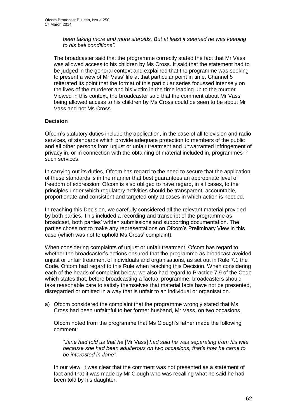*been taking more and more steroids. But at least it seemed he was keeping to his bail conditions".*

The broadcaster said that the programme correctly stated the fact that Mr Vass was allowed access to his children by Ms Cross. It said that the statement had to be judged in the general context and explained that the programme was seeking to present a view of Mr Vass' life at that particular point in time. Channel 5 reiterated its point that the format of this particular series focussed intensely on the lives of the murderer and his victim in the time leading up to the murder. Viewed in this context, the broadcaster said that the comment about Mr Vass being allowed access to his children by Ms Cross could be seen to be about Mr Vass and not Ms Cross.

#### **Decision**

Ofcom's statutory duties include the application, in the case of all television and radio services, of standards which provide adequate protection to members of the public and all other persons from unjust or unfair treatment and unwarranted infringement of privacy in, or in connection with the obtaining of material included in, programmes in such services.

In carrying out its duties, Ofcom has regard to the need to secure that the application of these standards is in the manner that best guarantees an appropriate level of freedom of expression. Ofcom is also obliged to have regard, in all cases, to the principles under which regulatory activities should be transparent, accountable, proportionate and consistent and targeted only at cases in which action is needed.

In reaching this Decision, we carefully considered all the relevant material provided by both parties. This included a recording and transcript of the programme as broadcast, both parties' written submissions and supporting documentation. The parties chose not to make any representations on Ofcom's Preliminary View in this case (which was not to uphold Ms Cross' complaint).

When considering complaints of unjust or unfair treatment, Ofcom has regard to whether the broadcaster's actions ensured that the programme as broadcast avoided unjust or unfair treatment of individuals and organisations, as set out in Rule 7.1 the Code. Ofcom had regard to this Rule when reaching this Decision. When considering each of the heads of complaint below, we also had regard to Practice 7.9 of the Code which states that, before broadcasting a factual programme, broadcasters should take reasonable care to satisfy themselves that material facts have not be presented, disregarded or omitted in a way that is unfair to an individual or organisation.

a) Ofcom considered the complaint that the programme wrongly stated that Ms Cross had been unfaithful to her former husband, Mr Vass, on two occasions.

Ofcom noted from the programme that Ms Clough's father made the following comment:

*"Jane had told us that he* [Mr Vass] *had said he was separating from his wife because she had been adulterous on two occasions, that's how he came to be interested in Jane".*

In our view, it was clear that the comment was not presented as a statement of fact and that it was made by Mr Clough who was recalling what he said he had been told by his daughter.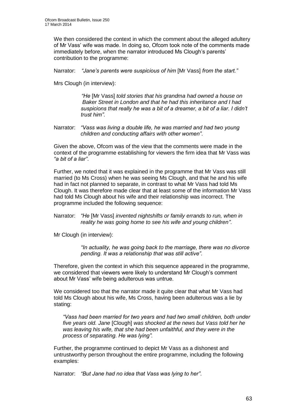We then considered the context in which the comment about the alleged adultery of Mr Vass' wife was made. In doing so, Ofcom took note of the comments made immediately before, when the narrator introduced Ms Clough's parents' contribution to the programme:

Narrator: *"Jane's parents were suspicious of him* [Mr Vass] *from the start."*

Mrs Clough (in interview):

*"He* [Mr Vass] *told stories that his grandma had owned a house on Baker Street in London and that he had this inheritance and I had suspicions that really he was a bit of a dreamer, a bit of a liar. I didn't trust him"*.

Narrator: *"Vass was living a double life, he was married and had two young children and conducting affairs with other women"*.

Given the above, Ofcom was of the view that the comments were made in the context of the programme establishing for viewers the firm idea that Mr Vass was *"a bit of a liar"*.

Further, we noted that it was explained in the programme that Mr Vass was still married (to Ms Cross) when he was seeing Ms Clough, and that he and his wife had in fact not planned to separate, in contrast to what Mr Vass had told Ms Clough. It was therefore made clear that at least some of the information Mr Vass had told Ms Clough about his wife and their relationship was incorrect. The programme included the following sequence:

Narrator: *"He* [Mr Vass] *invented nightshifts or family errands to run, when in reality he was going home to see his wife and young children"*.

Mr Clough (in interview):

*"In actuality, he was going back to the marriage, there was no divorce pending. It was a relationship that was still active"*.

Therefore, given the context in which this sequence appeared in the programme, we considered that viewers were likely to understand Mr Clough's comment about Mr Vass' wife being adulterous was untrue.

We considered too that the narrator made it quite clear that what Mr Vass had told Ms Clough about his wife, Ms Cross, having been adulterous was a lie by stating:

*"Vass had been married for two years and had two small children, both under five years old. Jane* [Clough] *was shocked at the news but Vass told her he was leaving his wife, that she had been unfaithful, and they were in the process of separating. He was lying".*

Further, the programme continued to depict Mr Vass as a dishonest and untrustworthy person throughout the entire programme, including the following examples:

Narrator: *"But Jane had no idea that Vass was lying to her"*.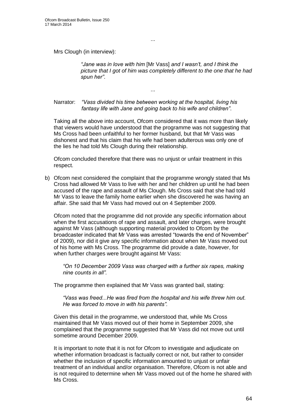Mrs Clough (in interview):

*"Jane was in love with him* [Mr Vass] *and I wasn't, and I think the picture that I got of him was completely different to the one that he had spun her"*.

...

...

Narrator: *"Vass divided his time between working at the hospital, living his fantasy life with Jane and going back to his wife and children"*.

Taking all the above into account, Ofcom considered that it was more than likely that viewers would have understood that the programme was not suggesting that Ms Cross had been unfaithful to her former husband, but that Mr Vass was dishonest and that his claim that his wife had been adulterous was only one of the lies he had told Ms Clough during their relationship.

Ofcom concluded therefore that there was no unjust or unfair treatment in this respect.

b) Ofcom next considered the complaint that the programme wrongly stated that Ms Cross had allowed Mr Vass to live with her and her children up until he had been accused of the rape and assault of Ms Clough. Ms Cross said that she had told Mr Vass to leave the family home earlier when she discovered he was having an affair. She said that Mr Vass had moved out on 4 September 2009.

Ofcom noted that the programme did not provide any specific information about when the first accusations of rape and assault, and later charges, were brought against Mr Vass (although supporting material provided to Ofcom by the broadcaster indicated that Mr Vass was arrested "towards the end of November" of 2009), nor did it give any specific information about when Mr Vass moved out of his home with Ms Cross. The programme did provide a date, however, for when further charges were brought against Mr Vass:

*"On 10 December 2009 Vass was charged with a further six rapes, making nine counts in all".*

The programme then explained that Mr Vass was granted bail, stating:

*"Vass was freed...He was fired from the hospital and his wife threw him out. He was forced to move in with his parents".*

Given this detail in the programme, we understood that, while Ms Cross maintained that Mr Vass moved out of their home in September 2009, she complained that the programme suggested that Mr Vass did not move out until sometime around December 2009.

It is important to note that it is not for Ofcom to investigate and adjudicate on whether information broadcast is factually correct or not, but rather to consider whether the inclusion of specific information amounted to unjust or unfair treatment of an individual and/or organisation. Therefore, Ofcom is not able and is not required to determine when Mr Vass moved out of the home he shared with Ms Cross.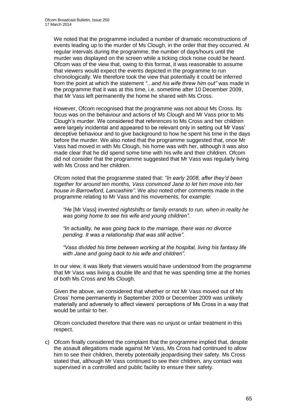We noted that the programme included a number of dramatic reconstructions of events leading up to the murder of Ms Clough, in the order that they occurred. At regular intervals during the programme, the number of days/hours until the murder was displayed on the screen while a ticking clock noise could be heard. Ofcom was of the view that, owing to this format, it was reasonable to assume that viewers would expect the events depicted in the programme to run chronologically. We therefore took the view that potentially it could be inferred from the point at which the statement *"*...*and his wife threw him out"* was made in the programme that it was at this time, i.e. sometime after 10 December 2009, that Mr Vass left permanently the home he shared with Ms Cross.

However, Ofcom recognised that the programme was not about Ms Cross. Its focus was on the behaviour and actions of Ms Clough and Mr Vass prior to Ms Clough's murder. We considered that references to Ms Cross and her children were largely incidental and appeared to be relevant only in setting out Mr Vass' deceptive behaviour and to give background to how he spent his time in the days before the murder. We also noted that the programme suggested that, once Mr Vass had moved in with Ms Clough, his home was with her, although it was also made clear that he did spend some time with his wife and their children. Ofcom did not consider that the programme suggested that Mr Vass was regularly living with Ms Cross and her children.

Ofcom noted that the programme stated that: *"In early 2008, after they'd been together for around ten months, Vass convinced Jane to let him move into her house in Barrowford, Lancashire"*. We also noted other comments made in the programme relating to Mr Vass and his movements, for example:

*"He* [Mr Vass] *invented nightshifts or family errands to run, when in reality he was going home to see his wife and young children"*.

*"In actuality, he was going back to the marriage, there was no divorce pending. It was a relationship that was still active"*.

*"Vass divided his time between working at the hospital, living his fantasy life with Jane and going back to his wife and children"*.

In our view, it was likely that viewers would have understood from the programme that Mr Vass was living a double life and that he was spending time at the homes of both Ms Cross and Ms Clough.

Given the above, we considered that whether or not Mr Vass moved out of Ms Cross' home permanently in September 2009 or December 2009 was unlikely materially and adversely to affect viewers' perceptions of Ms Cross in a way that would be unfair to her.

Ofcom concluded therefore that there was no unjust or unfair treatment in this respect.

c) Ofcom finally considered the complaint that the programme implied that, despite the assault allegations made against Mr Vass, Ms Cross had continued to allow him to see their children, thereby potentially jeopardising their safety. Ms Cross stated that, although Mr Vass continued to see their children, any contact was supervised in a controlled and public facility to ensure their safety.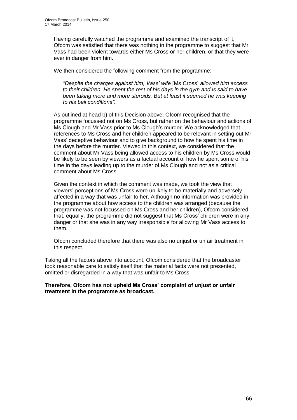Having carefully watched the programme and examined the transcript of it, Ofcom was satisfied that there was nothing in the programme to suggest that Mr Vass had been violent towards either Ms Cross or her children, or that they were ever in danger from him.

We then considered the following comment from the programme:

*"Despite the charges against him, Vass' wife* [Ms Cross] *allowed him access to their children. He spent the rest of his days in the gym and is said to have been taking more and more steroids. But at least it seemed he was keeping to his bail conditions".*

As outlined at head b) of this Decision above, Ofcom recognised that the programme focussed not on Ms Cross, but rather on the behaviour and actions of Ms Clough and Mr Vass prior to Ms Clough's murder. We acknowledged that references to Ms Cross and her children appeared to be relevant in setting out Mr Vass' deceptive behaviour and to give background to how he spent his time in the days before the murder. Viewed in this context, we considered that the comment about Mr Vass being allowed access to his children by Ms Cross would be likely to be seen by viewers as a factual account of how he spent some of his time in the days leading up to the murder of Ms Clough and not as a critical comment about Ms Cross.

Given the context in which the comment was made, we took the view that viewers' perceptions of Ms Cross were unlikely to be materially and adversely affected in a way that was unfair to her. Although no information was provided in the programme about how access to the children was arranged (because the programme was not focussed on Ms Cross and her children), Ofcom considered that, equally, the programme did not suggest that Ms Cross' children were in any danger or that she was in any way irresponsible for allowing Mr Vass access to them.

Ofcom concluded therefore that there was also no unjust or unfair treatment in this respect.

Taking all the factors above into account, Ofcom considered that the broadcaster took reasonable care to satisfy itself that the material facts were not presented, omitted or disregarded in a way that was unfair to Ms Cross.

**Therefore, Ofcom has not upheld Ms Cross' complaint of unjust or unfair treatment in the programme as broadcast.**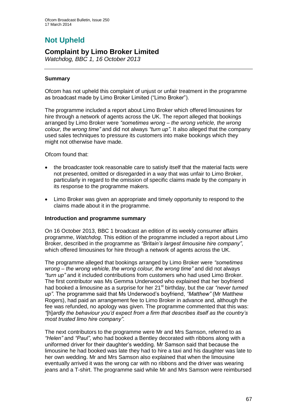# **Not Upheld**

### **Complaint by Limo Broker Limited**

*Watchdog, BBC 1, 16 October 2013*

#### **Summary**

Ofcom has not upheld this complaint of unjust or unfair treatment in the programme as broadcast made by Limo Broker Limited ("Limo Broker").

The programme included a report about Limo Broker which offered limousines for hire through a network of agents across the UK. The report alleged that bookings arranged by Limo Broker were *"sometimes wrong – the wrong vehicle, the wrong colour, the wrong time"* and did not always *"turn up"*. It also alleged that the company used sales techniques to pressure its customers into make bookings which they might not otherwise have made.

Ofcom found that:

- the broadcaster took reasonable care to satisfy itself that the material facts were not presented, omitted or disregarded in a way that was unfair to Limo Broker, particularly in regard to the omission of specific claims made by the company in its response to the programme makers.
- Limo Broker was given an appropriate and timely opportunity to respond to the claims made about it in the programme.

#### **Introduction and programme summary**

On 16 October 2013, BBC 1 broadcast an edition of its weekly consumer affairs programme, *Watchdog*. This edition of the programme included a report about Limo Broker, described in the programme as *"Britain's largest limousine hire company"*, which offered limousines for hire through a network of agents across the UK.

The programme alleged that bookings arranged by Limo Broker were *"sometimes wrong – the wrong vehicle, the wrong colour, the wrong time"* and did not always *"turn up"* and it included contributions from customers who had used Limo Broker. The first contributor was Ms Gemma Underwood who explained that her boyfriend had booked a limousine as a surprise for her 21<sup>st</sup> birthday, but the car *"never turned up"*. The programme said that Ms Underwood's boyfriend, *"Matthew"* (Mr Matthew Rogers), had paid an arrangement fee to Limo Broker in advance and, although the fee was refunded, no apology was given. The programme commented that this was: *"*[h]*ardly the behaviour you'd expect from a firm that describes itself as the country's most trusted limo hire company"*.

The next contributors to the programme were Mr and Mrs Samson, referred to as *"Helen"* and *"Paul"*, who had booked a Bentley decorated with ribbons along with a uniformed driver for their daughter's wedding. Mr Samson said that because the limousine he had booked was late they had to hire a taxi and his daughter was late to her own wedding. Mr and Mrs Samson also explained that when the limousine eventually arrived it was the wrong car with no ribbons and the driver was wearing jeans and a T-shirt. The programme said while Mr and Mrs Samson were reimbursed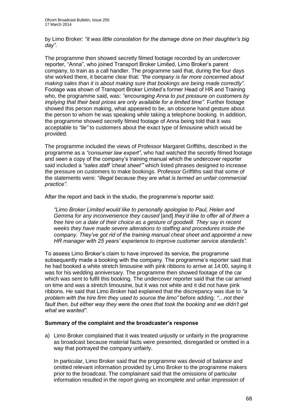by Limo Broker: *"it was little consolation for the damage done on their daughter's big day"*.

The programme then showed secretly filmed footage recorded by an undercover reporter, "Anna", who joined Transport Broker Limited, Limo Broker's parent company, to train as a call handler. The programme said that, during the four days she worked there, it became clear that: *"the company is far more concerned about making sales than it is about making sure that bookings are being made correctly"*. Footage was shown of Transport Broker Limited's former Head of HR and Training who, the programme said, was: *"encouraging Anna to put pressure on customers by implying that their best prices are only available for a limited time*". Further footage showed this person making, what appeared to be, an obscene hand gesture about the person to whom he was speaking while taking a telephone booking. In addition, the programme showed secretly filmed footage of Anna being told that it was acceptable to *"lie"* to customers about the exact type of limousine which would be provided.

The programme included the views of Professor Margaret Griffiths, described in the programme as a *"consumer law expert"*, who had watched the secretly filmed footage and seen a copy of the company's training manual which the undercover reporter said included a *"sales staff 'cheat sheet'"* which listed phrases designed to increase the pressure on customers to make bookings. Professor Griffiths said that some of the statements were: *"illegal because they are what is termed an unfair commercial practice".*

After the report and back in the studio, the programme's reporter said:

*"Limo Broker Limited would like to personally apologise to Paul, Helen and Gemma for any inconvenience they caused* [and] *they'd like to offer all of them a free hire on a date of their choice as a gesture of goodwill. They say in recent weeks they have made severe alterations to staffing and procedures inside the company. They've got rid of the training manual cheat sheet and appointed a new HR manager with 25 years' experience to improve customer service standards".* 

To assess Limo Broker's claim to have improved its service, the programme subsequently made a booking with the company. The programme's reporter said that he had booked a white stretch limousine with pink ribbons to arrive at 14:00, saying it was for his wedding anniversary. The programme then showed footage of the car which was sent to fulfil this booking. The undercover reporter said that the car arrived on time and was a stretch limousine, but it was not white and it did not have pink ribbons. He said that Limo Broker had explained that the discrepancy was due to *"a problem with the hire firm they used to source the limo"* before adding: *"…not their fault then, but either way they were the ones that took the booking and we didn't get what we wanted"*.

#### **Summary of the complaint and the broadcaster's response**

a) Limo Broker complained that it was treated unjustly or unfairly in the programme as broadcast because material facts were presented, disregarded or omitted in a way that portrayed the company unfairly.

In particular, Limo Broker said that the programme was devoid of balance and omitted relevant information provided by Limo Broker to the programme makers prior to the broadcast. The complainant said that the omissions of particular information resulted in the report giving an incomplete and unfair impression of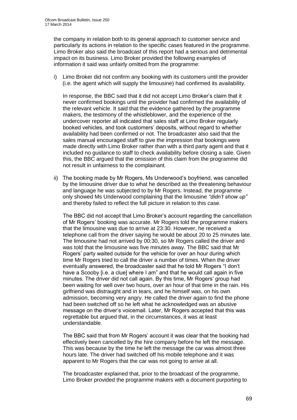the company in relation both to its general approach to customer service and particularly its actions in relation to the specific cases featured in the programme. Limo Broker also said the broadcast of this report had a serious and detrimental impact on its business. Limo Broker provided the following examples of information it said was unfairly omitted from the programme:

i) Limo Broker did not confirm any booking with its customers until the provider (i.e. the agent which will supply the limousine) had confirmed its availability.

In response, the BBC said that it did not accept Limo Broker's claim that it never confirmed bookings until the provider had confirmed the availability of the relevant vehicle. It said that the evidence gathered by the programme makers, the testimony of the whistleblower, and the experience of the undercover reporter all indicated that sales staff at Limo Broker regularly booked vehicles, and took customers' deposits, without regard to whether availability had been confirmed or not. The broadcaster also said that the sales manual encouraged staff to give the impression that bookings were made directly with Limo Broker rather than with a third party agent and that it included no guidance to staff to check availability before closing a sale. Given this, the BBC argued that the omission of this claim from the programme did not result in unfairness to the complainant.

ii) The booking made by Mr Rogers, Ms Underwood's boyfriend, was cancelled by the limousine driver due to what he described as the threatening behaviour and language he was subjected to by Mr Rogers. Instead, the programme only showed Ms Underwood complaining that the limousine *"didn't show up"* and thereby failed to reflect the full picture in relation to this case.

The BBC did not accept that Limo Broker's account regarding the cancellation of Mr Rogers' booking was accurate. Mr Rogers told the programme makers that the limousine was due to arrive at 23:30. However, he received a telephone call from the driver saying he would be about 20 to 25 minutes late. The limousine had not arrived by 00:30, so Mr Rogers called the driver and was told that the limousine was five minutes away. The BBC said that Mr Rogers' party waited outside for the vehicle for over an hour during which time Mr Rogers tried to call the driver a number of times. When the driver eventually answered, the broadcaster said that he told Mr Rogers "I don't have a Scooby [i.e. a clue] where I am" and that he would call again in five minutes. The driver did not call again. By this time, Mr Rogers' group had been waiting for well over two hours, over an hour of that time in the rain. His girlfriend was distraught and in tears, and he himself was, on his own admission, becoming very angry. He called the driver again to find the phone had been switched off so he left what he acknowledged was an abusive message on the driver's voicemail. Later, Mr Rogers accepted that this was regrettable but argued that, in the circumstances, it was at least understandable.

The BBC said that from Mr Rogers' account it was clear that the booking had effectively been cancelled by the hire company before he left the message. This was because by the time he left the message the car was almost three hours late. The driver had switched off his mobile telephone and it was apparent to Mr Rogers that the car was not going to arrive at all.

The broadcaster explained that, prior to the broadcast of the programme, Limo Broker provided the programme makers with a document purporting to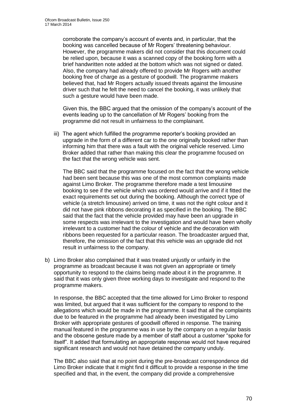corroborate the company's account of events and, in particular, that the booking was cancelled because of Mr Rogers' threatening behaviour. However, the programme makers did not consider that this document could be relied upon, because it was a scanned copy of the booking form with a brief handwritten note added at the bottom which was not signed or dated. Also, the company had already offered to provide Mr Rogers with another booking free of charge as a gesture of goodwill. The programme makers believed that, had Mr Rogers actually issued threats against the limousine driver such that he felt the need to cancel the booking, it was unlikely that such a gesture would have been made.

Given this, the BBC argued that the omission of the company's account of the events leading up to the cancellation of Mr Rogers' booking from the programme did not result in unfairness to the complainant.

iii) The agent which fulfilled the programme reporter's booking provided an upgrade in the form of a different car to the one originally booked rather than informing him that there was a fault with the original vehicle reserved. Limo Broker added that rather than making this clear the programme focused on the fact that the wrong vehicle was sent.

The BBC said that the programme focused on the fact that the wrong vehicle had been sent because this was one of the most common complaints made against Limo Broker. The programme therefore made a test limousine booking to see if the vehicle which was ordered would arrive and if it fitted the exact requirements set out during the booking. Although the correct type of vehicle (a stretch limousine) arrived on time, it was not the right colour and it did not have pink ribbons decorating it as specified in the booking. The BBC said that the fact that the vehicle provided may have been an upgrade in some respects was irrelevant to the investigation and would have been wholly irrelevant to a customer had the colour of vehicle and the decoration with ribbons been requested for a particular reason. The broadcaster argued that, therefore, the omission of the fact that this vehicle was an upgrade did not result in unfairness to the company.

b) Limo Broker also complained that it was treated unjustly or unfairly in the programme as broadcast because it was not given an appropriate or timely opportunity to respond to the claims being made about it in the programme. It said that it was only given three working days to investigate and respond to the programme makers.

In response, the BBC accepted that the time allowed for Limo Broker to respond was limited, but argued that it was sufficient for the company to respond to the allegations which would be made in the programme. It said that all the complaints due to be featured in the programme had already been investigated by Limo Broker with appropriate gestures of goodwill offered in response. The training manual featured in the programme was in use by the company on a regular basis and the obscene gesture made by a member of staff about a customer "spoke for itself". It added that formulating an appropriate response would not have required significant research and would not have detained the company unduly.

The BBC also said that at no point during the pre-broadcast correspondence did Limo Broker indicate that it might find it difficult to provide a response in the time specified and that, in the event, the company did provide a comprehensive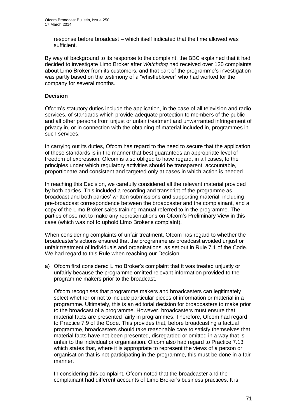response before broadcast – which itself indicated that the time allowed was sufficient.

By way of background to its response to the complaint, the BBC explained that it had decided to investigate Limo Broker after *Watchdog* had received over 120 complaints about Limo Broker from its customers, and that part of the programme's investigation was partly based on the testimony of a "whistleblower" who had worked for the company for several months.

#### **Decision**

Ofcom's statutory duties include the application, in the case of all television and radio services, of standards which provide adequate protection to members of the public and all other persons from unjust or unfair treatment and unwarranted infringement of privacy in, or in connection with the obtaining of material included in, programmes in such services.

In carrying out its duties, Ofcom has regard to the need to secure that the application of these standards is in the manner that best guarantees an appropriate level of freedom of expression. Ofcom is also obliged to have regard, in all cases, to the principles under which regulatory activities should be transparent, accountable, proportionate and consistent and targeted only at cases in which action is needed.

In reaching this Decision, we carefully considered all the relevant material provided by both parties. This included a recording and transcript of the programme as broadcast and both parties' written submissions and supporting material, including pre-broadcast correspondence between the broadcaster and the complainant, and a copy of the Limo Broker sales training manual referred to in the programme. The parties chose not to make any representations on Ofcom's Preliminary View in this case (which was not to uphold Limo Broker's complaint).

When considering complaints of unfair treatment, Ofcom has regard to whether the broadcaster's actions ensured that the programme as broadcast avoided unjust or unfair treatment of individuals and organisations, as set out in Rule 7.1 of the Code. We had regard to this Rule when reaching our Decision.

a) Ofcom first considered Limo Broker's complaint that it was treated unjustly or unfairly because the programme omitted relevant information provided to the programme makers prior to the broadcast.

Ofcom recognises that programme makers and broadcasters can legitimately select whether or not to include particular pieces of information or material in a programme. Ultimately, this is an editorial decision for broadcasters to make prior to the broadcast of a programme. However, broadcasters must ensure that material facts are presented fairly in programmes. Therefore, Ofcom had regard to Practice 7.9 of the Code. This provides that, before broadcasting a factual programme, broadcasters should take reasonable care to satisfy themselves that material facts have not been presented, disregarded or omitted in a way that is unfair to the individual or organisation. Ofcom also had regard to Practice 7.13 which states that, where it is appropriate to represent the views of a person or organisation that is not participating in the programme, this must be done in a fair manner.

In considering this complaint, Ofcom noted that the broadcaster and the complainant had different accounts of Limo Broker's business practices. It is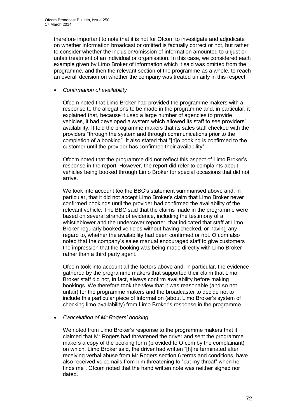therefore important to note that it is not for Ofcom to investigate and adjudicate on whether information broadcast or omitted is factually correct or not, but rather to consider whether the inclusion/omission of information amounted to unjust or unfair treatment of an individual or organisation. In this case, we considered each example given by Limo Broker of information which it said was omitted from the programme, and then the relevant section of the programme as a whole, to reach an overall decision on whether the company was treated unfairly in this respect.

#### *Confirmation of availability*

Ofcom noted that Limo Broker had provided the programme makers with a response to the allegations to be made in the programme and, in particular, it explained that, because it used a large number of agencies to provide vehicles, it had developed a system which allowed its staff to see providers' availability. It told the programme makers that its sales staff checked with the providers "through the system and through communications prior to the completion of a booking". It also stated that "[n]o booking is confirmed to the customer until the provider has confirmed their availability".

Ofcom noted that the programme did not reflect this aspect of Limo Broker's response in the report. However, the report did refer to complaints about vehicles being booked through Limo Broker for special occasions that did not arrive.

We took into account too the BBC's statement summarised above and, in particular, that it did not accept Limo Broker's claim that Limo Broker never confirmed bookings until the provider had confirmed the availability of the relevant vehicle. The BBC said that the claims made in the programme were based on several strands of evidence, including the testimony of a whistleblower and the undercover reporter, that indicated that staff at Limo Broker regularly booked vehicles without having checked, or having any regard to, whether the availability had been confirmed or not. Ofcom also noted that the company's sales manual encouraged staff to give customers the impression that the booking was being made directly with Limo Broker rather than a third party agent.

Ofcom took into account all the factors above and, in particular, the evidence gathered by the programme makers that supported their claim that Limo Broker staff did not, in fact, always confirm availability before making bookings. We therefore took the view that it was reasonable (and so not unfair) for the programme makers and the broadcaster to decide not to include this particular piece of information (about Limo Broker's system of checking limo availability) from Limo Broker's response in the programme.

#### *Cancellation of Mr Rogers' booking*

We noted from Limo Broker's response to the programme makers that it claimed that Mr Rogers had threatened the driver and sent the programme makers a copy of the booking form (provided to Ofcom by the complainant) on which, Limo Broker said, the driver had written "[h]ire terminated after receiving verbal abuse from Mr Rogers section 6 terms and conditions, have also received voicemails from him threatening to "cut my throat" when he finds me". Ofcom noted that the hand written note was neither signed nor dated.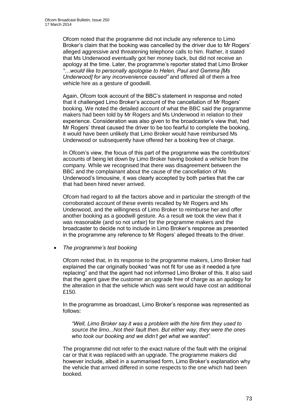Ofcom noted that the programme did not include any reference to Limo Broker's claim that the booking was cancelled by the driver due to Mr Rogers' alleged aggressive and threatening telephone calls to him. Rather, it stated that Ms Underwood eventually got her money back, but did not receive an apology at the time. Later, the programme's reporter stated that Limo Broker *"…would like to personally apologise to Helen, Paul and Gemma [Ms Underwood] for any inconvenience caused"* and offered all of them a free vehicle hire as a gesture of goodwill.

Again, Ofcom took account of the BBC's statement in response and noted that it challenged Limo Broker's account of the cancellation of Mr Rogers' booking. We noted the detailed account of what the BBC said the programme makers had been told by Mr Rogers and Ms Underwood in relation to their experience. Consideration was also given to the broadcaster's view that, had Mr Rogers' threat caused the driver to be too fearful to complete the booking, it would have been unlikely that Limo Broker would have reimbursed Ms Underwood or subsequently have offered her a booking free of charge.

In Ofcom's view, the focus of this part of the programme was the contributors' accounts of being let down by Limo Broker having booked a vehicle from the company. While we recognised that there was disagreement between the BBC and the complainant about the cause of the cancellation of Ms Underwood's limousine, it was clearly accepted by both parties that the car that had been hired never arrived.

Ofcom had regard to all the factors above and in particular the strength of the corroborated account of these events recalled by Mr Rogers and Ms Underwood, and the willingness of Limo Broker to reimburse her and offer another booking as a goodwill gesture. As a result we took the view that it was reasonable (and so not unfair) for the programme makers and the broadcaster to decide not to include in Limo Broker's response as presented in the programme any reference to Mr Rogers' alleged threats to the driver.

*The programme's test booking*

Ofcom noted that, in its response to the programme makers, Limo Broker had explained the car originally booked "was not fit for use as it needed a tyre replacing" and that the agent had not informed Limo Broker of this. It also said that the agent gave the customer an upgrade free of charge as an apology for the alteration in that the vehicle which was sent would have cost an additional £150.

In the programme as broadcast, Limo Broker's response was represented as follows:

*"Well, Limo Broker say it was a problem with the hire firm they used to source the limo...Not their fault then. But either way, they were the ones who took our booking and we didn't get what we wanted".*

The programme did not refer to the exact nature of the fault with the original car or that it was replaced with an upgrade. The programme makers did however include, albeit in a summarised form, Limo Broker's explanation why the vehicle that arrived differed in some respects to the one which had been booked.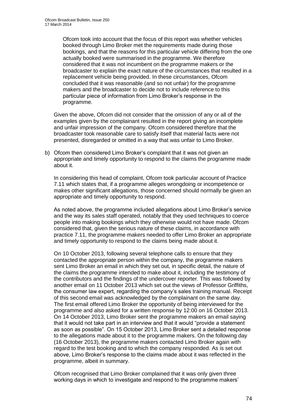Ofcom took into account that the focus of this report was whether vehicles booked through Limo Broker met the requirements made during those bookings, and that the reasons for this particular vehicle differing from the one actually booked were summarised in the programme. We therefore considered that it was not incumbent on the programme makers or the broadcaster to explain the exact nature of the circumstances that resulted in a replacement vehicle being provided. In these circumstances, Ofcom concluded that it was reasonable (and so not unfair) for the programme makers and the broadcaster to decide not to include reference to this particular piece of information from Limo Broker's response in the programme.

Given the above, Ofcom did not consider that the omission of any or all of the examples given by the complainant resulted in the report giving an incomplete and unfair impression of the company. Ofcom considered therefore that the broadcaster took reasonable care to satisfy itself that material facts were not presented, disregarded or omitted in a way that was unfair to Limo Broker.

b) Ofcom then considered Limo Broker's complaint that it was not given an appropriate and timely opportunity to respond to the claims the programme made about it.

In considering this head of complaint, Ofcom took particular account of Practice 7.11 which states that, if a programme alleges wrongdoing or incompetence or makes other significant allegations, those concerned should normally be given an appropriate and timely opportunity to respond.

As noted above, the programme included allegations about Limo Broker's service and the way its sales staff operated, notably that they used techniques to coerce people into making bookings which they otherwise would not have made. Ofcom considered that, given the serious nature of these claims, in accordance with practice 7.11, the programme makers needed to offer Limo Broker an appropriate and timely opportunity to respond to the claims being made about it.

On 10 October 2013, following several telephone calls to ensure that they contacted the appropriate person within the company, the programme makers sent Limo Broker an email in which they set out, in specific detail, the nature of the claims the programme intended to make about it, including the testimony of the contributors and the findings of the undercover reporter. This was followed by another email on 11 October 2013 which set out the views of Professor Griffiths, the consumer law expert, regarding the company's sales training manual. Receipt of this second email was acknowledged by the complainant on the same day. The first email offered Limo Broker the opportunity of being interviewed for the programme and also asked for a written response by 12:00 on 16 October 2013. On 14 October 2013, Limo Broker sent the programme makers an email saying that it would not take part in an interview and that it would "provide a statement as soon as possible". On 15 October 2013, Limo Broker sent a detailed response to the allegations made about it to the programme makers. On the following day (16 October 2013), the programme makers contacted Limo Broker again with regard to the test booking and to which the company responded. As is set out above, Limo Broker's response to the claims made about it was reflected in the programme, albeit in summary.

Ofcom recognised that Limo Broker complained that it was only given three working days in which to investigate and respond to the programme makers'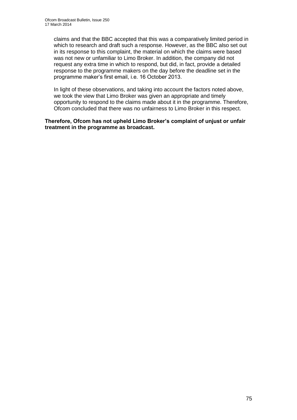claims and that the BBC accepted that this was a comparatively limited period in which to research and draft such a response. However, as the BBC also set out in its response to this complaint, the material on which the claims were based was not new or unfamiliar to Limo Broker. In addition, the company did not request any extra time in which to respond, but did, in fact, provide a detailed response to the programme makers on the day before the deadline set in the programme maker's first email, i.e. 16 October 2013.

In light of these observations, and taking into account the factors noted above, we took the view that Limo Broker was given an appropriate and timely opportunity to respond to the claims made about it in the programme. Therefore, Ofcom concluded that there was no unfairness to Limo Broker in this respect.

**Therefore, Ofcom has not upheld Limo Broker's complaint of unjust or unfair treatment in the programme as broadcast.**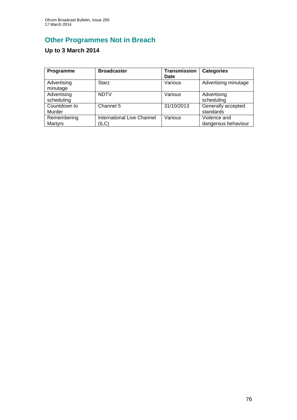# **Other Programmes Not in Breach**

# **Up to 3 March 2014**

| Programme                 | <b>Broadcaster</b>                         | <b>Transmission</b><br>Date | <b>Categories</b>                   |
|---------------------------|--------------------------------------------|-----------------------------|-------------------------------------|
| Advertising<br>minutage   | <b>Starz</b>                               | Various                     | Advertising minutage                |
| Advertising<br>scheduling | <b>NDTV</b>                                | Various                     | Advertising<br>scheduling           |
| Countdown to<br>Murder    | Channel 5                                  | 31/10/2013                  | Generally accepted<br>standards     |
| Remembering<br>Martyrs    | <b>International Live Channel</b><br>(ILC) | Various                     | Violence and<br>dangerous behaviour |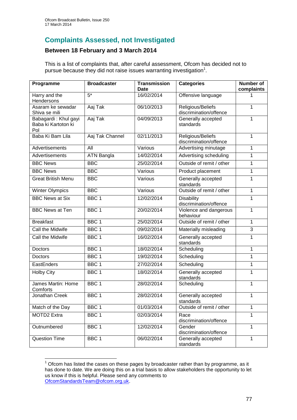1

# **Complaints Assessed, not Investigated**

### **Between 18 February and 3 March 2014**

This is a list of complaints that, after careful assessment, Ofcom has decided not to pursue because they did not raise issues warranting investigation<sup>1</sup>.

| Programme                                          | <b>Broadcaster</b> | <b>Transmission</b><br><b>Date</b> | <b>Categories</b>                           | <b>Number of</b><br>complaints |
|----------------------------------------------------|--------------------|------------------------------------|---------------------------------------------|--------------------------------|
| Harry and the<br>Hendersons                        | $5*$               | 16/02/2014                         | Offensive language                          |                                |
| Asaram ke sewadar<br>Shiva se mili                 | Aaj Tak            | 06/10/2013                         | Religious/Beliefs<br>discrimination/offence | 1                              |
| Babagardi: Khul gayi<br>Baba ki Kartoton ki<br>Pol | Aaj Tak            | 04/09/2013                         | Generally accepted<br>standards             | 1                              |
| Baba Ki Bam Lila                                   | Aaj Tak Channel    | 02/11/2013                         | Religious/Beliefs<br>discrimination/offence | 1                              |
| Advertisements                                     | $\overline{All}$   | Various                            | Advertising minutage                        | 1                              |
| Advertisements                                     | <b>ATN Bangla</b>  | 14/02/2014                         | Advertising scheduling                      | 1                              |
| <b>BBC News</b>                                    | <b>BBC</b>         | 25/02/2014                         | Outside of remit / other                    | 1                              |
| <b>BBC News</b>                                    | $\overline{B}$ BC  | Various                            | Product placement                           | 1                              |
| <b>Great British Menu</b>                          | <b>BBC</b>         | Various                            | Generally accepted<br>standards             | 1                              |
| <b>Winter Olympics</b>                             | <b>BBC</b>         | Various                            | Outside of remit / other                    | 1                              |
| <b>BBC News at Six</b>                             | BBC <sub>1</sub>   | 12/02/2014                         | <b>Disability</b><br>discrimination/offence | 1                              |
| <b>BBC News at Ten</b>                             | BBC <sub>1</sub>   | 20/02/2014                         | Violence and dangerous<br>behaviour         | 1                              |
| <b>Breakfast</b>                                   | BBC <sub>1</sub>   | 25/02/2014                         | Outside of remit / other                    | 1                              |
| Call the Midwife                                   | BBC <sub>1</sub>   | 09/02/2014                         | Materially misleading                       | 3                              |
| Call the Midwife                                   | BBC <sub>1</sub>   | 16/02/2014                         | Generally accepted<br>standards             | 1                              |
| <b>Doctors</b>                                     | BBC <sub>1</sub>   | 18/02/2014                         | Scheduling                                  | 1                              |
| Doctors                                            | BBC <sub>1</sub>   | 19/02/2014                         | Scheduling                                  | 1                              |
| EastEnders                                         | BBC <sub>1</sub>   | 27/02/2014                         | Scheduling                                  | 1                              |
| <b>Holby City</b>                                  | BBC <sub>1</sub>   | 18/02/2014                         | Generally accepted<br>standards             | 1                              |
| James Martin: Home<br>Comforts                     | BBC <sub>1</sub>   | 28/02/2014                         | Scheduling                                  | 1                              |
| Jonathan Creek                                     | BBC <sub>1</sub>   | 28/02/2014                         | Generally accepted<br>standards             | 1                              |
| Match of the Day                                   | BBC 1              | 01/03/2014                         | Outside of remit / other                    | $\mathbf{1}$                   |
| MOTD2 Extra                                        | BBC 1              | 02/03/2014                         | Race<br>discrimination/offence              | 1                              |
| Outnumbered                                        | BBC <sub>1</sub>   | 12/02/2014                         | Gender<br>discrimination/offence            | $\mathbf{1}$                   |
| <b>Question Time</b>                               | BBC <sub>1</sub>   | 06/02/2014                         | Generally accepted<br>standards             | 1                              |

 $1$  Ofcom has listed the cases on these pages by broadcaster rather than by programme, as it has done to date. We are doing this on a trial basis to allow stakeholders the opportunity to let us know if this is helpful. Please send any comments to [OfcomStandardsTeam@ofcom.org.uk.](mailto:OfcomStandardsTeam@ofcom.org.uk)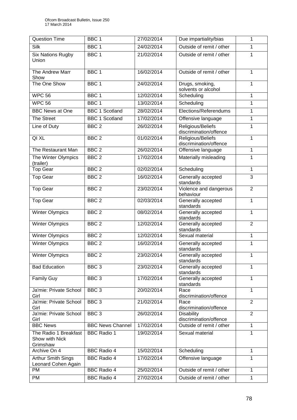| <b>Question Time</b>                                | BBC <sub>1</sub>        | 27/02/2014 | Due impartiality/bias                       | 1              |
|-----------------------------------------------------|-------------------------|------------|---------------------------------------------|----------------|
| Silk                                                | BBC <sub>1</sub>        | 24/02/2014 | Outside of remit / other                    | 1              |
| <b>Six Nations Rugby</b><br>Union                   | BBC <sub>1</sub>        | 21/02/2014 | Outside of remit / other                    | 1              |
| The Andrew Marr<br>Show                             | BBC <sub>1</sub>        | 16/02/2014 | Outside of remit / other                    | 1              |
| The One Show                                        | BBC <sub>1</sub>        | 24/02/2014 | Drugs, smoking,<br>solvents or alcohol      | $\mathbf{1}$   |
| <b>WPC 56</b>                                       | BBC <sub>1</sub>        | 12/02/2014 | Scheduling                                  | $\mathbf{1}$   |
| <b>WPC 56</b>                                       | BBC <sub>1</sub>        | 13/02/2014 | Scheduling                                  | $\mathbf{1}$   |
| <b>BBC News at One</b>                              | <b>BBC 1 Scotland</b>   | 28/02/2014 | Elections/Referendums                       | 1              |
| The Street                                          | <b>BBC 1 Scotland</b>   | 17/02/2014 | Offensive language                          | $\mathbf{1}$   |
| Line of Duty                                        | BBC <sub>2</sub>        | 26/02/2014 | Religious/Beliefs<br>discrimination/offence | $\mathbf{1}$   |
| QI XL                                               | BBC <sub>2</sub>        | 01/02/2014 | Religious/Beliefs<br>discrimination/offence | $\mathbf{1}$   |
| The Restaurant Man                                  | BBC <sub>2</sub>        | 26/02/2014 | Offensive language                          | 1              |
| The Winter Olympics<br>(trailer)                    | BBC <sub>2</sub>        | 17/02/2014 | Materially misleading                       | 1              |
| Top Gear                                            | BBC <sub>2</sub>        | 02/02/2014 | Scheduling                                  | $\mathbf{1}$   |
| <b>Top Gear</b>                                     | BBC <sub>2</sub>        | 16/02/2014 | Generally accepted<br>standards             | 3              |
| <b>Top Gear</b>                                     | BBC <sub>2</sub>        | 23/02/2014 | Violence and dangerous<br>behaviour         | $\overline{2}$ |
| <b>Top Gear</b>                                     | BBC <sub>2</sub>        | 02/03/2014 | Generally accepted<br>standards             | $\mathbf{1}$   |
| <b>Winter Olympics</b>                              | BBC <sub>2</sub>        | 08/02/2014 | Generally accepted<br>standards             | 1              |
| <b>Winter Olympics</b>                              | BBC <sub>2</sub>        | 12/02/2014 | Generally accepted<br>standards             | $\overline{2}$ |
| <b>Winter Olympics</b>                              | BBC <sub>2</sub>        | 12/02/2014 | Sexual material                             | 1              |
| <b>Winter Olympics</b>                              | BBC <sub>2</sub>        | 16/02/2014 | Generally accepted<br>standards             | 1              |
| <b>Winter Olympics</b>                              | BBC <sub>2</sub>        | 23/02/2014 | Generally accepted<br>standards             | $\mathbf{1}$   |
| <b>Bad Education</b>                                | BBC <sub>3</sub>        | 23/02/2014 | Generally accepted<br>standards             | 1              |
| <b>Family Guy</b>                                   | BBC <sub>3</sub>        | 17/02/2014 | Generally accepted<br>standards             | 1              |
| Ja'mie: Private School<br>Girl                      | $BBC \overline{3}$      | 20/02/2014 | Race<br>discrimination/offence              | $\mathbf{1}$   |
| Ja'mie: Private School<br>Girl                      | BBC <sub>3</sub>        | 21/02/2014 | Race<br>discrimination/offence              | 2              |
| Ja'mie: Private School<br>Girl                      | BBC <sub>3</sub>        | 26/02/2014 | <b>Disability</b><br>discrimination/offence | $\overline{2}$ |
| <b>BBC News</b>                                     | <b>BBC News Channel</b> | 17/02/2014 | Outside of remit / other                    | $\mathbf{1}$   |
| The Radio 1 Breakfast<br>Show with Nick<br>Grimshaw | <b>BBC Radio 1</b>      | 19/02/2014 | Sexual material                             | 1              |
| Archive On 4                                        | <b>BBC Radio 4</b>      | 15/02/2014 | Scheduling                                  | 1              |
| Arthur Smith Sings<br>Leonard Cohen Again           | <b>BBC Radio 4</b>      | 17/02/2014 | Offensive language                          | 1              |
| PM                                                  | <b>BBC Radio 4</b>      | 25/02/2014 | Outside of remit / other                    | 1              |
| PM                                                  | <b>BBC Radio 4</b>      | 27/02/2014 | Outside of remit / other                    | $\mathbf{1}$   |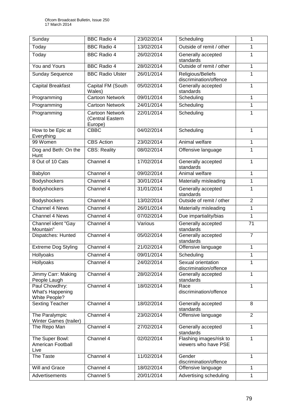| Sunday                                              | <b>BBC Radio 4</b>                                    | 23/02/2014 | Scheduling                                      | 1               |
|-----------------------------------------------------|-------------------------------------------------------|------------|-------------------------------------------------|-----------------|
| Today                                               | <b>BBC Radio 4</b>                                    | 13/02/2014 | Outside of remit / other                        | 1               |
| Today                                               | <b>BBC Radio 4</b>                                    | 26/02/2014 | Generally accepted<br>standards                 | 1               |
| You and Yours                                       | <b>BBC Radio 4</b>                                    | 28/02/2014 | Outside of remit / other                        | $\mathbf{1}$    |
| <b>Sunday Sequence</b>                              | <b>BBC Radio Ulster</b>                               | 26/01/2014 | Religious/Beliefs<br>discrimination/offence     | 1               |
| <b>Capital Breakfast</b>                            | Capital FM (South<br>Wales)                           | 05/02/2014 | Generally accepted<br>standards                 | 1               |
| Programming                                         | <b>Cartoon Network</b>                                | 09/01/2014 | Scheduling                                      | 1               |
| Programming                                         | <b>Cartoon Network</b>                                | 24/01/2014 | Scheduling                                      | 1               |
| Programming                                         | <b>Cartoon Network</b><br>(Central Eastern<br>Europe) | 22/01/2014 | Scheduling                                      | 1               |
| How to be Epic at<br>Everything                     | <b>CBBC</b>                                           | 04/02/2014 | Scheduling                                      | 1               |
| 99 Women                                            | <b>CBS</b> Action                                     | 23/02/2014 | Animal welfare                                  | $\mathbf{1}$    |
| Dog and Beth: On the<br>Hunt                        | <b>CBS: Reality</b>                                   | 08/02/2014 | Offensive language                              | 1               |
| 8 Out of 10 Cats                                    | Channel 4                                             | 17/02/2014 | Generally accepted<br>standards                 | 1               |
| Babylon                                             | Channel 4                                             | 09/02/2014 | Animal welfare                                  | 1               |
| <b>Bodyshockers</b>                                 | Channel 4                                             | 30/01/2014 | Materially misleading                           | 1               |
| Bodyshockers                                        | Channel 4                                             | 31/01/2014 | Generally accepted<br>standards                 | 1               |
| <b>Bodyshockers</b>                                 | Channel 4                                             | 13/02/2014 | Outside of remit / other                        | $\overline{2}$  |
| Channel 4 News                                      | Channel 4                                             | 26/01/2014 | Materially misleading                           | 1               |
| Channel 4 News                                      | Channel 4                                             | 07/02/2014 | Due impartiality/bias                           | $\mathbf{1}$    |
| Channel ident "Gay<br>Mountain"                     | Channel 4                                             | Various    | Generally accepted<br>standards                 | $\overline{71}$ |
| Dispatches: Hunted                                  | Channel 4                                             | 05/02/2014 | Generally accepted<br>standards                 | $\overline{7}$  |
| Extreme Dog Styling                                 | Channel 4                                             | 21/02/2014 | Offensive language                              | 1               |
| Hollyoaks                                           | Channel 4                                             | 09/01/2014 | Scheduling                                      | 1               |
| Hollyoaks                                           | Channel 4                                             | 24/02/2014 | Sexual orientation<br>discrimination/offence    | 1               |
| Jimmy Carr: Making<br>People Laugh                  | Channel 4                                             | 28/02/2014 | Generally accepted<br>standards                 | 1               |
| Paul Chowdhry:<br>What's Happening<br>White People? | Channel 4                                             | 18/02/2014 | Race<br>discrimination/offence                  | 1               |
| <b>Sexting Teacher</b>                              | Channel 4                                             | 18/02/2014 | Generally accepted<br>standards                 | 8               |
| The Paralympic<br>Winter Games (trailer)            | Channel 4                                             | 23/02/2014 | Offensive language                              | $\overline{2}$  |
| The Repo Man                                        | Channel 4                                             | 27/02/2014 | Generally accepted<br>standards                 | $\mathbf{1}$    |
| The Super Bowl:<br>American Football<br>Live        | Channel 4                                             | 02/02/2014 | Flashing images/risk to<br>viewers who have PSE | 1               |
| The Taste                                           | Channel 4                                             | 11/02/2014 | Gender<br>discrimination/offence                | 1               |
| Will and Grace                                      | Channel 4                                             | 18/02/2014 | Offensive language                              | 1               |
| Advertisements                                      | Channel 5                                             | 20/01/2014 | Advertising scheduling                          | $\mathbf{1}$    |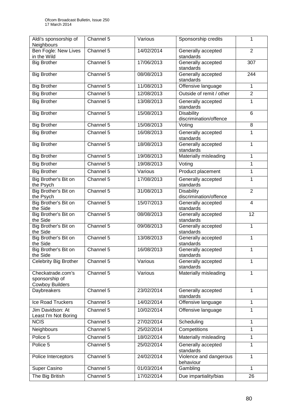| Aldi's sponsorship of<br>Neighbours                           | Channel 5            | Various    | Sponsorship credits                         | 1              |
|---------------------------------------------------------------|----------------------|------------|---------------------------------------------|----------------|
| Ben Fogle: New Lives<br>in the Wild                           | Channel 5            | 14/02/2014 | Generally accepted<br>standards             | $\overline{2}$ |
| <b>Big Brother</b>                                            | Channel 5            | 17/06/2013 | Generally accepted<br>standards             | 307            |
| <b>Big Brother</b>                                            | Channel 5            | 08/08/2013 | Generally accepted<br>standards             | 244            |
| <b>Big Brother</b>                                            | Channel 5            | 11/08/2013 | Offensive language                          | $\mathbf{1}$   |
| <b>Big Brother</b>                                            | Channel 5            | 12/08/2013 | Outside of remit / other                    | $\overline{2}$ |
| <b>Big Brother</b>                                            | Channel 5            | 13/08/2013 | Generally accepted<br>standards             | 1              |
| <b>Big Brother</b>                                            | Channel 5            | 15/08/2013 | <b>Disability</b><br>discrimination/offence | $6\phantom{1}$ |
| <b>Big Brother</b>                                            | Channel 5            | 15/08/2013 | Voting                                      | 8              |
| <b>Big Brother</b>                                            | Channel 5            | 16/08/2013 | Generally accepted<br>standards             | 1              |
| <b>Big Brother</b>                                            | Channel 5            | 18/08/2013 | Generally accepted<br>standards             | $\mathbf{1}$   |
| <b>Big Brother</b>                                            | Channel 5            | 19/08/2013 | Materially misleading                       | 1              |
| <b>Big Brother</b>                                            | Channel 5            | 19/08/2013 | Voting                                      | 1              |
| <b>Big Brother</b>                                            | Channel 5            | Various    | Product placement                           | 1              |
| Big Brother's Bit on<br>the Psych                             | Channel 5            | 17/08/2013 | Generally accepted<br>standards             | $\mathbf{1}$   |
| Big Brother's Bit on<br>the Psych                             | Channel 5            | 31/08/2013 | <b>Disability</b><br>discrimination/offence | $\overline{2}$ |
| Big Brother's Bit on<br>the Side                              | Channel 5            | 15/07/2013 | Generally accepted<br>standards             | $\overline{4}$ |
| Big Brother's Bit on<br>the Side                              | Channel 5            | 08/08/2013 | Generally accepted<br>standards             | 12             |
| Big Brother's Bit on<br>the Side                              | Channel 5            | 09/08/2013 | Generally accepted<br>standards             | 1              |
| Big Brother's Bit on<br>the Side                              | Channel 5            | 13/08/2013 | Generally accepted<br>standards             | $\mathbf{1}$   |
| Big Brother's Bit on<br>the Side                              | Channel 5            | 16/08/2013 | Generally accepted<br>standards             | 1              |
| Celebrity Big Brother                                         | Channel 5            | Various    | Generally accepted<br>standards             | 1              |
| Checkatrade.com's<br>sponsorship of<br><b>Cowboy Builders</b> | Channel 5            | Various    | Materially misleading                       | 1              |
| Daybreakers                                                   | Channel 5            | 23/02/2014 | Generally accepted<br>standards             | $\mathbf{1}$   |
| Ice Road Truckers                                             | Channel 5            | 14/02/2014 | Offensive language                          | $\mathbf{1}$   |
| Jim Davidson: At<br>Least I'm Not Boring                      | Channel 5            | 10/02/2014 | Offensive language                          | 1              |
| <b>NCIS</b>                                                   | Channel 5            | 27/02/2014 | Scheduling                                  | 1              |
| Neighbours                                                    | Channel 5            | 25/02/2014 | Competitions                                | 1              |
| Police 5                                                      | Channel <sub>5</sub> | 18/02/2014 | Materially misleading                       | 1              |
| Police 5                                                      | Channel 5            | 25/02/2014 | Generally accepted<br>standards             | 1              |
| Police Interceptors                                           | Channel 5            | 24/02/2014 | Violence and dangerous<br>behaviour         | 1              |
| Super Casino                                                  | Channel 5            | 01/03/2014 | Gambling                                    | $\mathbf{1}$   |
| The Big British                                               | Channel 5            | 17/02/2014 | Due impartiality/bias                       | 26             |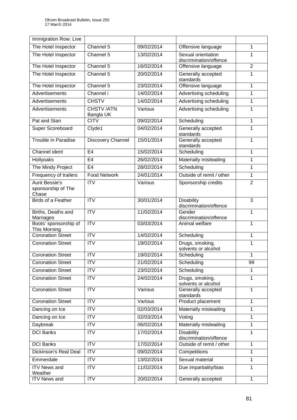| Immigration Row: Live                               |                               |            |                                              |                |
|-----------------------------------------------------|-------------------------------|------------|----------------------------------------------|----------------|
| The Hotel Inspector                                 | Channel 5                     | 09/02/2014 | Offensive language                           | 1              |
| The Hotel Inspector                                 | Channel 5                     | 13/02/2014 | Sexual orientation<br>discrimination/offence | 1              |
| The Hotel Inspector                                 | Channel 5                     | 16/02/2014 | Offensive language                           | $\overline{2}$ |
| The Hotel Inspector                                 | Channel 5                     | 20/02/2014 | Generally accepted<br>standards              | 1              |
| The Hotel Inspector                                 | Channel 5                     | 23/02/2014 | Offensive language                           | 1              |
| Advertisements                                      | Channel i                     | 14/02/2014 | Advertising scheduling                       | 1              |
| Advertisements                                      | <b>CHSTV</b>                  | 14/02/2014 | Advertising scheduling                       | 1              |
| Advertisements                                      | <b>CHSTV/ATN</b><br>Bangla UK | Various    | Advertising scheduling                       | 1              |
| Pat and Stan                                        | <b>CITV</b>                   | 09/02/2014 | Scheduling                                   | 1              |
| Super Scoreboard                                    | Clyde1                        | 04/02/2014 | Generally accepted<br>standards              | 1              |
| <b>Trouble in Paradise</b>                          | Discovery Channel             | 15/01/2014 | Generally accepted<br>standards              | 1              |
| <b>Channel ident</b>                                | E <sub>4</sub>                | 15/02/2014 | Scheduling                                   | 1              |
| Hollyoaks                                           | E <sub>4</sub>                | 26/02/2014 | Materially misleading                        | 1              |
| The Mindy Project                                   | E <sub>4</sub>                | 28/02/2014 | Scheduling                                   | 1              |
| Frequency of trailers                               | <b>Food Network</b>           | 24/01/2014 | Outside of remit / other                     | 1              |
| <b>Aunt Bessie's</b><br>sponsorship of The<br>Chase | $\overline{\text{IV}}$        | Various    | Sponsorship credits                          | $\overline{2}$ |
| Birds of a Feather                                  | $\overline{\text{ITV}}$       | 30/01/2014 | <b>Disability</b><br>discrimination/offence  | $\overline{3}$ |
| Births, Deaths and<br>Marriages                     | <b>ITV</b>                    | 11/02/2014 | Gender<br>discrimination/offence             | 1              |
| Boots' sponsorship of<br>This Morning               | $\overline{\text{ITV}}$       | 03/03/2014 | Animal welfare                               | 1              |
| <b>Coronation Street</b>                            | $\overline{\text{ITV}}$       | 14/02/2014 | Scheduling                                   | 1              |
| <b>Coronation Street</b>                            | <b>ITV</b>                    | 19/02/2014 | Drugs, smoking,<br>solvents or alcohol       | 1              |
| <b>Coronation Street</b>                            | $\overline{ITV}$              | 19/02/2014 | Scheduling                                   | 1              |
| <b>Coronation Street</b>                            | <b>ITV</b>                    | 21/02/2014 | Scheduling                                   | 99             |
| <b>Coronation Street</b>                            | <b>ITV</b>                    | 23/02/2014 | Scheduling                                   | 1              |
| <b>Coronation Street</b>                            | <b>ITV</b>                    | 24/02/2014 | Drugs, smoking,<br>solvents or alcohol       | 1              |
| <b>Coronation Street</b>                            | <b>ITV</b>                    | Various    | Generally accepted<br>standards              | $\mathbf{1}$   |
| <b>Coronation Street</b>                            | <b>ITV</b>                    | Various    | Product placement                            | $\mathbf{1}$   |
| Dancing on Ice                                      | <b>ITV</b>                    | 02/03/2014 | Materially misleading                        | $\mathbf{1}$   |
| Dancing on Ice                                      | <b>ITV</b>                    | 02/03/2014 | Voting                                       | 1              |
| Daybreak                                            | <b>ITV</b>                    | 06/02/2014 | Materially misleading                        | 1              |
| <b>DCI Banks</b>                                    | <b>ITV</b>                    | 17/02/2014 | <b>Disability</b><br>discrimination/offence  | 1              |
| <b>DCI Banks</b>                                    | <b>ITV</b>                    | 17/02/2014 | Outside of remit / other                     | 1              |
| Dickinson's Real Deal                               | $\overline{IV}$               | 09/02/2014 | Competitions                                 | 1              |
| Emmerdale                                           | <b>ITV</b>                    | 13/02/2014 | Sexual material                              | 1              |
| <b>ITV News and</b><br>Weather                      | <b>ITV</b>                    | 11/02/2014 | Due impartiality/bias                        | 1              |
| <b>ITV News and</b>                                 | $\overline{IV}$               | 20/02/2014 | Generally accepted                           | $\mathbf{1}$   |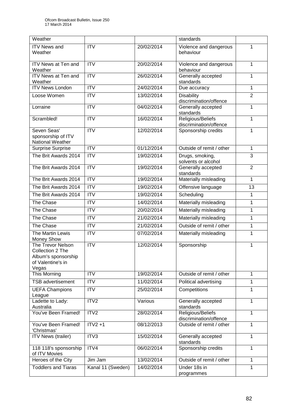| Weather                                                                                    |                        |            | standards                                   |                |
|--------------------------------------------------------------------------------------------|------------------------|------------|---------------------------------------------|----------------|
| <b>ITV News and</b><br>Weather                                                             | <b>ITV</b>             | 20/02/2014 | Violence and dangerous<br>behaviour         | 1              |
| ITV News at Ten and<br>Weather                                                             | $\overline{IV}$        | 20/02/2014 | Violence and dangerous<br>behaviour         | $\mathbf{1}$   |
| ITV News at Ten and<br>Weather                                                             | <b>ITV</b>             | 26/02/2014 | Generally accepted<br>standards             | 1              |
| <b>ITV News London</b>                                                                     | ITV                    | 24/02/2014 | Due accuracy                                | $\mathbf{1}$   |
| Loose Women                                                                                | <b>ITV</b>             | 13/02/2014 | <b>Disability</b><br>discrimination/offence | $\overline{2}$ |
| Lorraine                                                                                   | $\overline{IV}$        | 04/02/2014 | Generally accepted<br>standards             | 1              |
| Scrambled!                                                                                 | <b>ITV</b>             | 16/02/2014 | Religious/Beliefs<br>discrimination/offence | 1              |
| Seven Seas'<br>sponsorship of ITV<br>National Weather                                      | <b>ITV</b>             | 12/02/2014 | Sponsorship credits                         | 1              |
| <b>Surprise Surprise</b>                                                                   | $\overline{\text{IV}}$ | 01/12/2014 | Outside of remit / other                    | $\mathbf{1}$   |
| The Brit Awards 2014                                                                       | <b>ITV</b>             | 19/02/2014 | Drugs, smoking,<br>solvents or alcohol      | 3              |
| The Brit Awards 2014                                                                       | <b>ITV</b>             | 19/02/2014 | Generally accepted<br>standards             | 2              |
| The Brit Awards 2014                                                                       | $\overline{IV}$        | 19/02/2014 | Materially misleading                       | $\mathbf{1}$   |
| The Brit Awards 2014                                                                       | $\overline{IV}$        | 19/02/2014 | Offensive language                          | 13             |
| The Brit Awards 2014                                                                       | <b>ITV</b>             | 19/02/2014 | Scheduling                                  | $\mathbf 1$    |
| The Chase                                                                                  | $\overline{IV}$        | 14/02/2014 | Materially misleading                       | 1              |
| The Chase                                                                                  | <b>ITV</b>             | 20/02/2014 | Materially misleading                       | 1              |
| The Chase                                                                                  | <b>ITV</b>             | 21/02/2014 | Materially misleading                       | 1              |
| The Chase                                                                                  | $\overline{IV}$        | 21/02/2014 | Outside of remit / other                    | 1              |
| The Martin Lewis<br><b>Money Show</b>                                                      | <b>ITV</b>             | 07/02/2014 | Materially misleading                       | 1              |
| The Trevor Nelson<br>Collection 2 The<br>Album's sponsorship<br>of Valentine's in<br>Vegas | <b>ITV</b>             | 12/02/2014 | Sponsorship                                 | 1              |
| This Morning                                                                               | <b>ITV</b>             | 19/02/2014 | Outside of remit / other                    | 1              |
| <b>TSB</b> advertisement                                                                   | <b>ITV</b>             | 11/02/2014 | Political advertising                       | 1              |
| <b>UEFA Champions</b><br>League                                                            | <b>ITV</b>             | 25/02/2014 | Competitions                                | 1              |
| Ladette to Lady:<br>Australia                                                              | ITV <sub>2</sub>       | Various    | Generally accepted<br>standards             | 1              |
| You've Been Framed!                                                                        | ITV2                   | 28/02/2014 | Religious/Beliefs<br>discrimination/offence | 1              |
| You've Been Framed!<br>'Christmas'                                                         | $ITV2 + 1$             | 08/12/2013 | Outside of remit / other                    | 1              |
| <b>ITV News (trailer)</b>                                                                  | ITV3                   | 15/02/2014 | Generally accepted<br>standards             | $\mathbf{1}$   |
| 118 118's sponsorship<br>of ITV Movies                                                     | ITV4                   | 06/02/2014 | Sponsorship credits                         | 1              |
| Heroes of the City                                                                         | Jim Jam                | 13/02/2014 | Outside of remit / other                    | 1              |
| <b>Toddlers and Tiaras</b>                                                                 | Kanal 11 (Sweden)      | 14/02/2014 | Under 18s in<br>programmes                  | 1              |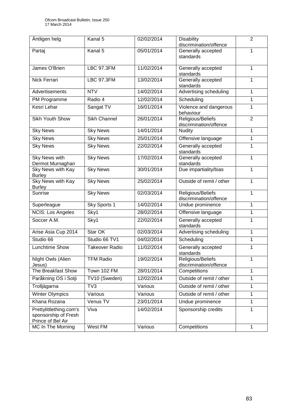| Äntligen helg                                                        | Kanal 5               | 02/02/2014 | <b>Disability</b><br>discrimination/offence | $\overline{2}$ |
|----------------------------------------------------------------------|-----------------------|------------|---------------------------------------------|----------------|
| Partaj                                                               | Kanal 5               | 05/01/2014 | Generally accepted<br>standards             | 1              |
| James O'Brien                                                        | <b>LBC 97.3FM</b>     | 11/02/2014 | Generally accepted<br>standards             | 1              |
| Nick Ferrari                                                         | <b>LBC 97.3FM</b>     | 13/02/2014 | Generally accepted<br>standards             | 1              |
| <b>Advertisements</b>                                                | <b>NTV</b>            | 14/02/2014 | Advertising scheduling                      | 1              |
| PM Programme                                                         | Radio 4               | 12/02/2014 | Scheduling                                  | 1              |
| Kesri Lehar                                                          | Sangat TV             | 16/01/2014 | Violence and dangerous<br>behaviour         | 1              |
| Sikh Youth Show                                                      | <b>Sikh Channel</b>   | 26/01/2014 | Religious/Beliefs<br>discrimination/offence | $\overline{2}$ |
| <b>Sky News</b>                                                      | <b>Sky News</b>       | 14/01/2014 | <b>Nudity</b>                               | 1              |
| <b>Sky News</b>                                                      | <b>Sky News</b>       | 25/01/2014 | Offensive language                          | 1              |
| <b>Sky News</b>                                                      | <b>Sky News</b>       | 22/02/2014 | Generally accepted<br>standards             | 1              |
| <b>Sky News with</b><br>Dermot Murnaghan                             | <b>Sky News</b>       | 17/02/2014 | Generally accepted<br>standards             | 1              |
| Sky News with Kay<br><b>Burley</b>                                   | <b>Sky News</b>       | 30/01/2014 | Due impartiality/bias                       | 1              |
| <b>Sky News with Kay</b><br><b>Burley</b>                            | <b>Sky News</b>       | 25/02/2014 | Outside of remit / other                    | 1              |
| <b>Sunrise</b>                                                       | <b>Sky News</b>       | 02/03/2014 | Religious/Beliefs<br>discrimination/offence | $\mathbf{1}$   |
| Superleague                                                          | Sky Sports 1          | 14/02/2014 | Undue prominence                            | 1              |
| <b>NCIS: Los Angeles</b>                                             | Sky1                  | 28/02/2014 | Offensive language                          | $\mathbf{1}$   |
| Soccer A.M.                                                          | Sky1                  | 22/02/2014 | Generally accepted<br>standards             | 1              |
| Arise Asia Cup 2014                                                  | Star OK               | 02/03/2014 | Advertising scheduling                      | 1              |
| Studio 66                                                            | Studio 66 TV1         | 04/02/2014 | Scheduling                                  | 1              |
| <b>Lunchtime Show</b>                                                | <b>Takeover Radio</b> | 11/02/2014 | Generally accepted<br>standards             | 1              |
| Night Owls (Alien<br>Jesus)                                          | <b>TFM Radio</b>      | 19/02/2014 | Religious/Beliefs<br>discrimination/offence | $\mathbf{1}$   |
| <b>The Breakfast Show</b>                                            | Town 102 FM           | 28/01/2014 | Competitions                                | 1              |
| Paråkning OS i Sotji                                                 | TV10 (Sweden)         | 12/02/2014 | Outside of remit / other                    | 1              |
| Trolljägarna                                                         | $\overline{TV3}$      | Various    | Outside of remit / other                    | 1              |
| <b>Winter Olympics</b>                                               | Various               | Various    | Outside of remit / other                    | $\mathbf{1}$   |
| Khana Rozana                                                         | Venus TV              | 23/01/2014 | Undue prominence                            | 1              |
| Prettylittlething.com's<br>sponsorship of Fresh<br>Prince of Bel Air | Viva                  | 14/02/2014 | Sponsorship credits                         | 1              |
| MC In The Morning                                                    | West FM               | Various    | Competitions                                | $\mathbf{1}$   |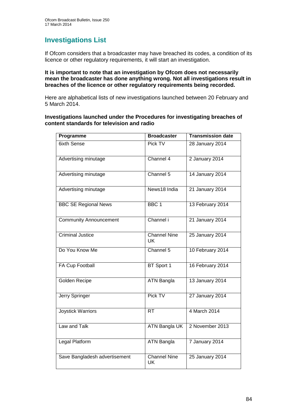## **Investigations List**

If Ofcom considers that a broadcaster may have breached its codes, a condition of its licence or other regulatory requirements, it will start an investigation.

#### **It is important to note that an investigation by Ofcom does not necessarily mean the broadcaster has done anything wrong. Not all investigations result in breaches of the licence or other regulatory requirements being recorded.**

Here are alphabetical lists of new investigations launched between 20 February and 5 March 2014.

### **Investigations launched under the Procedures for investigating breaches of content standards for television and radio**

| Programme                     | <b>Broadcaster</b>               | <b>Transmission date</b> |
|-------------------------------|----------------------------------|--------------------------|
| <b>6ixth Sense</b>            | Pick TV                          | 28 January 2014          |
| Advertising minutage          | Channel 4                        | 2 January 2014           |
| Advertising minutage          | Channel 5                        | 14 January 2014          |
| Advertising minutage          | News18 India                     | 21 January 2014          |
| <b>BBC SE Regional News</b>   | BBC <sub>1</sub>                 | 13 February 2014         |
| <b>Community Announcement</b> | Channel i                        | 21 January 2014          |
| <b>Criminal Justice</b>       | <b>Channel Nine</b><br><b>UK</b> | 25 January 2014          |
| Do You Know Me                | Channel $5$                      | 10 February 2014         |
| <b>FA Cup Football</b>        | BT Sport 1                       | 16 February 2014         |
| <b>Golden Recipe</b>          | <b>ATN Bangla</b>                | 13 January 2014          |
| Jerry Springer                | Pick TV                          | 27 January 2014          |
| <b>Joystick Warriors</b>      | RT                               | 4 March 2014             |
| Law and Talk                  | ATN Bangla UK                    | 2 November 2013          |
| Legal Platform                | <b>ATN Bangla</b>                | 7 January 2014           |
| Save Bangladesh advertisement | <b>Channel Nine</b><br><b>UK</b> | 25 January 2014          |